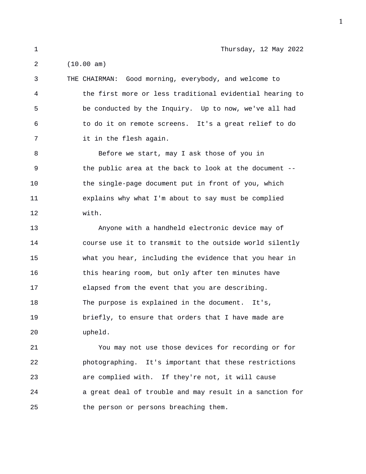1 Thursday, 12 May 2022

2 (10.00 am)

3 THE CHAIRMAN: Good morning, everybody, and welcome to 4 the first more or less traditional evidential hearing to 5 be conducted by the Inquiry. Up to now, we've all had 6 to do it on remote screens. It's a great relief to do 7 it in the flesh again.

8 Before we start, may I ask those of you in 9 the public area at the back to look at the document -- 10 the single-page document put in front of you, which 11 explains why what I'm about to say must be complied 12 with.

13 Anyone with a handheld electronic device may of 14 course use it to transmit to the outside world silently 15 what you hear, including the evidence that you hear in 16 this hearing room, but only after ten minutes have 17 elapsed from the event that you are describing. 18 The purpose is explained in the document. It's, 19 briefly, to ensure that orders that I have made are 20 upheld.

21 You may not use those devices for recording or for 22 photographing. It's important that these restrictions 23 are complied with. If they're not, it will cause 24 a great deal of trouble and may result in a sanction for 25 the person or persons breaching them.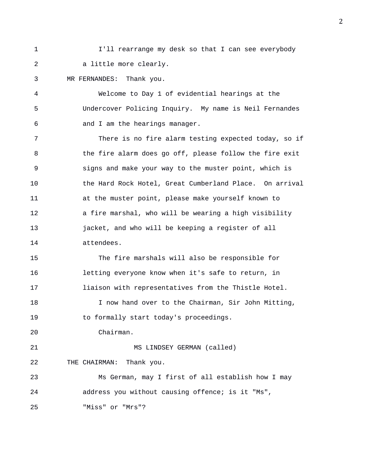1 I'll rearrange my desk so that I can see everybody 2 a little more clearly.

3 MR FERNANDES: Thank you.

4 Welcome to Day 1 of evidential hearings at the 5 Undercover Policing Inquiry. My name is Neil Fernandes 6 and I am the hearings manager.

7 There is no fire alarm testing expected today, so if 8 the fire alarm does go off, please follow the fire exit 9 signs and make your way to the muster point, which is 10 the Hard Rock Hotel, Great Cumberland Place. On arrival 11 at the muster point, please make yourself known to 12 a fire marshal, who will be wearing a high visibility 13 jacket, and who will be keeping a register of all 14 attendees.

15 The fire marshals will also be responsible for 16 letting everyone know when it's safe to return, in 17 liaison with representatives from the Thistle Hotel.

18 I now hand over to the Chairman, Sir John Mitting, 19 to formally start today's proceedings.

20 Chairman.

21 MS LINDSEY GERMAN (called) 22 THE CHAIRMAN: Thank you. 23 Ms German, may I first of all establish how I may

24 address you without causing offence; is it "Ms",

25 "Miss" or "Mrs"?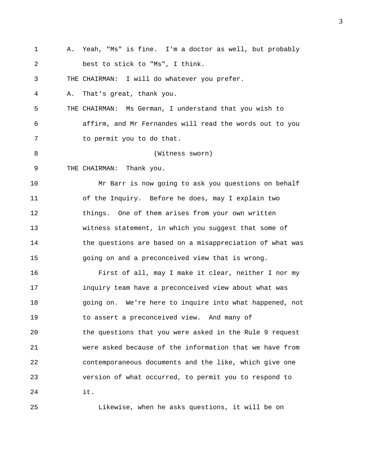1 A. Yeah, "Ms" is fine. I'm a doctor as well, but probably 2 best to stick to "Ms", I think. 3 THE CHAIRMAN: I will do whatever you prefer. 4 A. That's great, thank you. 5 THE CHAIRMAN: Ms German, I understand that you wish to 6 affirm, and Mr Fernandes will read the words out to you 7 to permit you to do that. 8 (Witness sworn) 9 THE CHAIRMAN: Thank you. 10 Mr Barr is now going to ask you questions on behalf 11 of the Inquiry. Before he does, may I explain two 12 things. One of them arises from your own written 13 witness statement, in which you suggest that some of 14 the questions are based on a misappreciation of what was 15 going on and a preconceived view that is wrong. 16 First of all, may I make it clear, neither I nor my 17 inquiry team have a preconceived view about what was 18 going on. We're here to inquire into what happened, not 19 to assert a preconceived view. And many of 20 the questions that you were asked in the Rule 9 request 21 were asked because of the information that we have from 22 contemporaneous documents and the like, which give one 23 version of what occurred, to permit you to respond to 24 it. 25 Likewise, when he asks questions, it will be on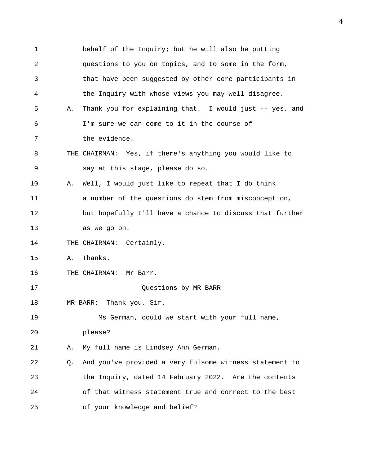1 behalf of the Inquiry; but he will also be putting 2 questions to you on topics, and to some in the form, 3 that have been suggested by other core participants in 4 the Inquiry with whose views you may well disagree. 5 A. Thank you for explaining that. I would just -- yes, and 6 I'm sure we can come to it in the course of 7 the evidence. 8 THE CHAIRMAN: Yes, if there's anything you would like to 9 say at this stage, please do so. 10 A. Well, I would just like to repeat that I do think 11 a number of the questions do stem from misconception, 12 but hopefully I'll have a chance to discuss that further 13 as we go on. 14 THE CHAIRMAN: Certainly. 15 A. Thanks. 16 THE CHAIRMAN: Mr Barr. 17 Questions by MR BARR 18 MR BARR: Thank you, Sir. 19 Ms German, could we start with your full name, 20 please? 21 A. My full name is Lindsey Ann German. 22 Q. And you've provided a very fulsome witness statement to 23 the Inquiry, dated 14 February 2022. Are the contents 24 of that witness statement true and correct to the best 25 of your knowledge and belief?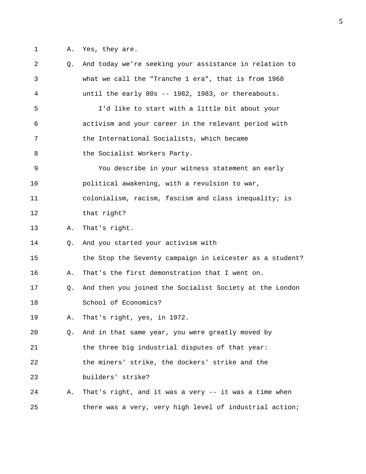1 A. Yes, they are.

2 Q. And today we're seeking your assistance in relation to 3 what we call the "Tranche 1 era", that is from 1968 4 until the early 80s -- 1982, 1983, or thereabouts. 5 I'd like to start with a little bit about your 6 activism and your career in the relevant period with 7 the International Socialists, which became 8 the Socialist Workers Party. 9 You describe in your witness statement an early 10 political awakening, with a revulsion to war, 11 colonialism, racism, fascism and class inequality; is 12 that right? 13 A. That's right. 14 Q. And you started your activism with 15 the Stop the Seventy campaign in Leicester as a student? 16 A. That's the first demonstration that I went on. 17 Q. And then you joined the Socialist Society at the London 18 School of Economics? 19 A. That's right, yes, in 1972. 20 Q. And in that same year, you were greatly moved by 21 the three big industrial disputes of that year: 22 the miners' strike, the dockers' strike and the 23 builders' strike? 24 A. That's right, and it was a very -- it was a time when 25 there was a very, very high level of industrial action;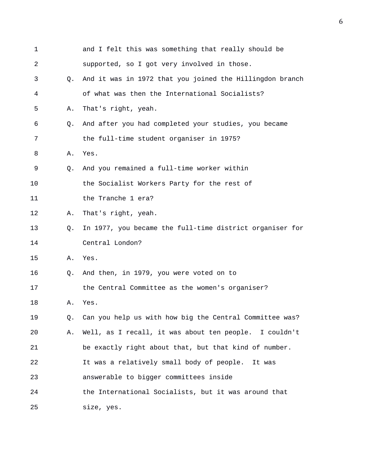| 1  |    | and I felt this was something that really should be      |
|----|----|----------------------------------------------------------|
| 2  |    | supported, so I got very involved in those.              |
| 3  | О. | And it was in 1972 that you joined the Hillingdon branch |
| 4  |    | of what was then the International Socialists?           |
| 5  | Α. | That's right, yeah.                                      |
| 6  | Q. | And after you had completed your studies, you became     |
| 7  |    | the full-time student organiser in 1975?                 |
| 8  | Α. | Yes.                                                     |
| 9  | Q. | And you remained a full-time worker within               |
| 10 |    | the Socialist Workers Party for the rest of              |
| 11 |    | the Tranche 1 era?                                       |
| 12 | Α. | That's right, yeah.                                      |
| 13 | Q. | In 1977, you became the full-time district organiser for |
| 14 |    | Central London?                                          |
| 15 | Α. | Yes.                                                     |
| 16 | Q. | And then, in 1979, you were voted on to                  |
| 17 |    | the Central Committee as the women's organiser?          |
| 18 | Α. | Yes.                                                     |
| 19 | Q. | Can you help us with how big the Central Committee was?  |
| 20 | Α. | Well, as I recall, it was about ten people. I couldn't   |
| 21 |    | be exactly right about that, but that kind of number.    |
| 22 |    | It was a relatively small body of people.<br>It was      |
| 23 |    | answerable to bigger committees inside                   |
| 24 |    | the International Socialists, but it was around that     |
| 25 |    | size, yes.                                               |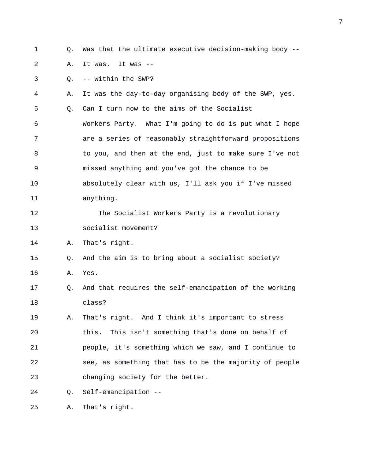- 
- 1 Q. Was that the ultimate executive decision-making body --

2 A. It was. It was --

3 Q. -- within the SWP?

4 A. It was the day-to-day organising body of the SWP, yes.

5 Q. Can I turn now to the aims of the Socialist

6 Workers Party. What I'm going to do is put what I hope 7 are a series of reasonably straightforward propositions 8 to you, and then at the end, just to make sure I've not 9 missed anything and you've got the chance to be 10 absolutely clear with us, I'll ask you if I've missed 11 anything.

12 The Socialist Workers Party is a revolutionary 13 socialist movement?

14 A. That's right.

15 Q. And the aim is to bring about a socialist society?

- 16 A. Yes.
- 17 Q. And that requires the self-emancipation of the working 18 class?

19 A. That's right. And I think it's important to stress 20 this. This isn't something that's done on behalf of 21 people, it's something which we saw, and I continue to 22 see, as something that has to be the majority of people 23 changing society for the better.

24 Q. Self-emancipation --

25 A. That's right.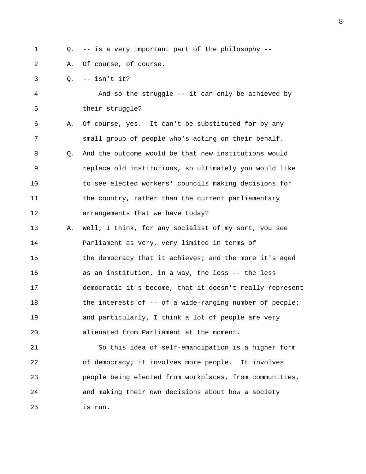1 Q. -- is a very important part of the philosophy --

2 A. Of course, of course.

3 Q. -- isn't it?

4 And so the struggle -- it can only be achieved by 5 their struggle?

6 A. Of course, yes. It can't be substituted for by any 7 small group of people who's acting on their behalf. 8 Q. And the outcome would be that new institutions would 9 replace old institutions, so ultimately you would like 10 to see elected workers' councils making decisions for 11 the country, rather than the current parliamentary 12 arrangements that we have today?

13 A. Well, I think, for any socialist of my sort, you see 14 Parliament as very, very limited in terms of 15 the democracy that it achieves; and the more it's aged 16 as an institution, in a way, the less -- the less 17 democratic it's become, that it doesn't really represent 18 the interests of -- of a wide-ranging number of people; 19 and particularly, I think a lot of people are very 20 alienated from Parliament at the moment.

21 So this idea of self-emancipation is a higher form 22 of democracy; it involves more people. It involves 23 people being elected from workplaces, from communities, 24 and making their own decisions about how a society 25 is run.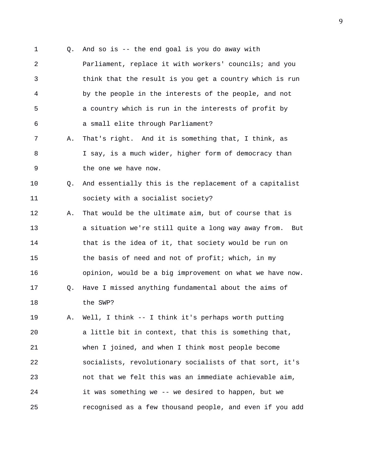1 Q. And so is -- the end goal is you do away with 2 Parliament, replace it with workers' councils; and you 3 think that the result is you get a country which is run 4 by the people in the interests of the people, and not 5 a country which is run in the interests of profit by 6 a small elite through Parliament? 7 A. That's right. And it is something that, I think, as 8 I say, is a much wider, higher form of democracy than 9 the one we have now. 10 Q. And essentially this is the replacement of a capitalist 11 society with a socialist society? 12 A. That would be the ultimate aim, but of course that is 13 a situation we're still quite a long way away from. But 14 that is the idea of it, that society would be run on 15 the basis of need and not of profit; which, in my 16 opinion, would be a big improvement on what we have now. 17 Q. Have I missed anything fundamental about the aims of 18 the SWP? 19 A. Well, I think -- I think it's perhaps worth putting 20 a little bit in context, that this is something that, 21 when I joined, and when I think most people become 22 socialists, revolutionary socialists of that sort, it's 23 not that we felt this was an immediate achievable aim,

25 recognised as a few thousand people, and even if you add

24 it was something we -- we desired to happen, but we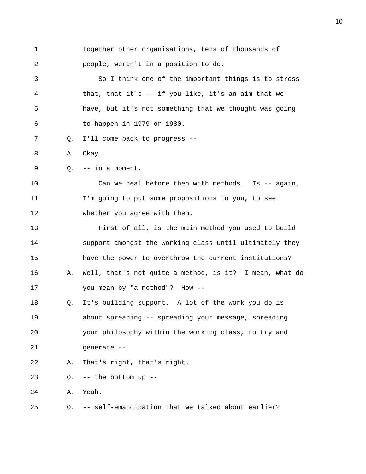| 1  |           | together other organisations, tens of thousands of      |
|----|-----------|---------------------------------------------------------|
| 2  |           | people, weren't in a position to do.                    |
| 3  |           | So I think one of the important things is to stress     |
| 4  |           | that, that it's -- if you like, it's an aim that we     |
| 5  |           | have, but it's not something that we thought was going  |
| 6  |           | to happen in 1979 or 1980.                              |
| 7  | Q.        | I'll come back to progress --                           |
| 8  | Α.        | Okay.                                                   |
| 9  | $\circ$ . | -- in a moment.                                         |
| 10 |           | Can we deal before then with methods. Is -- again,      |
| 11 |           | I'm going to put some propositions to you, to see       |
| 12 |           | whether you agree with them.                            |
| 13 |           | First of all, is the main method you used to build      |
| 14 |           | support amongst the working class until ultimately they |
| 15 |           | have the power to overthrow the current institutions?   |
| 16 | Α.        | Well, that's not quite a method, is it? I mean, what do |
| 17 |           | you mean by "a method"? How --                          |
| 18 | Q.        | It's building support. A lot of the work you do is      |
| 19 |           | about spreading -- spreading your message, spreading    |
| 20 |           | your philosophy within the working class, to try and    |
| 21 |           | generate --                                             |
| 22 | Α.        | That's right, that's right.                             |
| 23 | Q.        | -- the bottom up --                                     |
| 24 | Α.        | Yeah.                                                   |
| 25 | Q.        | -- self-emancipation that we talked about earlier?      |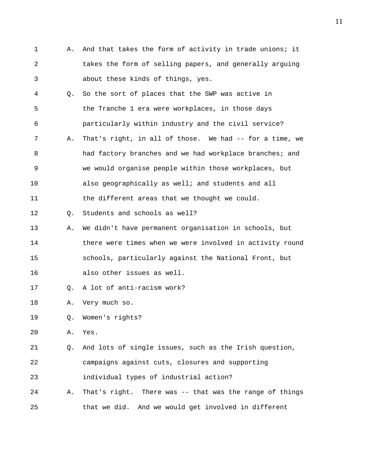- 1 A. And that takes the form of activity in trade unions; it 2 takes the form of selling papers, and generally arguing 3 about these kinds of things, yes.
- 4 Q. So the sort of places that the SWP was active in 5 the Tranche 1 era were workplaces, in those days 6 particularly within industry and the civil service? 7 A. That's right, in all of those. We had -- for a time, we 8 had factory branches and we had workplace branches; and 9 we would organise people within those workplaces, but 10 also geographically as well; and students and all 11 the different areas that we thought we could.

12 Q. Students and schools as well?

- 13 A. We didn't have permanent organisation in schools, but 14 there were times when we were involved in activity round 15 schools, particularly against the National Front, but 16 also other issues as well.
- 
- 17 Q. A lot of anti-racism work?
- 18 A. Very much so.
- 19 Q. Women's rights?
- 20 A. Yes.

21 Q. And lots of single issues, such as the Irish question, 22 campaigns against cuts, closures and supporting

23 individual types of industrial action?

24 A. That's right. There was -- that was the range of things 25 that we did. And we would get involved in different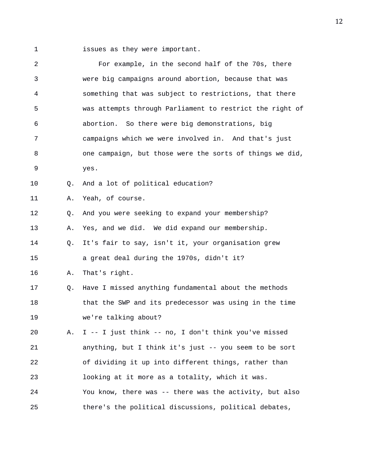1 issues as they were important.

| 2  |    | For example, in the second half of the 70s, there        |
|----|----|----------------------------------------------------------|
| 3  |    | were big campaigns around abortion, because that was     |
| 4  |    | something that was subject to restrictions, that there   |
| 5  |    | was attempts through Parliament to restrict the right of |
| 6  |    | abortion. So there were big demonstrations, big          |
| 7  |    | campaigns which we were involved in. And that's just     |
| 8  |    | one campaign, but those were the sorts of things we did, |
| 9  |    | yes.                                                     |
| 10 | Q. | And a lot of political education?                        |
| 11 | Α. | Yeah, of course.                                         |
| 12 | Q. | And you were seeking to expand your membership?          |
| 13 | Α. | Yes, and we did. We did expand our membership.           |
| 14 | Q. | It's fair to say, isn't it, your organisation grew       |
| 15 |    | a great deal during the 1970s, didn't it?                |
| 16 | Α. | That's right.                                            |
| 17 | Q. | Have I missed anything fundamental about the methods     |
| 18 |    | that the SWP and its predecessor was using in the time   |
| 19 |    | we're talking about?                                     |
| 20 | Α. | I -- I just think -- no, I don't think you've missed     |
| 21 |    | anything, but I think it's just -- you seem to be sort   |
| 22 |    | of dividing it up into different things, rather than     |
| 23 |    | looking at it more as a totality, which it was.          |
| 24 |    | You know, there was -- there was the activity, but also  |
| 25 |    | there's the political discussions, political debates,    |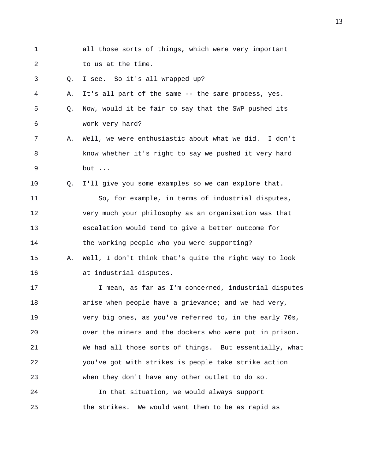| $\mathbf 1$    |    | all those sorts of things, which were very important    |
|----------------|----|---------------------------------------------------------|
| $\overline{a}$ |    | to us at the time.                                      |
| 3              | Q. | I see. So it's all wrapped up?                          |
| 4              | Α. | It's all part of the same -- the same process, yes.     |
| 5              | Q. | Now, would it be fair to say that the SWP pushed its    |
| 6              |    | work very hard?                                         |
| 7              | Α. | Well, we were enthusiastic about what we did. I don't   |
| 8              |    | know whether it's right to say we pushed it very hard   |
| $\mathsf 9$    |    | but                                                     |
| 10             | О. | I'll give you some examples so we can explore that.     |
| 11             |    | So, for example, in terms of industrial disputes,       |
| 12             |    | very much your philosophy as an organisation was that   |
| 13             |    | escalation would tend to give a better outcome for      |
| 14             |    | the working people who you were supporting?             |
| 15             | Α. | Well, I don't think that's quite the right way to look  |
| 16             |    | at industrial disputes.                                 |
| 17             |    | I mean, as far as I'm concerned, industrial disputes    |
| 18             |    | arise when people have a grievance; and we had very,    |
| 19             |    | very big ones, as you've referred to, in the early 70s, |
| 20             |    | over the miners and the dockers who were put in prison. |
| 21             |    | We had all those sorts of things. But essentially, what |
| 22             |    | you've got with strikes is people take strike action    |
| 23             |    | when they don't have any other outlet to do so.         |
| 24             |    | In that situation, we would always support              |
| 25             |    | the strikes. We would want them to be as rapid as       |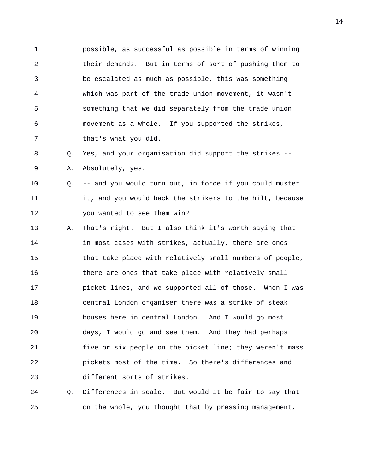1 possible, as successful as possible in terms of winning 2 their demands. But in terms of sort of pushing them to 3 be escalated as much as possible, this was something 4 which was part of the trade union movement, it wasn't 5 something that we did separately from the trade union 6 movement as a whole. If you supported the strikes, 7 that's what you did.

8 Q. Yes, and your organisation did support the strikes -- 9 A. Absolutely, yes.

10 Q. -- and you would turn out, in force if you could muster 11 it, and you would back the strikers to the hilt, because 12 you wanted to see them win?

13 A. That's right. But I also think it's worth saying that 14 **in most cases with strikes, actually, there are ones** 15 that take place with relatively small numbers of people, 16 there are ones that take place with relatively small 17 picket lines, and we supported all of those. When I was 18 central London organiser there was a strike of steak 19 houses here in central London. And I would go most 20 days, I would go and see them. And they had perhaps 21 five or six people on the picket line; they weren't mass 22 pickets most of the time. So there's differences and 23 different sorts of strikes.

24 Q. Differences in scale. But would it be fair to say that 25 on the whole, you thought that by pressing management,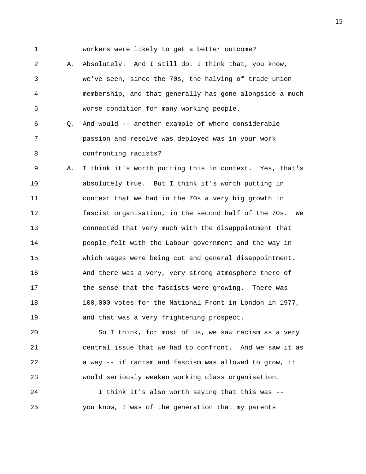1 workers were likely to get a better outcome?

2 A. Absolutely. And I still do. I think that, you know, 3 we've seen, since the 70s, the halving of trade union 4 membership, and that generally has gone alongside a much 5 worse condition for many working people.

6 Q. And would -- another example of where considerable 7 passion and resolve was deployed was in your work 8 confronting racists?

9 A. I think it's worth putting this in context. Yes, that's 10 absolutely true. But I think it's worth putting in 11 context that we had in the 70s a very big growth in 12 fascist organisation, in the second half of the 70s. We 13 connected that very much with the disappointment that 14 people felt with the Labour government and the way in 15 which wages were being cut and general disappointment. 16 And there was a very, very strong atmosphere there of 17 the sense that the fascists were growing. There was 18 100,000 votes for the National Front in London in 1977, 19 and that was a very frightening prospect.

20 So I think, for most of us, we saw racism as a very 21 central issue that we had to confront. And we saw it as 22 a way -- if racism and fascism was allowed to grow, it 23 would seriously weaken working class organisation.

24 I think it's also worth saying that this was -- 25 you know, I was of the generation that my parents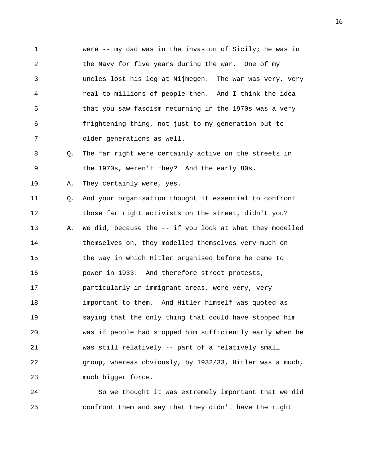1 were -- my dad was in the invasion of Sicily; he was in 2 the Navy for five years during the war. One of my 3 uncles lost his leg at Nijmegen. The war was very, very 4 real to millions of people then. And I think the idea 5 that you saw fascism returning in the 1970s was a very 6 frightening thing, not just to my generation but to 7 older generations as well.

8 Q. The far right were certainly active on the streets in 9 the 1970s, weren't they? And the early 80s.

10 A. They certainly were, yes.

11 Q. And your organisation thought it essential to confront 12 those far right activists on the street, didn't you? 13 A. We did, because the -- if you look at what they modelled 14 themselves on, they modelled themselves very much on 15 the way in which Hitler organised before he came to 16 power in 1933. And therefore street protests, 17 particularly in immigrant areas, were very, very 18 important to them. And Hitler himself was quoted as 19 saying that the only thing that could have stopped him 20 was if people had stopped him sufficiently early when he 21 was still relatively -- part of a relatively small 22 group, whereas obviously, by 1932/33, Hitler was a much, 23 much bigger force.

24 So we thought it was extremely important that we did 25 confront them and say that they didn't have the right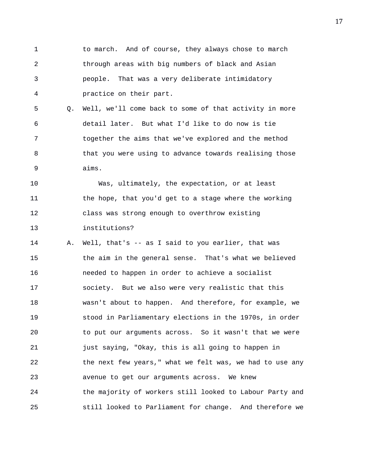1 to march. And of course, they always chose to march 2 through areas with big numbers of black and Asian 3 people. That was a very deliberate intimidatory 4 practice on their part.

5 Q. Well, we'll come back to some of that activity in more 6 detail later. But what I'd like to do now is tie 7 together the aims that we've explored and the method 8 that you were using to advance towards realising those 9 aims.

10 Was, ultimately, the expectation, or at least 11 the hope, that you'd get to a stage where the working 12 class was strong enough to overthrow existing 13 institutions?

14 A. Well, that's -- as I said to you earlier, that was 15 the aim in the general sense. That's what we believed 16 needed to happen in order to achieve a socialist 17 society. But we also were very realistic that this 18 wasn't about to happen. And therefore, for example, we 19 stood in Parliamentary elections in the 1970s, in order 20 to put our arguments across. So it wasn't that we were 21 just saying, "Okay, this is all going to happen in 22 the next few years," what we felt was, we had to use any 23 avenue to get our arguments across. We knew 24 the majority of workers still looked to Labour Party and 25 still looked to Parliament for change. And therefore we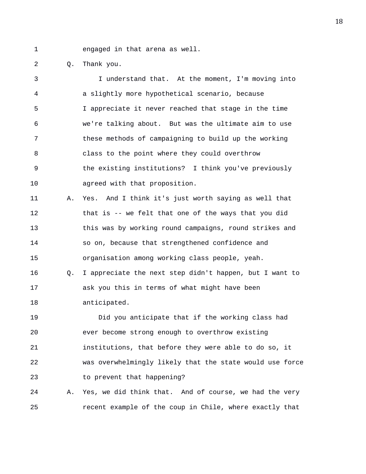1 engaged in that arena as well.

2 Q. Thank you.

3 I understand that. At the moment, I'm moving into 4 a slightly more hypothetical scenario, because 5 I appreciate it never reached that stage in the time 6 we're talking about. But was the ultimate aim to use 7 these methods of campaigning to build up the working 8 class to the point where they could overthrow 9 the existing institutions? I think you've previously 10 agreed with that proposition. 11 A. Yes. And I think it's just worth saying as well that 12 that is -- we felt that one of the ways that you did 13 this was by working round campaigns, round strikes and 14 so on, because that strengthened confidence and 15 organisation among working class people, yeah. 16 Q. I appreciate the next step didn't happen, but I want to 17 ask you this in terms of what might have been 18 anticipated. 19 Did you anticipate that if the working class had 20 ever become strong enough to overthrow existing 21 institutions, that before they were able to do so, it 22 was overwhelmingly likely that the state would use force 23 to prevent that happening? 24 A. Yes, we did think that. And of course, we had the very 25 recent example of the coup in Chile, where exactly that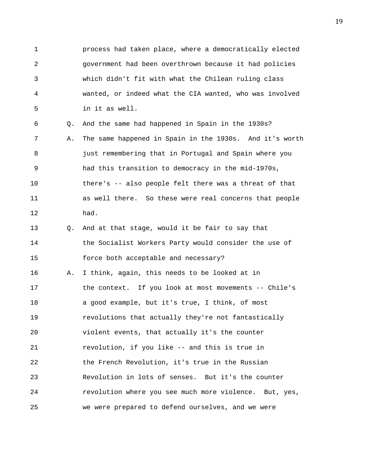1 process had taken place, where a democratically elected 2 government had been overthrown because it had policies 3 which didn't fit with what the Chilean ruling class 4 wanted, or indeed what the CIA wanted, who was involved 5 in it as well.

6 Q. And the same had happened in Spain in the 1930s? 7 A. The same happened in Spain in the 1930s. And it's worth 8 just remembering that in Portugal and Spain where you 9 had this transition to democracy in the mid-1970s, 10 there's -- also people felt there was a threat of that 11 as well there. So these were real concerns that people 12 had.

13 Q. And at that stage, would it be fair to say that 14 the Socialist Workers Party would consider the use of 15 force both acceptable and necessary?

16 A. I think, again, this needs to be looked at in 17 the context. If you look at most movements -- Chile's 18 a good example, but it's true, I think, of most 19 revolutions that actually they're not fantastically 20 violent events, that actually it's the counter 21 revolution, if you like -- and this is true in 22 the French Revolution, it's true in the Russian 23 Revolution in lots of senses. But it's the counter 24 revolution where you see much more violence. But, yes, 25 we were prepared to defend ourselves, and we were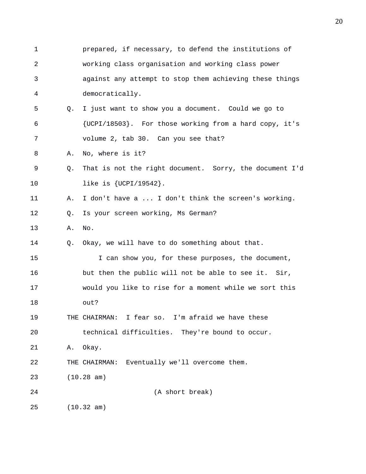1 prepared, if necessary, to defend the institutions of 2 working class organisation and working class power 3 against any attempt to stop them achieving these things 4 democratically. 5 Q. I just want to show you a document. Could we go to 6 {UCPI/18503}. For those working from a hard copy, it's 7 volume 2, tab 30. Can you see that? 8 A. No, where is it? 9 Q. That is not the right document. Sorry, the document I'd 10 like is {UCPI/19542}. 11 A. I don't have a ... I don't think the screen's working. 12 Q. Is your screen working, Ms German? 13 A. No. 14 Q. Okay, we will have to do something about that. 15 I can show you, for these purposes, the document, 16 but then the public will not be able to see it. Sir, 17 would you like to rise for a moment while we sort this 18 out? 19 THE CHAIRMAN: I fear so. I'm afraid we have these 20 technical difficulties. They're bound to occur. 21 A. Okay. 22 THE CHAIRMAN: Eventually we'll overcome them. 23 (10.28 am) 24 (A short break) 25 (10.32 am)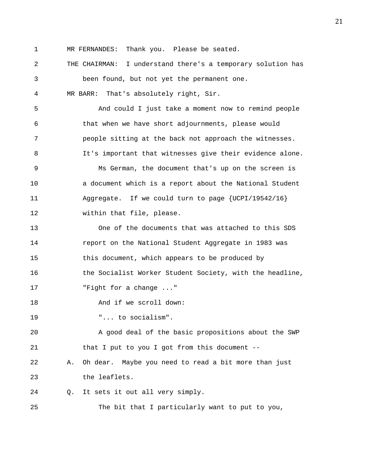1 MR FERNANDES: Thank you. Please be seated.

2 THE CHAIRMAN: I understand there's a temporary solution has

3 been found, but not yet the permanent one. 4 MR BARR: That's absolutely right, Sir.

5 And could I just take a moment now to remind people 6 that when we have short adjournments, please would 7 people sitting at the back not approach the witnesses. 8 It's important that witnesses give their evidence alone. 9 Ms German, the document that's up on the screen is 10 a document which is a report about the National Student 11 Aggregate. If we could turn to page {UCPI/19542/16} 12 within that file, please. 13 One of the documents that was attached to this SDS 14 report on the National Student Aggregate in 1983 was 15 this document, which appears to be produced by 16 the Socialist Worker Student Society, with the headline, 17 Fight for a change ..." 18 And if we scroll down: 19 "... to socialism". 20 A good deal of the basic propositions about the SWP 21 that I put to you I got from this document -- 22 A. Oh dear. Maybe you need to read a bit more than just 23 the leaflets. 24 Q. It sets it out all very simply. 25 The bit that I particularly want to put to you,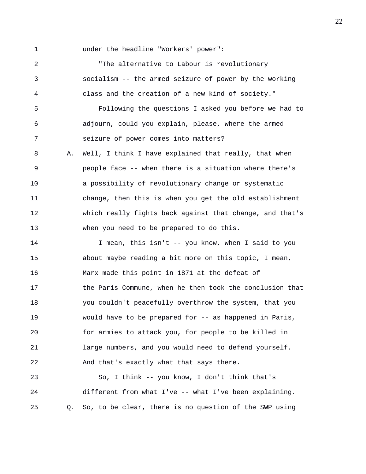1 under the headline "Workers' power":

2 "The alternative to Labour is revolutionary 3 socialism -- the armed seizure of power by the working 4 class and the creation of a new kind of society." 5 Following the questions I asked you before we had to 6 adjourn, could you explain, please, where the armed 7 seizure of power comes into matters? 8 A. Well, I think I have explained that really, that when 9 people face -- when there is a situation where there's 10 a possibility of revolutionary change or systematic 11 change, then this is when you get the old establishment 12 which really fights back against that change, and that's 13 when you need to be prepared to do this. 14 I mean, this isn't -- you know, when I said to you 15 about maybe reading a bit more on this topic, I mean, 16 Marx made this point in 1871 at the defeat of 17 the Paris Commune, when he then took the conclusion that 18 you couldn't peacefully overthrow the system, that you 19 would have to be prepared for -- as happened in Paris, 20 for armies to attack you, for people to be killed in 21 large numbers, and you would need to defend yourself. 22 And that's exactly what that says there. 23 So, I think -- you know, I don't think that's 24 different from what I've -- what I've been explaining. 25 Q. So, to be clear, there is no question of the SWP using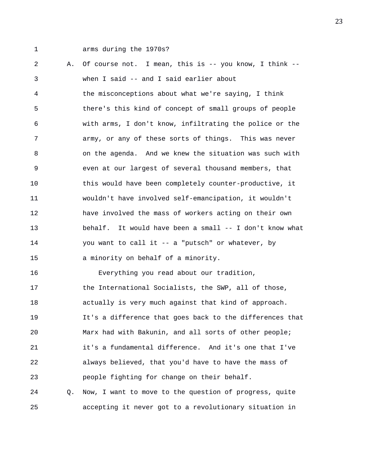1 arms during the 1970s?

2 A. Of course not. I mean, this is -- you know, I think -- 3 when I said -- and I said earlier about 4 the misconceptions about what we're saying, I think 5 there's this kind of concept of small groups of people 6 with arms, I don't know, infiltrating the police or the 7 army, or any of these sorts of things. This was never 8 on the agenda. And we knew the situation was such with 9 even at our largest of several thousand members, that 10 this would have been completely counter-productive, it 11 wouldn't have involved self-emancipation, it wouldn't 12 have involved the mass of workers acting on their own 13 behalf. It would have been a small -- I don't know what 14 you want to call it -- a "putsch" or whatever, by 15 a minority on behalf of a minority. 16 Everything you read about our tradition, 17 the International Socialists, the SWP, all of those, 18 actually is very much against that kind of approach. 19 It's a difference that goes back to the differences that 20 Marx had with Bakunin, and all sorts of other people; 21 it's a fundamental difference. And it's one that I've 22 always believed, that you'd have to have the mass of 23 people fighting for change on their behalf. 24 Q. Now, I want to move to the question of progress, quite 25 accepting it never got to a revolutionary situation in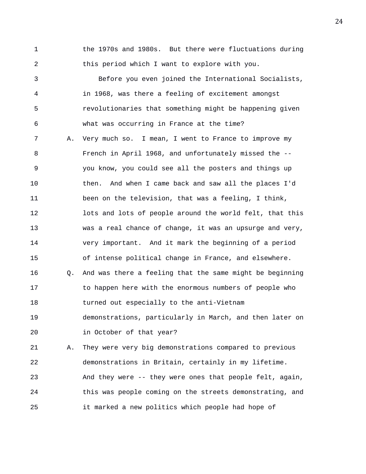1 the 1970s and 1980s. But there were fluctuations during 2 this period which I want to explore with you.

3 Before you even joined the International Socialists, 4 in 1968, was there a feeling of excitement amongst 5 revolutionaries that something might be happening given 6 what was occurring in France at the time? 7 A. Very much so. I mean, I went to France to improve my 8 French in April 1968, and unfortunately missed the -- 9 you know, you could see all the posters and things up 10 then. And when I came back and saw all the places I'd 11 been on the television, that was a feeling, I think, 12 lots and lots of people around the world felt, that this 13 was a real chance of change, it was an upsurge and very, 14 very important. And it mark the beginning of a period 15 of intense political change in France, and elsewhere. 16 Q. And was there a feeling that the same might be beginning 17 to happen here with the enormous numbers of people who 18 turned out especially to the anti-Vietnam 19 demonstrations, particularly in March, and then later on 20 in October of that year? 21 A. They were very big demonstrations compared to previous 22 demonstrations in Britain, certainly in my lifetime. 23 And they were -- they were ones that people felt, again,

24 this was people coming on the streets demonstrating, and

25 it marked a new politics which people had hope of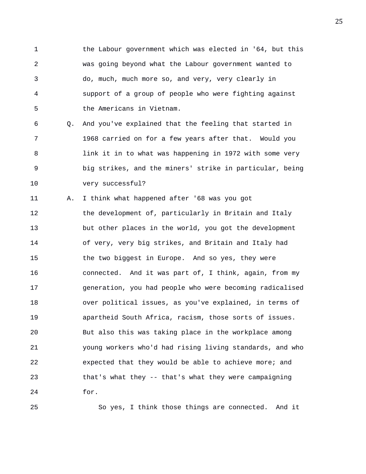1 the Labour government which was elected in '64, but this 2 was going beyond what the Labour government wanted to 3 do, much, much more so, and very, very clearly in 4 support of a group of people who were fighting against 5 the Americans in Vietnam.

6 Q. And you've explained that the feeling that started in 7 1968 carried on for a few years after that. Would you 8 link it in to what was happening in 1972 with some very 9 big strikes, and the miners' strike in particular, being 10 very successful?

11 A. I think what happened after '68 was you got 12 the development of, particularly in Britain and Italy 13 but other places in the world, you got the development 14 of very, very big strikes, and Britain and Italy had 15 the two biggest in Europe. And so yes, they were 16 connected. And it was part of, I think, again, from my 17 generation, you had people who were becoming radicalised 18 over political issues, as you've explained, in terms of 19 apartheid South Africa, racism, those sorts of issues. 20 But also this was taking place in the workplace among 21 young workers who'd had rising living standards, and who 22 expected that they would be able to achieve more; and 23 that's what they -- that's what they were campaigning 24 for.

25 So yes, I think those things are connected. And it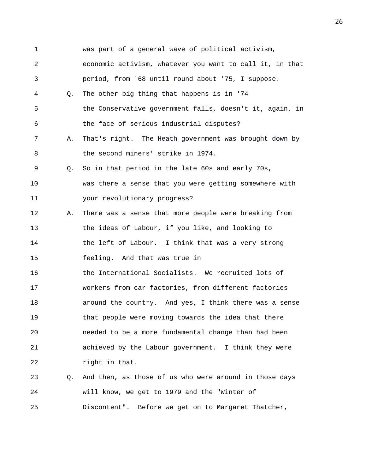| $\mathbf 1$ |    | was part of a general wave of political activism,        |
|-------------|----|----------------------------------------------------------|
| 2           |    | economic activism, whatever you want to call it, in that |
| 3           |    | period, from '68 until round about '75, I suppose.       |
| 4           | O. | The other big thing that happens is in '74               |
| 5           |    | the Conservative government falls, doesn't it, again, in |
| 6           |    | the face of serious industrial disputes?                 |
| 7           | Α. | That's right. The Heath government was brought down by   |
| 8           |    | the second miners' strike in 1974.                       |
| 9           | 0. | So in that period in the late 60s and early 70s,         |
| 10          |    | was there a sense that you were getting somewhere with   |
| 11          |    | your revolutionary progress?                             |
| 12          | Α. | There was a sense that more people were breaking from    |
| 13          |    | the ideas of Labour, if you like, and looking to         |
| 14          |    | the left of Labour. I think that was a very strong       |
| 15          |    | feeling. And that was true in                            |
| 16          |    | the International Socialists. We recruited lots of       |
| 17          |    | workers from car factories, from different factories     |
| 18          |    | around the country. And yes, I think there was a sense   |
| 19          |    | that people were moving towards the idea that there      |
| 20          |    | needed to be a more fundamental change than had been     |
| 21          |    | achieved by the Labour government. I think they were     |
| 22          |    | right in that.                                           |
| 23          | Q. | And then, as those of us who were around in those days   |
| 24          |    | will know, we get to 1979 and the "Winter of             |
| 25          |    | Discontent". Before we get on to Margaret Thatcher,      |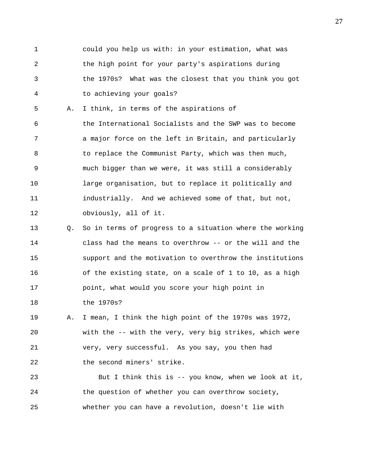1 could you help us with: in your estimation, what was 2 the high point for your party's aspirations during 3 the 1970s? What was the closest that you think you got 4 to achieving your goals?

5 A. I think, in terms of the aspirations of 6 the International Socialists and the SWP was to become 7 a major force on the left in Britain, and particularly 8 to replace the Communist Party, which was then much, 9 much bigger than we were, it was still a considerably 10 large organisation, but to replace it politically and 11 industrially. And we achieved some of that, but not, 12 obviously, all of it.

13 Q. So in terms of progress to a situation where the working 14 class had the means to overthrow -- or the will and the 15 support and the motivation to overthrow the institutions 16 of the existing state, on a scale of 1 to 10, as a high 17 point, what would you score your high point in 18 the 1970s?

19 A. I mean, I think the high point of the 1970s was 1972, 20 with the -- with the very, very big strikes, which were 21 very, very successful. As you say, you then had 22 the second miners' strike.

23 But I think this is -- you know, when we look at it, 24 the question of whether you can overthrow society, 25 whether you can have a revolution, doesn't lie with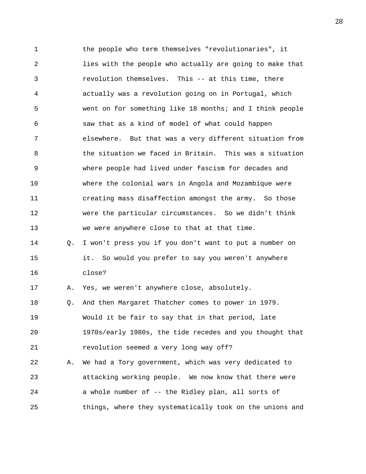1 the people who term themselves "revolutionaries", it 2 lies with the people who actually are going to make that 3 revolution themselves. This -- at this time, there 4 actually was a revolution going on in Portugal, which 5 went on for something like 18 months; and I think people 6 saw that as a kind of model of what could happen 7 elsewhere. But that was a very different situation from 8 the situation we faced in Britain. This was a situation 9 where people had lived under fascism for decades and 10 where the colonial wars in Angola and Mozambique were 11 creating mass disaffection amongst the army. So those 12 were the particular circumstances. So we didn't think 13 we were anywhere close to that at that time. 14 Q. I won't press you if you don't want to put a number on 15 it. So would you prefer to say you weren't anywhere 16 close? 17 A. Yes, we weren't anywhere close, absolutely. 18 Q. And then Margaret Thatcher comes to power in 1979. 19 Would it be fair to say that in that period, late 20 1970s/early 1980s, the tide recedes and you thought that 21 revolution seemed a very long way off? 22 A. We had a Tory government, which was very dedicated to 23 attacking working people. We now know that there were 24 a whole number of -- the Ridley plan, all sorts of 25 things, where they systematically took on the unions and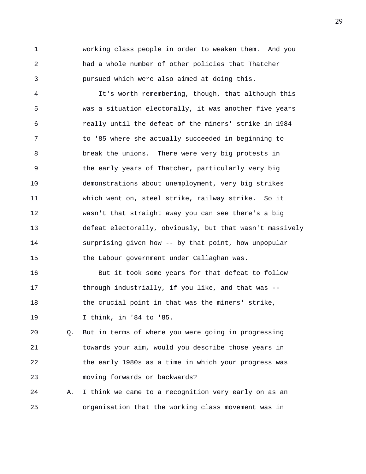1 working class people in order to weaken them. And you 2 had a whole number of other policies that Thatcher 3 pursued which were also aimed at doing this.

4 It's worth remembering, though, that although this 5 was a situation electorally, it was another five years 6 really until the defeat of the miners' strike in 1984 7 to '85 where she actually succeeded in beginning to 8 break the unions. There were very big protests in 9 the early years of Thatcher, particularly very big 10 demonstrations about unemployment, very big strikes 11 which went on, steel strike, railway strike. So it 12 wasn't that straight away you can see there's a big 13 defeat electorally, obviously, but that wasn't massively 14 surprising given how -- by that point, how unpopular 15 the Labour government under Callaghan was.

16 But it took some years for that defeat to follow 17 through industrially, if you like, and that was -- 18 the crucial point in that was the miners' strike, 19 I think, in '84 to '85.

20 Q. But in terms of where you were going in progressing 21 towards your aim, would you describe those years in 22 the early 1980s as a time in which your progress was 23 moving forwards or backwards?

24 A. I think we came to a recognition very early on as an 25 organisation that the working class movement was in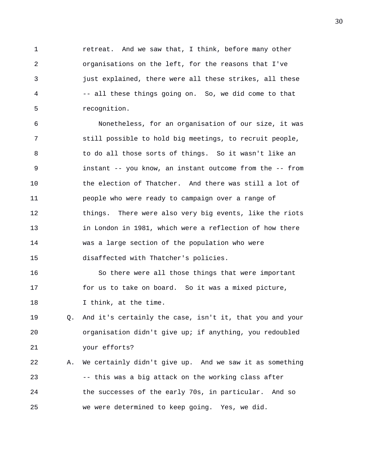1 retreat. And we saw that, I think, before many other 2 organisations on the left, for the reasons that I've 3 just explained, there were all these strikes, all these 4 -- all these things going on. So, we did come to that 5 recognition.

6 Nonetheless, for an organisation of our size, it was 7 still possible to hold big meetings, to recruit people, 8 to do all those sorts of things. So it wasn't like an 9 instant -- you know, an instant outcome from the -- from 10 the election of Thatcher. And there was still a lot of 11 people who were ready to campaign over a range of 12 things. There were also very big events, like the riots 13 in London in 1981, which were a reflection of how there 14 was a large section of the population who were 15 disaffected with Thatcher's policies.

16 So there were all those things that were important 17 for us to take on board. So it was a mixed picture, 18 I think, at the time.

19 Q. And it's certainly the case, isn't it, that you and your 20 organisation didn't give up; if anything, you redoubled 21 your efforts?

22 A. We certainly didn't give up. And we saw it as something 23 -- this was a big attack on the working class after 24 the successes of the early 70s, in particular. And so 25 we were determined to keep going. Yes, we did.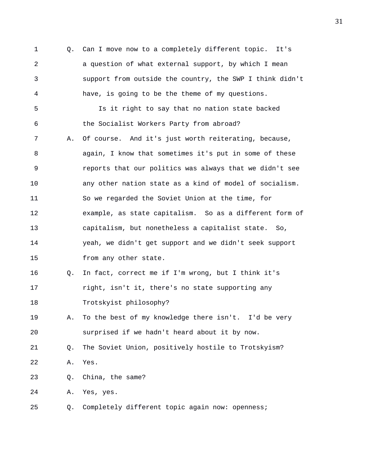1 Q. Can I move now to a completely different topic. It's 2 a question of what external support, by which I mean 3 support from outside the country, the SWP I think didn't 4 have, is going to be the theme of my questions. 5 Is it right to say that no nation state backed 6 the Socialist Workers Party from abroad? 7 A. Of course. And it's just worth reiterating, because, 8 again, I know that sometimes it's put in some of these 9 reports that our politics was always that we didn't see 10 any other nation state as a kind of model of socialism. 11 So we regarded the Soviet Union at the time, for 12 example, as state capitalism. So as a different form of 13 capitalism, but nonetheless a capitalist state. So, 14 yeah, we didn't get support and we didn't seek support 15 from any other state. 16 Q. In fact, correct me if I'm wrong, but I think it's 17 right, isn't it, there's no state supporting any 18 Trotskyist philosophy? 19 A. To the best of my knowledge there isn't. I'd be very 20 surprised if we hadn't heard about it by now. 21 Q. The Soviet Union, positively hostile to Trotskyism? 22 A. Yes. 23 Q. China, the same? 24 A. Yes, yes. 25 Q. Completely different topic again now: openness;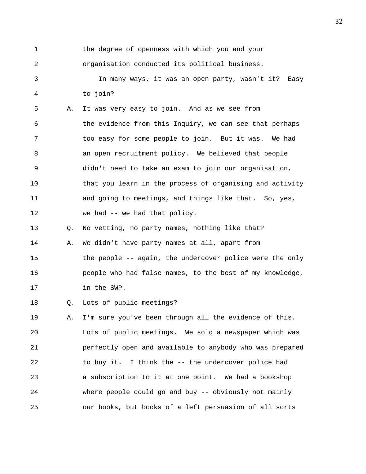1 the degree of openness with which you and your 2 organisation conducted its political business. 3 In many ways, it was an open party, wasn't it? Easy 4 to join?

5 A. It was very easy to join. And as we see from 6 the evidence from this Inquiry, we can see that perhaps 7 too easy for some people to join. But it was. We had 8 an open recruitment policy. We believed that people 9 didn't need to take an exam to join our organisation, 10 that you learn in the process of organising and activity 11 and going to meetings, and things like that. So, yes, 12 we had -- we had that policy.

13 Q. No vetting, no party names, nothing like that?

14 A. We didn't have party names at all, apart from 15 the people -- again, the undercover police were the only 16 people who had false names, to the best of my knowledge, 17 in the SWP.

18 Q. Lots of public meetings?

19 A. I'm sure you've been through all the evidence of this. 20 Lots of public meetings. We sold a newspaper which was 21 perfectly open and available to anybody who was prepared 22 to buy it. I think the -- the undercover police had 23 a subscription to it at one point. We had a bookshop 24 where people could go and buy -- obviously not mainly 25 our books, but books of a left persuasion of all sorts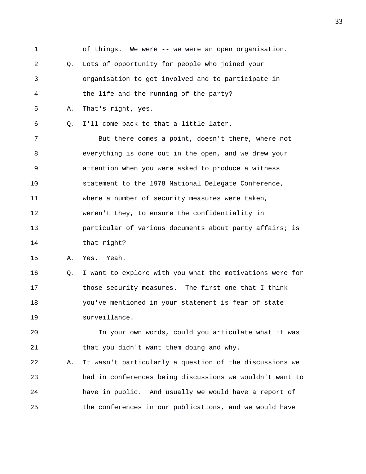1 of things. We were -- we were an open organisation. 2 Q. Lots of opportunity for people who joined your 3 organisation to get involved and to participate in 4 the life and the running of the party? 5 A. That's right, yes. 6 Q. I'll come back to that a little later. 7 But there comes a point, doesn't there, where not 8 everything is done out in the open, and we drew your 9 attention when you were asked to produce a witness 10 statement to the 1978 National Delegate Conference, 11 where a number of security measures were taken, 12 weren't they, to ensure the confidentiality in 13 particular of various documents about party affairs; is 14 that right? 15 A. Yes. Yeah. 16 Q. I want to explore with you what the motivations were for 17 those security measures. The first one that I think 18 you've mentioned in your statement is fear of state 19 surveillance. 20 In your own words, could you articulate what it was 21 that you didn't want them doing and why. 22 A. It wasn't particularly a question of the discussions we 23 had in conferences being discussions we wouldn't want to 24 have in public. And usually we would have a report of 25 the conferences in our publications, and we would have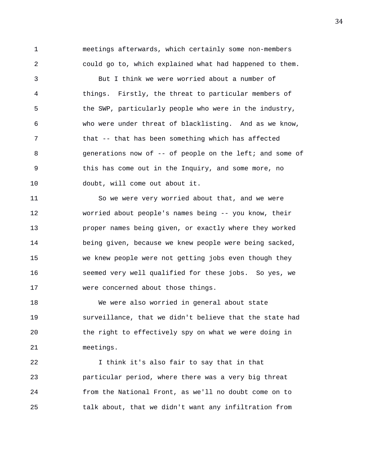1 meetings afterwards, which certainly some non-members 2 could go to, which explained what had happened to them.

3 But I think we were worried about a number of 4 things. Firstly, the threat to particular members of 5 the SWP, particularly people who were in the industry, 6 who were under threat of blacklisting. And as we know, 7 that -- that has been something which has affected 8 generations now of -- of people on the left; and some of 9 this has come out in the Inquiry, and some more, no 10 doubt, will come out about it.

11 So we were very worried about that, and we were 12 worried about people's names being -- you know, their 13 proper names being given, or exactly where they worked 14 being given, because we knew people were being sacked, 15 we knew people were not getting jobs even though they 16 seemed very well qualified for these jobs. So yes, we 17 were concerned about those things.

18 We were also worried in general about state 19 surveillance, that we didn't believe that the state had 20 the right to effectively spy on what we were doing in 21 meetings.

22 I think it's also fair to say that in that 23 particular period, where there was a very big threat 24 from the National Front, as we'll no doubt come on to 25 talk about, that we didn't want any infiltration from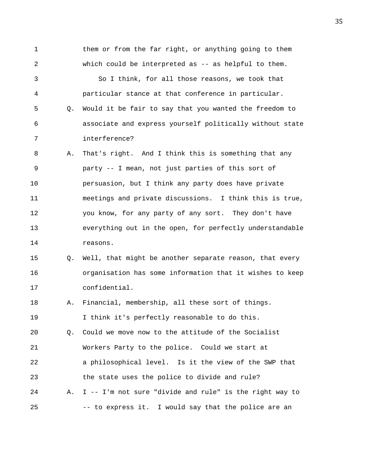1 them or from the far right, or anything going to them 2 which could be interpreted as -- as helpful to them. 3 So I think, for all those reasons, we took that 4 particular stance at that conference in particular. 5 Q. Would it be fair to say that you wanted the freedom to 6 associate and express yourself politically without state 7 interference? 8 A. That's right. And I think this is something that any 9 party -- I mean, not just parties of this sort of 10 persuasion, but I think any party does have private 11 meetings and private discussions. I think this is true, 12 you know, for any party of any sort. They don't have 13 everything out in the open, for perfectly understandable 14 reasons. 15 Q. Well, that might be another separate reason, that every 16 organisation has some information that it wishes to keep 17 confidential. 18 A. Financial, membership, all these sort of things. 19 I think it's perfectly reasonable to do this. 20 Q. Could we move now to the attitude of the Socialist 21 Workers Party to the police. Could we start at 22 a philosophical level. Is it the view of the SWP that 23 the state uses the police to divide and rule? 24 A. I -- I'm not sure "divide and rule" is the right way to

25 -- to express it. I would say that the police are an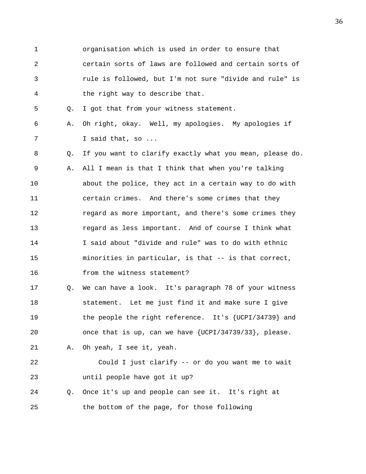1 organisation which is used in order to ensure that 2 certain sorts of laws are followed and certain sorts of 3 rule is followed, but I'm not sure "divide and rule" is 4 the right way to describe that.

5 Q. I got that from your witness statement.

6 A. Oh right, okay. Well, my apologies. My apologies if 7 I said that, so ...

8 Q. If you want to clarify exactly what you mean, please do. 9 A. All I mean is that I think that when you're talking 10 about the police, they act in a certain way to do with 11 certain crimes. And there's some crimes that they 12 regard as more important, and there's some crimes they 13 regard as less important. And of course I think what 14 I said about "divide and rule" was to do with ethnic 15 minorities in particular, is that -- is that correct, 16 from the witness statement?

17 Q. We can have a look. It's paragraph 78 of your witness 18 statement. Let me just find it and make sure I give 19 the people the right reference. It's {UCPI/34739} and 20 once that is up, can we have {UCPI/34739/33}, please. 21 A. Oh yeah, I see it, yeah.

22 Could I just clarify -- or do you want me to wait 23 until people have got it up? 24 Q. Once it's up and people can see it. It's right at

25 the bottom of the page, for those following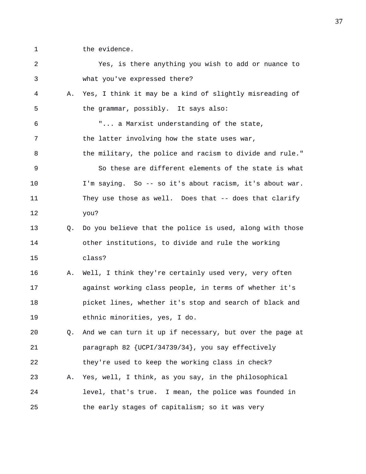1 the evidence.

| 2  |    | Yes, is there anything you wish to add or nuance to      |
|----|----|----------------------------------------------------------|
| 3  |    | what you've expressed there?                             |
| 4  | Α. | Yes, I think it may be a kind of slightly misreading of  |
| 5  |    | the grammar, possibly. It says also:                     |
| 6  |    | " a Marxist understanding of the state,                  |
| 7  |    | the latter involving how the state uses war,             |
| 8  |    | the military, the police and racism to divide and rule." |
| 9  |    | So these are different elements of the state is what     |
| 10 |    | I'm saying. So -- so it's about racism, it's about war.  |
| 11 |    | They use those as well. Does that -- does that clarify   |
| 12 |    | you?                                                     |
| 13 | О. | Do you believe that the police is used, along with those |
| 14 |    | other institutions, to divide and rule the working       |
| 15 |    | class?                                                   |
| 16 | Α. | Well, I think they're certainly used very, very often    |
| 17 |    | against working class people, in terms of whether it's   |
| 18 |    | picket lines, whether it's stop and search of black and  |
| 19 |    | ethnic minorities, yes, I do.                            |
| 20 | Q. | And we can turn it up if necessary, but over the page at |
| 21 |    | paragraph 82 {UCPI/34739/34}, you say effectively        |
| 22 |    | they're used to keep the working class in check?         |
| 23 | Α. | Yes, well, I think, as you say, in the philosophical     |
| 24 |    | level, that's true. I mean, the police was founded in    |
| 25 |    | the early stages of capitalism; so it was very           |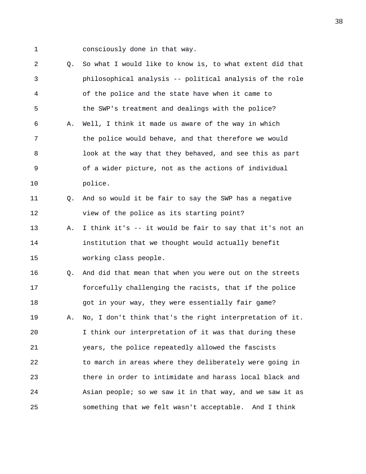1 consciously done in that way.

2 Q. So what I would like to know is, to what extent did that 3 philosophical analysis -- political analysis of the role 4 of the police and the state have when it came to 5 the SWP's treatment and dealings with the police? 6 A. Well, I think it made us aware of the way in which 7 the police would behave, and that therefore we would 8 look at the way that they behaved, and see this as part 9 of a wider picture, not as the actions of individual 10 police. 11 Q. And so would it be fair to say the SWP has a negative 12 view of the police as its starting point? 13 A. I think it's -- it would be fair to say that it's not an 14 institution that we thought would actually benefit 15 working class people. 16 Q. And did that mean that when you were out on the streets 17 forcefully challenging the racists, that if the police 18 got in your way, they were essentially fair game? 19 A. No, I don't think that's the right interpretation of it. 20 I think our interpretation of it was that during these 21 years, the police repeatedly allowed the fascists 22 to march in areas where they deliberately were going in 23 there in order to intimidate and harass local black and 24 Asian people; so we saw it in that way, and we saw it as 25 something that we felt wasn't acceptable. And I think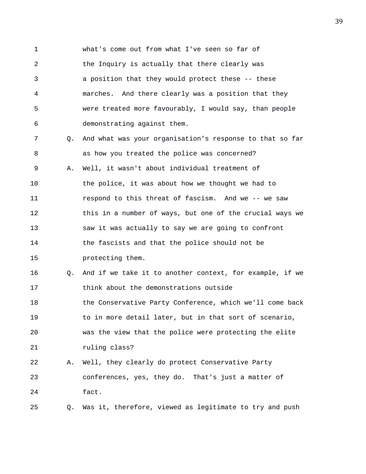1 what's come out from what I've seen so far of 2 the Inquiry is actually that there clearly was 3 a position that they would protect these -- these 4 marches. And there clearly was a position that they 5 were treated more favourably, I would say, than people 6 demonstrating against them. 7 Q. And what was your organisation's response to that so far 8 as how you treated the police was concerned? 9 A. Well, it wasn't about individual treatment of 10 the police, it was about how we thought we had to 11 respond to this threat of fascism. And we -- we saw 12 this in a number of ways, but one of the crucial ways we 13 saw it was actually to say we are going to confront 14 the fascists and that the police should not be 15 protecting them. 16 Q. And if we take it to another context, for example, if we 17 think about the demonstrations outside 18 the Conservative Party Conference, which we'll come back 19 to in more detail later, but in that sort of scenario, 20 was the view that the police were protecting the elite 21 ruling class? 22 A. Well, they clearly do protect Conservative Party 23 conferences, yes, they do. That's just a matter of 24 fact. 25 Q. Was it, therefore, viewed as legitimate to try and push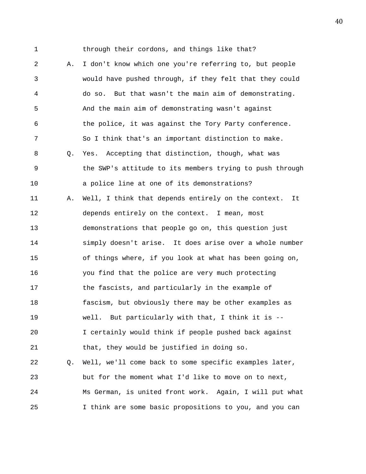1 through their cordons, and things like that? 2 A. I don't know which one you're referring to, but people 3 would have pushed through, if they felt that they could 4 do so. But that wasn't the main aim of demonstrating. 5 And the main aim of demonstrating wasn't against 6 the police, it was against the Tory Party conference. 7 So I think that's an important distinction to make. 8 Q. Yes. Accepting that distinction, though, what was 9 the SWP's attitude to its members trying to push through 10 a police line at one of its demonstrations? 11 A. Well, I think that depends entirely on the context. It 12 depends entirely on the context. I mean, most 13 demonstrations that people go on, this question just 14 simply doesn't arise. It does arise over a whole number 15 of things where, if you look at what has been going on, 16 you find that the police are very much protecting 17 the fascists, and particularly in the example of 18 fascism, but obviously there may be other examples as 19 well. But particularly with that, I think it is -- 20 I certainly would think if people pushed back against 21 that, they would be justified in doing so. 22 Q. Well, we'll come back to some specific examples later, 23 but for the moment what I'd like to move on to next, 24 Ms German, is united front work. Again, I will put what 25 I think are some basic propositions to you, and you can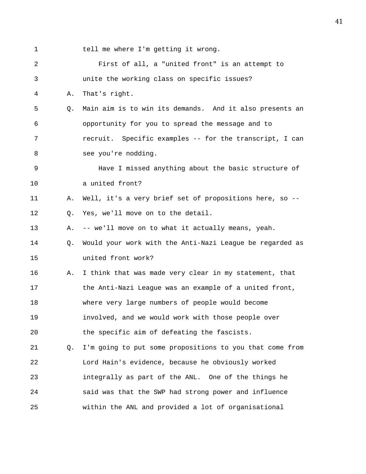| $\mathbf 1$ |    | tell me where I'm getting it wrong.                      |
|-------------|----|----------------------------------------------------------|
| 2           |    | First of all, a "united front" is an attempt to          |
| 3           |    | unite the working class on specific issues?              |
| 4           | Α. | That's right.                                            |
| 5           | Q. | Main aim is to win its demands. And it also presents an  |
| 6           |    | opportunity for you to spread the message and to         |
| 7           |    | recruit. Specific examples -- for the transcript, I can  |
| 8           |    | see you're nodding.                                      |
| 9           |    | Have I missed anything about the basic structure of      |
| 10          |    | a united front?                                          |
| 11          | Α. | Well, it's a very brief set of propositions here, so --  |
| 12          | Q. | Yes, we'll move on to the detail.                        |
| 13          | Α. | -- we'll move on to what it actually means, yeah.        |
| 14          | Q. | Would your work with the Anti-Nazi League be regarded as |
| 15          |    | united front work?                                       |
| 16          | Α. | I think that was made very clear in my statement, that   |
| 17          |    | the Anti-Nazi League was an example of a united front,   |
| 18          |    | where very large numbers of people would become          |
| 19          |    | involved, and we would work with those people over       |
| 20          |    | the specific aim of defeating the fascists.              |
| 21          | Q. | I'm going to put some propositions to you that come from |
| 22          |    | Lord Hain's evidence, because he obviously worked        |
| 23          |    | integrally as part of the ANL. One of the things he      |
| 24          |    | said was that the SWP had strong power and influence     |
| 25          |    | within the ANL and provided a lot of organisational      |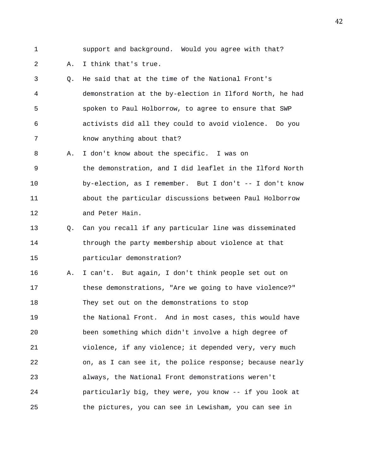- 
- 1 support and background. Would you agree with that?

## 2 A. I think that's true.

- 3 Q. He said that at the time of the National Front's 4 demonstration at the by-election in Ilford North, he had 5 spoken to Paul Holborrow, to agree to ensure that SWP 6 activists did all they could to avoid violence. Do you 7 know anything about that?
- 8 A. I don't know about the specific. I was on 9 the demonstration, and I did leaflet in the Ilford North 10 by-election, as I remember. But I don't -- I don't know 11 about the particular discussions between Paul Holborrow 12 and Peter Hain.
- 13 Q. Can you recall if any particular line was disseminated 14 through the party membership about violence at that 15 particular demonstration?
- 16 A. I can't. But again, I don't think people set out on 17 these demonstrations, "Are we going to have violence?" 18 They set out on the demonstrations to stop 19 the National Front. And in most cases, this would have 20 been something which didn't involve a high degree of 21 violence, if any violence; it depended very, very much 22 on, as I can see it, the police response; because nearly 23 always, the National Front demonstrations weren't 24 particularly big, they were, you know -- if you look at 25 the pictures, you can see in Lewisham, you can see in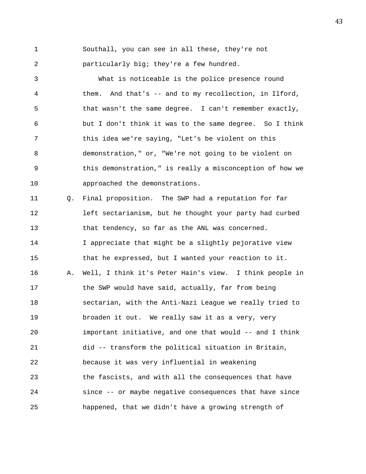1 Southall, you can see in all these, they're not 2 particularly big; they're a few hundred.

3 What is noticeable is the police presence round 4 them. And that's -- and to my recollection, in Ilford, 5 that wasn't the same degree. I can't remember exactly, 6 but I don't think it was to the same degree. So I think 7 this idea we're saying, "Let's be violent on this 8 demonstration," or, "We're not going to be violent on 9 this demonstration," is really a misconception of how we 10 approached the demonstrations.

11 Q. Final proposition. The SWP had a reputation for far 12 left sectarianism, but he thought your party had curbed 13 that tendency, so far as the ANL was concerned. 14 I appreciate that might be a slightly pejorative view 15 that he expressed, but I wanted your reaction to it. 16 A. Well, I think it's Peter Hain's view. I think people in 17 the SWP would have said, actually, far from being 18 sectarian, with the Anti-Nazi League we really tried to 19 broaden it out. We really saw it as a very, very 20 important initiative, and one that would -- and I think 21 did -- transform the political situation in Britain, 22 because it was very influential in weakening 23 the fascists, and with all the consequences that have 24 since -- or maybe negative consequences that have since 25 happened, that we didn't have a growing strength of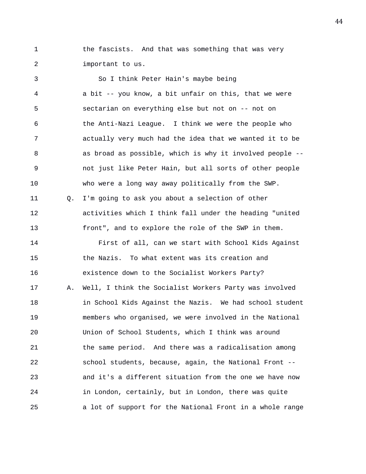1 the fascists. And that was something that was very 2 important to us.

3 So I think Peter Hain's maybe being 4 a bit -- you know, a bit unfair on this, that we were 5 sectarian on everything else but not on -- not on 6 the Anti-Nazi League. I think we were the people who 7 actually very much had the idea that we wanted it to be 8 as broad as possible, which is why it involved people -- 9 not just like Peter Hain, but all sorts of other people 10 who were a long way away politically from the SWP. 11 Q. I'm going to ask you about a selection of other 12 activities which I think fall under the heading "united 13 front", and to explore the role of the SWP in them. 14 First of all, can we start with School Kids Against 15 the Nazis. To what extent was its creation and 16 existence down to the Socialist Workers Party? 17 A. Well, I think the Socialist Workers Party was involved 18 in School Kids Against the Nazis. We had school student 19 members who organised, we were involved in the National 20 Union of School Students, which I think was around 21 the same period. And there was a radicalisation among 22 school students, because, again, the National Front -- 23 and it's a different situation from the one we have now 24 in London, certainly, but in London, there was quite 25 a lot of support for the National Front in a whole range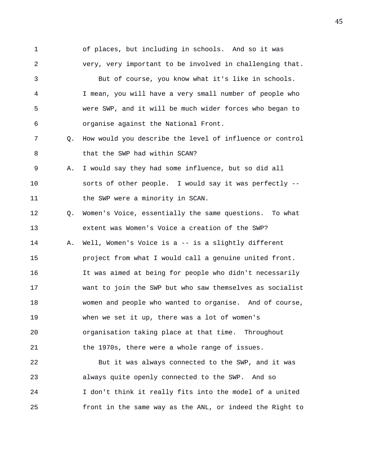1 of places, but including in schools. And so it was 2 very, very important to be involved in challenging that. 3 But of course, you know what it's like in schools. 4 I mean, you will have a very small number of people who 5 were SWP, and it will be much wider forces who began to 6 organise against the National Front. 7 Q. How would you describe the level of influence or control 8 that the SWP had within SCAN? 9 A. I would say they had some influence, but so did all 10 sorts of other people. I would say it was perfectly -- 11 the SWP were a minority in SCAN. 12 Q. Women's Voice, essentially the same questions. To what 13 extent was Women's Voice a creation of the SWP? 14 A. Well, Women's Voice is a -- is a slightly different 15 project from what I would call a genuine united front. 16 It was aimed at being for people who didn't necessarily 17 want to join the SWP but who saw themselves as socialist 18 women and people who wanted to organise. And of course, 19 when we set it up, there was a lot of women's 20 organisation taking place at that time. Throughout 21 the 1970s, there were a whole range of issues. 22 But it was always connected to the SWP, and it was 23 always quite openly connected to the SWP. And so 24 I don't think it really fits into the model of a united

25 front in the same way as the ANL, or indeed the Right to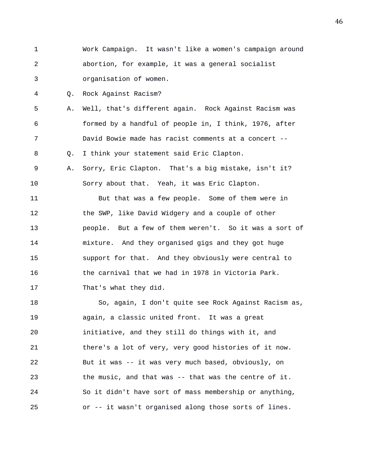1 Work Campaign. It wasn't like a women's campaign around 2 abortion, for example, it was a general socialist 3 organisation of women.

4 Q. Rock Against Racism?

5 A. Well, that's different again. Rock Against Racism was 6 formed by a handful of people in, I think, 1976, after 7 David Bowie made has racist comments at a concert -- 8 Q. I think your statement said Eric Clapton.

9 A. Sorry, Eric Clapton. That's a big mistake, isn't it? 10 Sorry about that. Yeah, it was Eric Clapton.

11 But that was a few people. Some of them were in 12 the SWP, like David Widgery and a couple of other 13 people. But a few of them weren't. So it was a sort of 14 mixture. And they organised gigs and they got huge 15 support for that. And they obviously were central to 16 the carnival that we had in 1978 in Victoria Park. 17 That's what they did.

18 So, again, I don't quite see Rock Against Racism as, 19 again, a classic united front. It was a great 20 initiative, and they still do things with it, and 21 there's a lot of very, very good histories of it now. 22 But it was -- it was very much based, obviously, on 23 the music, and that was -- that was the centre of it. 24 So it didn't have sort of mass membership or anything, 25 or -- it wasn't organised along those sorts of lines.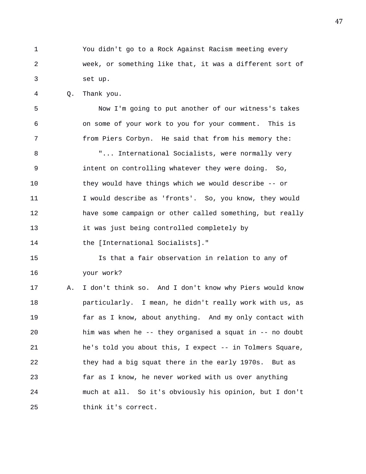1 You didn't go to a Rock Against Racism meeting every 2 week, or something like that, it was a different sort of 3 set up.

4 Q. Thank you.

5 Now I'm going to put another of our witness's takes 6 on some of your work to you for your comment. This is 7 from Piers Corbyn. He said that from his memory the:

8 T... International Socialists, were normally very 9 intent on controlling whatever they were doing. So, 10 they would have things which we would describe -- or 11 I would describe as 'fronts'. So, you know, they would 12 have some campaign or other called something, but really 13 it was just being controlled completely by 14 the [International Socialists]."

15 Is that a fair observation in relation to any of 16 your work?

17 A. I don't think so. And I don't know why Piers would know 18 particularly. I mean, he didn't really work with us, as 19 far as I know, about anything. And my only contact with 20 him was when he -- they organised a squat in -- no doubt 21 he's told you about this, I expect -- in Tolmers Square, 22 they had a big squat there in the early 1970s. But as 23 far as I know, he never worked with us over anything 24 much at all. So it's obviously his opinion, but I don't 25 think it's correct.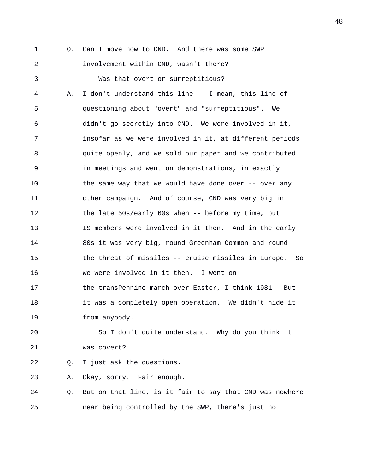1 0. Can I move now to CND. And there was some SWP 2 involvement within CND, wasn't there? 3 Was that overt or surreptitious? 4 A. I don't understand this line -- I mean, this line of 5 questioning about "overt" and "surreptitious". We 6 didn't go secretly into CND. We were involved in it, 7 insofar as we were involved in it, at different periods 8 quite openly, and we sold our paper and we contributed 9 in meetings and went on demonstrations, in exactly 10 the same way that we would have done over -- over any 11 other campaign. And of course, CND was very big in 12 the late 50s/early 60s when -- before my time, but 13 IS members were involved in it then. And in the early 14 80s it was very big, round Greenham Common and round 15 the threat of missiles -- cruise missiles in Europe. So 16 we were involved in it then. I went on 17 the transPennine march over Easter, I think 1981. But 18 it was a completely open operation. We didn't hide it 19 from anybody.

20 So I don't quite understand. Why do you think it 21 was covert?

22 Q. I just ask the questions.

23 A. Okay, sorry. Fair enough.

24 Q. But on that line, is it fair to say that CND was nowhere 25 near being controlled by the SWP, there's just no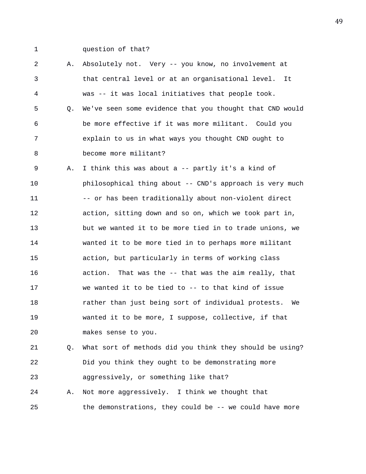1 question of that?

2 A. Absolutely not. Very -- you know, no involvement at 3 that central level or at an organisational level. It 4 was -- it was local initiatives that people took. 5 Q. We've seen some evidence that you thought that CND would 6 be more effective if it was more militant. Could you 7 explain to us in what ways you thought CND ought to 8 become more militant? 9 A. I think this was about a -- partly it's a kind of 10 philosophical thing about -- CND's approach is very much 11 -- or has been traditionally about non-violent direct 12 action, sitting down and so on, which we took part in, 13 but we wanted it to be more tied in to trade unions, we 14 wanted it to be more tied in to perhaps more militant 15 action, but particularly in terms of working class 16 action. That was the -- that was the aim really, that 17 we wanted it to be tied to -- to that kind of issue 18 rather than just being sort of individual protests. We 19 wanted it to be more, I suppose, collective, if that 20 makes sense to you.

21 Q. What sort of methods did you think they should be using? 22 Did you think they ought to be demonstrating more 23 aggressively, or something like that?

24 A. Not more aggressively. I think we thought that 25 the demonstrations, they could be -- we could have more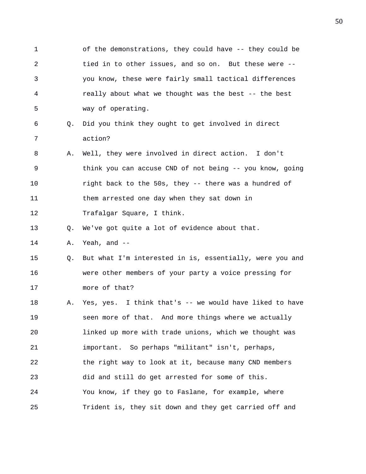1 of the demonstrations, they could have -- they could be 2 tied in to other issues, and so on. But these were -- 3 you know, these were fairly small tactical differences 4 really about what we thought was the best -- the best 5 way of operating. 6 Q. Did you think they ought to get involved in direct 7 action? 8 A. Well, they were involved in direct action. I don't 9 think you can accuse CND of not being -- you know, going 10 right back to the 50s, they -- there was a hundred of 11 them arrested one day when they sat down in 12 Trafalgar Square, I think. 13 Q. We've got quite a lot of evidence about that. 14 A. Yeah, and -- 15 Q. But what I'm interested in is, essentially, were you and 16 were other members of your party a voice pressing for 17 more of that? 18 A. Yes, yes. I think that's -- we would have liked to have 19 seen more of that. And more things where we actually 20 linked up more with trade unions, which we thought was 21 important. So perhaps "militant" isn't, perhaps, 22 the right way to look at it, because many CND members 23 did and still do get arrested for some of this. 24 You know, if they go to Faslane, for example, where 25 Trident is, they sit down and they get carried off and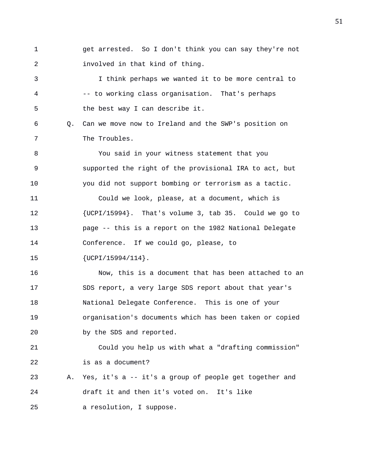1 get arrested. So I don't think you can say they're not 2 involved in that kind of thing. 3 I think perhaps we wanted it to be more central to 4 -- to working class organisation. That's perhaps 5 the best way I can describe it. 6 Q. Can we move now to Ireland and the SWP's position on 7 The Troubles. 8 You said in your witness statement that you 9 supported the right of the provisional IRA to act, but 10 you did not support bombing or terrorism as a tactic. 11 Could we look, please, at a document, which is 12 {UCPI/15994}. That's volume 3, tab 35. Could we go to 13 page -- this is a report on the 1982 National Delegate 14 Conference. If we could go, please, to 15 {UCPI/15994/114}. 16 Now, this is a document that has been attached to an 17 SDS report, a very large SDS report about that year's 18 National Delegate Conference. This is one of your 19 organisation's documents which has been taken or copied 20 by the SDS and reported. 21 Could you help us with what a "drafting commission" 22 is as a document? 23 A. Yes, it's a -- it's a group of people get together and

24 draft it and then it's voted on. It's like

25 a resolution, I suppose.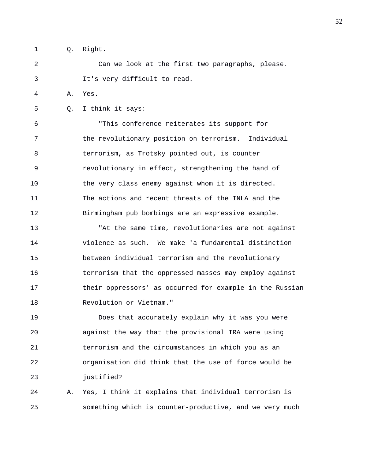- 
- 1 Q. Right.

2 Can we look at the first two paragraphs, please. 3 It's very difficult to read.

4 A. Yes.

5 Q. I think it says:

6 "This conference reiterates its support for 7 the revolutionary position on terrorism. Individual 8 terrorism, as Trotsky pointed out, is counter 9 revolutionary in effect, strengthening the hand of 10 the very class enemy against whom it is directed. 11 The actions and recent threats of the INLA and the 12 Birmingham pub bombings are an expressive example.

13 "At the same time, revolutionaries are not against 14 violence as such. We make 'a fundamental distinction 15 between individual terrorism and the revolutionary 16 terrorism that the oppressed masses may employ against 17 their oppressors' as occurred for example in the Russian 18 Revolution or Vietnam."

19 Does that accurately explain why it was you were 20 against the way that the provisional IRA were using 21 terrorism and the circumstances in which you as an 22 organisation did think that the use of force would be 23 justified?

24 A. Yes, I think it explains that individual terrorism is 25 something which is counter-productive, and we very much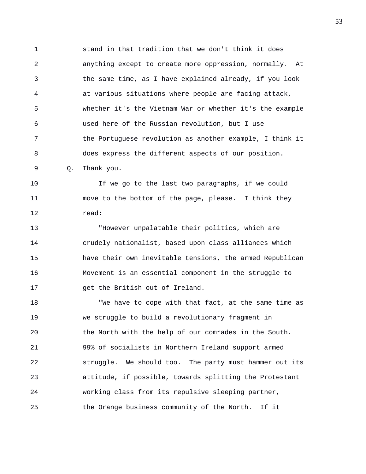1 stand in that tradition that we don't think it does 2 anything except to create more oppression, normally. At 3 the same time, as I have explained already, if you look 4 at various situations where people are facing attack, 5 whether it's the Vietnam War or whether it's the example 6 used here of the Russian revolution, but I use 7 the Portuguese revolution as another example, I think it 8 does express the different aspects of our position. 9 Q. Thank you.

10 If we go to the last two paragraphs, if we could 11 move to the bottom of the page, please. I think they 12 read:

13 "However unpalatable their politics, which are 14 crudely nationalist, based upon class alliances which 15 have their own inevitable tensions, the armed Republican 16 Movement is an essential component in the struggle to 17 get the British out of Ireland.

18 "We have to cope with that fact, at the same time as 19 we struggle to build a revolutionary fragment in 20 the North with the help of our comrades in the South. 21 99% of socialists in Northern Ireland support armed 22 struggle. We should too. The party must hammer out its 23 attitude, if possible, towards splitting the Protestant 24 working class from its repulsive sleeping partner, 25 the Orange business community of the North. If it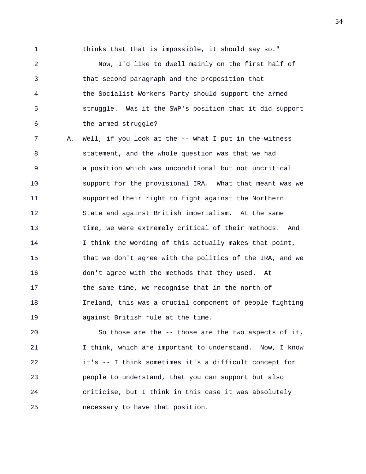1 thinks that that is impossible, it should say so."

2 Now, I'd like to dwell mainly on the first half of 3 that second paragraph and the proposition that 4 the Socialist Workers Party should support the armed 5 struggle. Was it the SWP's position that it did support 6 the armed struggle?

7 A. Well, if you look at the -- what I put in the witness 8 statement, and the whole question was that we had 9 a position which was unconditional but not uncritical 10 support for the provisional IRA. What that meant was we 11 supported their right to fight against the Northern 12 State and against British imperialism. At the same 13 time, we were extremely critical of their methods. And 14 I think the wording of this actually makes that point, 15 that we don't agree with the politics of the IRA, and we 16 don't agree with the methods that they used. At 17 the same time, we recognise that in the north of 18 Ireland, this was a crucial component of people fighting 19 against British rule at the time.

20 So those are the -- those are the two aspects of it, 21 I think, which are important to understand. Now, I know 22 it's -- I think sometimes it's a difficult concept for 23 people to understand, that you can support but also 24 criticise, but I think in this case it was absolutely 25 necessary to have that position.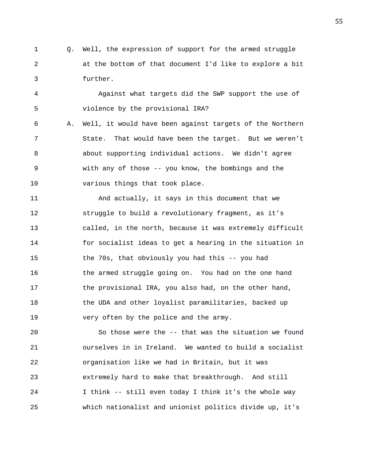1 Q. Well, the expression of support for the armed struggle 2 at the bottom of that document I'd like to explore a bit 3 further.

4 Against what targets did the SWP support the use of 5 violence by the provisional IRA?

6 A. Well, it would have been against targets of the Northern 7 State. That would have been the target. But we weren't 8 about supporting individual actions. We didn't agree 9 with any of those -- you know, the bombings and the 10 various things that took place.

11 And actually, it says in this document that we 12 struggle to build a revolutionary fragment, as it's 13 called, in the north, because it was extremely difficult 14 for socialist ideas to get a hearing in the situation in 15 the 70s, that obviously you had this -- you had 16 the armed struggle going on. You had on the one hand 17 the provisional IRA, you also had, on the other hand, 18 the UDA and other loyalist paramilitaries, backed up 19 very often by the police and the army.

20 So those were the -- that was the situation we found 21 ourselves in in Ireland. We wanted to build a socialist 22 organisation like we had in Britain, but it was 23 extremely hard to make that breakthrough. And still 24 I think -- still even today I think it's the whole way 25 which nationalist and unionist politics divide up, it's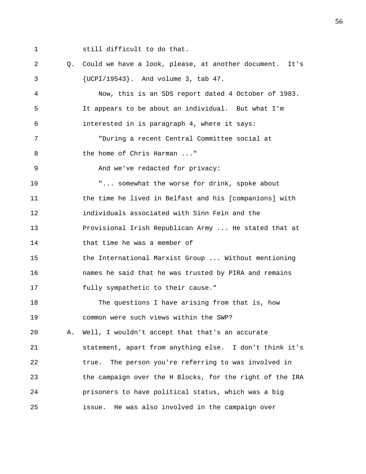1 still difficult to do that. 2 Q. Could we have a look, please, at another document. It's 3 {UCPI/19543}. And volume 3, tab 47. 4 Now, this is an SDS report dated 4 October of 1983. 5 It appears to be about an individual. But what I'm 6 interested in is paragraph 4, where it says: 7 "During a recent Central Committee social at 8 the home of Chris Harman ..." 9 And we've redacted for privacy: 10 "... somewhat the worse for drink, spoke about 11 the time he lived in Belfast and his [companions] with 12 individuals associated with Sinn Fein and the 13 Provisional Irish Republican Army ... He stated that at 14 that time he was a member of 15 the International Marxist Group ... Without mentioning 16 names he said that he was trusted by PIRA and remains 17 fully sympathetic to their cause." 18 The questions I have arising from that is, how 19 common were such views within the SWP? 20 A. Well, I wouldn't accept that that's an accurate 21 statement, apart from anything else. I don't think it's 22 true. The person you're referring to was involved in 23 the campaign over the H Blocks, for the right of the IRA 24 prisoners to have political status, which was a big 25 issue. He was also involved in the campaign over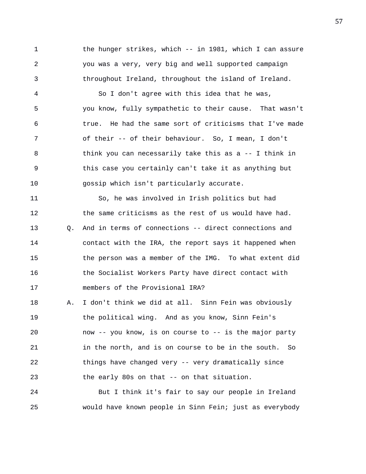1 the hunger strikes, which -- in 1981, which I can assure 2 you was a very, very big and well supported campaign 3 throughout Ireland, throughout the island of Ireland.

4 So I don't agree with this idea that he was, 5 you know, fully sympathetic to their cause. That wasn't 6 true. He had the same sort of criticisms that I've made 7 of their -- of their behaviour. So, I mean, I don't 8 think you can necessarily take this as a -- I think in 9 this case you certainly can't take it as anything but 10 gossip which isn't particularly accurate.

11 So, he was involved in Irish politics but had 12 the same criticisms as the rest of us would have had. 13 Q. And in terms of connections -- direct connections and 14 contact with the IRA, the report says it happened when 15 the person was a member of the IMG. To what extent did 16 the Socialist Workers Party have direct contact with 17 members of the Provisional IRA?

18 A. I don't think we did at all. Sinn Fein was obviously 19 the political wing. And as you know, Sinn Fein's 20 now -- you know, is on course to -- is the major party 21 in the north, and is on course to be in the south. So 22 things have changed very -- very dramatically since 23 the early 80s on that -- on that situation.

24 But I think it's fair to say our people in Ireland 25 would have known people in Sinn Fein; just as everybody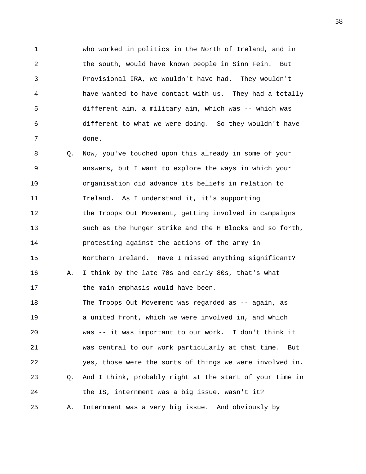1 who worked in politics in the North of Ireland, and in 2 the south, would have known people in Sinn Fein. But 3 Provisional IRA, we wouldn't have had. They wouldn't 4 have wanted to have contact with us. They had a totally 5 different aim, a military aim, which was -- which was 6 different to what we were doing. So they wouldn't have 7 done.

8 Q. Now, you've touched upon this already in some of your 9 answers, but I want to explore the ways in which your 10 organisation did advance its beliefs in relation to 11 Ireland. As I understand it, it's supporting 12 the Troops Out Movement, getting involved in campaigns 13 such as the hunger strike and the H Blocks and so forth, 14 protesting against the actions of the army in 15 Northern Ireland. Have I missed anything significant? 16 A. I think by the late 70s and early 80s, that's what 17 the main emphasis would have been. 18 The Troops Out Movement was regarded as -- again, as 19 a united front, which we were involved in, and which 20 was -- it was important to our work. I don't think it 21 was central to our work particularly at that time. But 22 yes, those were the sorts of things we were involved in. 23 Q. And I think, probably right at the start of your time in 24 the IS, internment was a big issue, wasn't it? 25 A. Internment was a very big issue. And obviously by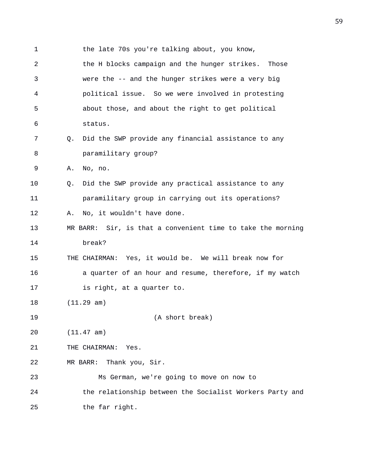1 the late 70s you're talking about, you know, 2 the H blocks campaign and the hunger strikes. Those 3 were the -- and the hunger strikes were a very big 4 political issue. So we were involved in protesting 5 about those, and about the right to get political 6 status. 7 Q. Did the SWP provide any financial assistance to any 8 paramilitary group? 9 A. No, no. 10 Q. Did the SWP provide any practical assistance to any 11 paramilitary group in carrying out its operations? 12 A. No, it wouldn't have done. 13 MR BARR: Sir, is that a convenient time to take the morning 14 break? 15 THE CHAIRMAN: Yes, it would be. We will break now for 16 a quarter of an hour and resume, therefore, if my watch 17 is right, at a quarter to. 18 (11.29 am) 19 (A short break) 20 (11.47 am) 21 THE CHAIRMAN: Yes. 22 MR BARR: Thank you, Sir. 23 Ms German, we're going to move on now to 24 the relationship between the Socialist Workers Party and 25 the far right.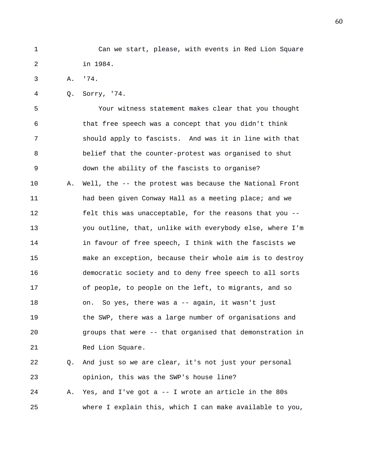1 Can we start, please, with events in Red Lion Square 2 in 1984.

3 A. '74.

4 Q. Sorry, '74.

5 Your witness statement makes clear that you thought 6 that free speech was a concept that you didn't think 7 should apply to fascists. And was it in line with that 8 belief that the counter-protest was organised to shut 9 down the ability of the fascists to organise? 10 A. Well, the -- the protest was because the National Front 11 had been given Conway Hall as a meeting place; and we 12 felt this was unacceptable, for the reasons that you -- 13 you outline, that, unlike with everybody else, where I'm 14 in favour of free speech, I think with the fascists we 15 make an exception, because their whole aim is to destroy 16 democratic society and to deny free speech to all sorts 17 of people, to people on the left, to migrants, and so 18 on. So yes, there was a -- again, it wasn't just 19 the SWP, there was a large number of organisations and 20 groups that were -- that organised that demonstration in 21 Red Lion Square.

22 Q. And just so we are clear, it's not just your personal 23 opinion, this was the SWP's house line? 24 A. Yes, and I've got a -- I wrote an article in the 80s

25 where I explain this, which I can make available to you,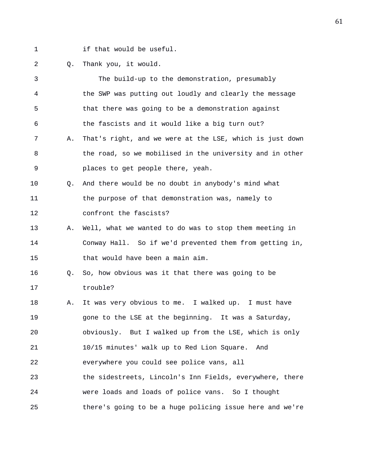- 
- 1 if that would be useful.

## 2 Q. Thank you, it would.

| 3              |             | The build-up to the demonstration, presumably            |
|----------------|-------------|----------------------------------------------------------|
| $\overline{4}$ |             | the SWP was putting out loudly and clearly the message   |
| 5              |             | that there was going to be a demonstration against       |
| 6              |             | the fascists and it would like a big turn out?           |
| 7              | Α.          | That's right, and we were at the LSE, which is just down |
| 8              |             | the road, so we mobilised in the university and in other |
| 9              |             | places to get people there, yeah.                        |
| 10             | 0.          | And there would be no doubt in anybody's mind what       |
| 11             |             | the purpose of that demonstration was, namely to         |
| 12             |             | confront the fascists?                                   |
| 13             | Α.          | Well, what we wanted to do was to stop them meeting in   |
| 14             |             | Conway Hall. So if we'd prevented them from getting in,  |
| 15             |             | that would have been a main aim.                         |
| 16             | $Q_{\star}$ | So, how obvious was it that there was going to be        |
| 17             |             | trouble?                                                 |
| 18             | Α.          | It was very obvious to me. I walked up. I must have      |
| 19             |             | gone to the LSE at the beginning. It was a Saturday,     |
| 20             |             | obviously. But I walked up from the LSE, which is only   |
| 21             |             | 10/15 minutes' walk up to Red Lion Square.<br>And        |
| 22             |             | everywhere you could see police vans, all                |
| 23             |             | the sidestreets, Lincoln's Inn Fields, everywhere, there |
| 24             |             | were loads and loads of police vans. So I thought        |
| 25             |             | there's going to be a huge policing issue here and we're |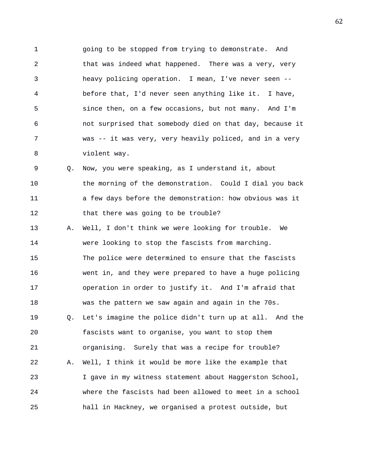1 going to be stopped from trying to demonstrate. And 2 that was indeed what happened. There was a very, very 3 heavy policing operation. I mean, I've never seen -- 4 before that, I'd never seen anything like it. I have, 5 since then, on a few occasions, but not many. And I'm 6 not surprised that somebody died on that day, because it 7 was -- it was very, very heavily policed, and in a very 8 violent way.

9 Q. Now, you were speaking, as I understand it, about 10 the morning of the demonstration. Could I dial you back 11 a few days before the demonstration: how obvious was it 12 that there was going to be trouble?

13 A. Well, I don't think we were looking for trouble. We 14 were looking to stop the fascists from marching. 15 The police were determined to ensure that the fascists 16 went in, and they were prepared to have a huge policing 17 operation in order to justify it. And I'm afraid that 18 was the pattern we saw again and again in the 70s. 19 Q. Let's imagine the police didn't turn up at all. And the 20 fascists want to organise, you want to stop them 21 organising. Surely that was a recipe for trouble? 22 A. Well, I think it would be more like the example that 23 I gave in my witness statement about Haggerston School, 24 where the fascists had been allowed to meet in a school 25 hall in Hackney, we organised a protest outside, but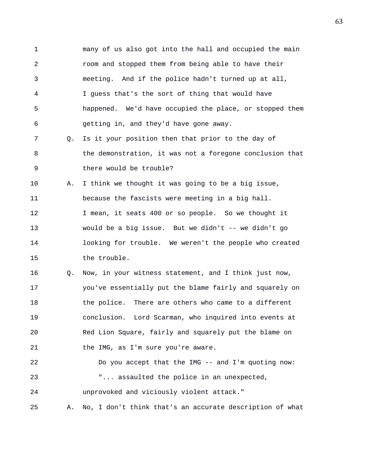1 many of us also got into the hall and occupied the main 2 room and stopped them from being able to have their 3 meeting. And if the police hadn't turned up at all, 4 I guess that's the sort of thing that would have 5 happened. We'd have occupied the place, or stopped them 6 getting in, and they'd have gone away. 7 Q. Is it your position then that prior to the day of 8 the demonstration, it was not a foregone conclusion that 9 there would be trouble? 10 A. I think we thought it was going to be a big issue, 11 because the fascists were meeting in a big hall. 12 I mean, it seats 400 or so people. So we thought it 13 would be a big issue. But we didn't -- we didn't go 14 looking for trouble. We weren't the people who created 15 the trouble. 16 Q. Now, in your witness statement, and I think just now, 17 you've essentially put the blame fairly and squarely on 18 the police. There are others who came to a different 19 conclusion. Lord Scarman, who inquired into events at 20 Red Lion Square, fairly and squarely put the blame on 21 the IMG, as I'm sure you're aware. 22 Do you accept that the IMG -- and I'm quoting now: 23 "... assaulted the police in an unexpected, 24 unprovoked and viciously violent attack." 25 A. No, I don't think that's an accurate description of what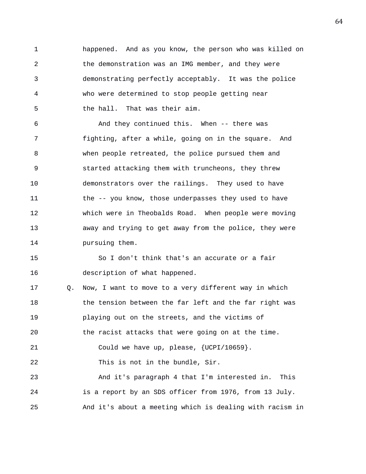1 happened. And as you know, the person who was killed on 2 the demonstration was an IMG member, and they were 3 demonstrating perfectly acceptably. It was the police 4 who were determined to stop people getting near 5 the hall. That was their aim.

6 And they continued this. When -- there was 7 fighting, after a while, going on in the square. And 8 when people retreated, the police pursued them and 9 started attacking them with truncheons, they threw 10 demonstrators over the railings. They used to have 11 the -- you know, those underpasses they used to have 12 which were in Theobalds Road. When people were moving 13 away and trying to get away from the police, they were 14 pursuing them.

15 So I don't think that's an accurate or a fair 16 description of what happened.

17 Q. Now, I want to move to a very different way in which 18 the tension between the far left and the far right was 19 playing out on the streets, and the victims of 20 the racist attacks that were going on at the time. 21 Could we have up, please, {UCPI/10659}. 22 This is not in the bundle, Sir. 23 And it's paragraph 4 that I'm interested in. This 24 is a report by an SDS officer from 1976, from 13 July. 25 And it's about a meeting which is dealing with racism in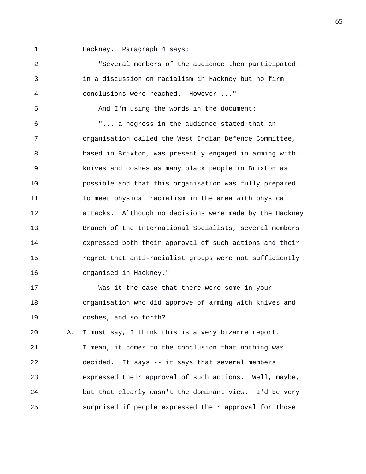1 Hackney. Paragraph 4 says:

2 "Several members of the audience then participated 3 in a discussion on racialism in Hackney but no firm 4 conclusions were reached. However ..." 5 And I'm using the words in the document: 6 "... a negress in the audience stated that an 7 organisation called the West Indian Defence Committee, 8 based in Brixton, was presently engaged in arming with 9 knives and coshes as many black people in Brixton as 10 possible and that this organisation was fully prepared 11 to meet physical racialism in the area with physical 12 attacks. Although no decisions were made by the Hackney 13 Branch of the International Socialists, several members 14 expressed both their approval of such actions and their 15 regret that anti-racialist groups were not sufficiently 16 organised in Hackney." 17 Was it the case that there were some in your 18 organisation who did approve of arming with knives and 19 coshes, and so forth? 20 A. I must say, I think this is a very bizarre report. 21 I mean, it comes to the conclusion that nothing was 22 decided. It says -- it says that several members 23 expressed their approval of such actions. Well, maybe, 24 but that clearly wasn't the dominant view. I'd be very 25 surprised if people expressed their approval for those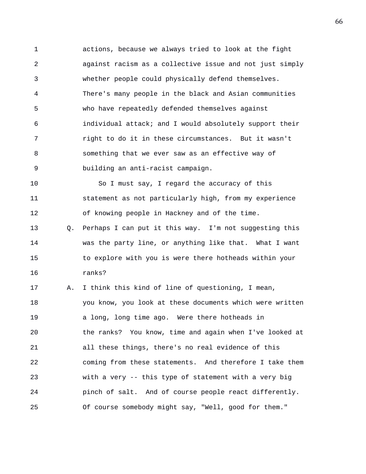1 actions, because we always tried to look at the fight 2 against racism as a collective issue and not just simply 3 whether people could physically defend themselves. 4 There's many people in the black and Asian communities 5 who have repeatedly defended themselves against 6 individual attack; and I would absolutely support their 7 right to do it in these circumstances. But it wasn't 8 something that we ever saw as an effective way of 9 building an anti-racist campaign.

10 So I must say, I regard the accuracy of this 11 statement as not particularly high, from my experience 12 of knowing people in Hackney and of the time.

13 Q. Perhaps I can put it this way. I'm not suggesting this 14 was the party line, or anything like that. What I want 15 to explore with you is were there hotheads within your 16 ranks?

17 A. I think this kind of line of questioning, I mean, 18 you know, you look at these documents which were written 19 a long, long time ago. Were there hotheads in 20 the ranks? You know, time and again when I've looked at 21 all these things, there's no real evidence of this 22 coming from these statements. And therefore I take them 23 with a very -- this type of statement with a very big 24 pinch of salt. And of course people react differently. 25 Of course somebody might say, "Well, good for them."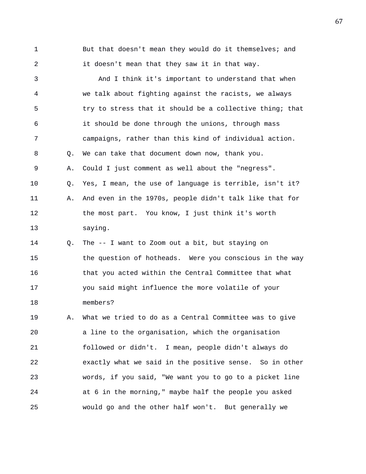1 But that doesn't mean they would do it themselves; and 2 it doesn't mean that they saw it in that way.

3 And I think it's important to understand that when 4 we talk about fighting against the racists, we always 5 try to stress that it should be a collective thing; that 6 it should be done through the unions, through mass 7 campaigns, rather than this kind of individual action. 8 Q. We can take that document down now, thank you. 9 A. Could I just comment as well about the "negress". 10 Q. Yes, I mean, the use of language is terrible, isn't it? 11 A. And even in the 1970s, people didn't talk like that for 12 the most part. You know, I just think it's worth 13 saying. 14 Q. The -- I want to Zoom out a bit, but staying on 15 the question of hotheads. Were you conscious in the way 16 that you acted within the Central Committee that what 17 you said might influence the more volatile of your 18 members? 19 A. What we tried to do as a Central Committee was to give 20 a line to the organisation, which the organisation 21 followed or didn't. I mean, people didn't always do 22 exactly what we said in the positive sense. So in other 23 words, if you said, "We want you to go to a picket line 24 at 6 in the morning," maybe half the people you asked

25 would go and the other half won't. But generally we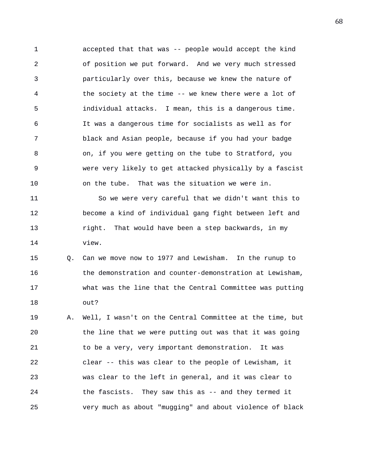1 accepted that that was -- people would accept the kind 2 of position we put forward. And we very much stressed 3 particularly over this, because we knew the nature of 4 the society at the time -- we knew there were a lot of 5 individual attacks. I mean, this is a dangerous time. 6 It was a dangerous time for socialists as well as for 7 black and Asian people, because if you had your badge 8 on, if you were getting on the tube to Stratford, you 9 were very likely to get attacked physically by a fascist 10 on the tube. That was the situation we were in. 11 So we were very careful that we didn't want this to 12 become a kind of individual gang fight between left and 13 right. That would have been a step backwards, in my

14 view.

15 Q. Can we move now to 1977 and Lewisham. In the runup to 16 the demonstration and counter-demonstration at Lewisham, 17 what was the line that the Central Committee was putting 18 out?

19 A. Well, I wasn't on the Central Committee at the time, but 20 the line that we were putting out was that it was going 21 to be a very, very important demonstration. It was 22 clear -- this was clear to the people of Lewisham, it 23 was clear to the left in general, and it was clear to 24 the fascists. They saw this as -- and they termed it 25 very much as about "mugging" and about violence of black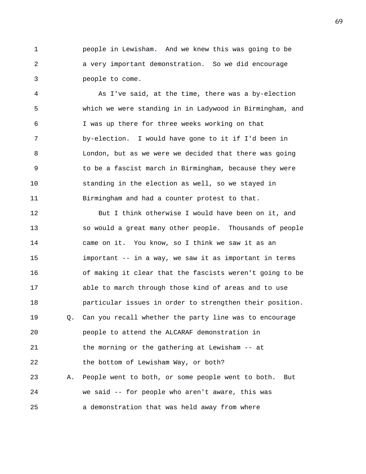1 people in Lewisham. And we knew this was going to be 2 a very important demonstration. So we did encourage 3 people to come.

4 As I've said, at the time, there was a by-election 5 which we were standing in in Ladywood in Birmingham, and 6 I was up there for three weeks working on that 7 by-election. I would have gone to it if I'd been in 8 London, but as we were we decided that there was going 9 to be a fascist march in Birmingham, because they were 10 standing in the election as well, so we stayed in 11 Birmingham and had a counter protest to that.

12 But I think otherwise I would have been on it, and 13 so would a great many other people. Thousands of people 14 came on it. You know, so I think we saw it as an 15 important -- in a way, we saw it as important in terms 16 of making it clear that the fascists weren't going to be 17 able to march through those kind of areas and to use 18 particular issues in order to strengthen their position. 19 Q. Can you recall whether the party line was to encourage 20 people to attend the ALCARAF demonstration in 21 the morning or the gathering at Lewisham -- at 22 the bottom of Lewisham Way, or both? 23 A. People went to both, or some people went to both. But 24 we said -- for people who aren't aware, this was 25 a demonstration that was held away from where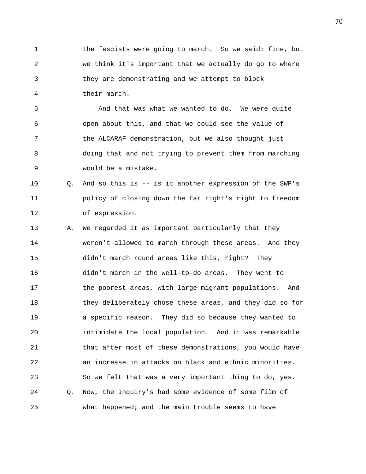1 the fascists were going to march. So we said: fine, but 2 we think it's important that we actually do go to where 3 they are demonstrating and we attempt to block 4 their march.

5 And that was what we wanted to do. We were quite 6 open about this, and that we could see the value of 7 the ALCARAF demonstration, but we also thought just 8 doing that and not trying to prevent them from marching 9 would be a mistake.

10 Q. And so this is -- is it another expression of the SWP's 11 policy of closing down the far right's right to freedom 12 of expression.

13 A. We regarded it as important particularly that they 14 weren't allowed to march through these areas. And they 15 didn't march round areas like this, right? They 16 didn't march in the well-to-do areas. They went to 17 the poorest areas, with large migrant populations. And 18 they deliberately chose these areas, and they did so for 19 a specific reason. They did so because they wanted to 20 intimidate the local population. And it was remarkable 21 that after most of these demonstrations, you would have 22 an increase in attacks on black and ethnic minorities. 23 So we felt that was a very important thing to do, yes. 24 Q. Now, the Inquiry's had some evidence of some film of 25 what happened; and the main trouble seems to have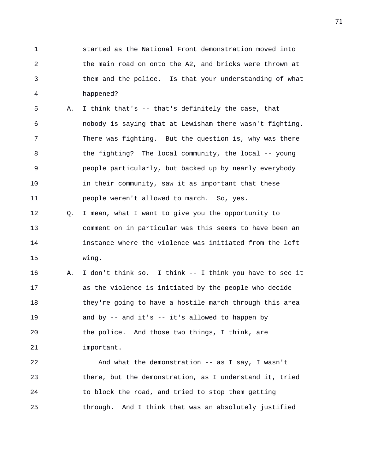1 started as the National Front demonstration moved into 2 the main road on onto the A2, and bricks were thrown at 3 them and the police. Is that your understanding of what 4 happened?

5 A. I think that's -- that's definitely the case, that 6 nobody is saying that at Lewisham there wasn't fighting. 7 There was fighting. But the question is, why was there 8 the fighting? The local community, the local -- young 9 people particularly, but backed up by nearly everybody 10 in their community, saw it as important that these 11 people weren't allowed to march. So, yes.

12 Q. I mean, what I want to give you the opportunity to 13 comment on in particular was this seems to have been an 14 instance where the violence was initiated from the left 15 wing.

16 A. I don't think so. I think -- I think you have to see it 17 as the violence is initiated by the people who decide 18 they're going to have a hostile march through this area 19 and by -- and it's -- it's allowed to happen by 20 the police. And those two things, I think, are 21 important.

22 And what the demonstration -- as I say, I wasn't 23 there, but the demonstration, as I understand it, tried 24 to block the road, and tried to stop them getting 25 through. And I think that was an absolutely justified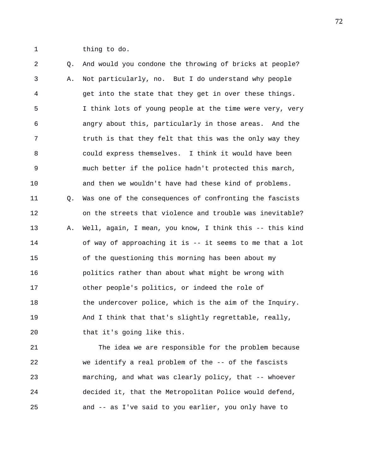1 thing to do.

2 Q. And would you condone the throwing of bricks at people? 3 A. Not particularly, no. But I do understand why people 4 get into the state that they get in over these things. 5 I think lots of young people at the time were very, very 6 angry about this, particularly in those areas. And the 7 truth is that they felt that this was the only way they 8 could express themselves. I think it would have been 9 much better if the police hadn't protected this march, 10 and then we wouldn't have had these kind of problems. 11 Q. Was one of the consequences of confronting the fascists 12 on the streets that violence and trouble was inevitable? 13 A. Well, again, I mean, you know, I think this -- this kind 14 of way of approaching it is -- it seems to me that a lot 15 of the questioning this morning has been about my 16 politics rather than about what might be wrong with 17 other people's politics, or indeed the role of 18 the undercover police, which is the aim of the Inquiry. 19 And I think that that's slightly regrettable, really, 20 that it's going like this.

21 The idea we are responsible for the problem because 22 we identify a real problem of the -- of the fascists 23 marching, and what was clearly policy, that -- whoever 24 decided it, that the Metropolitan Police would defend, 25 and -- as I've said to you earlier, you only have to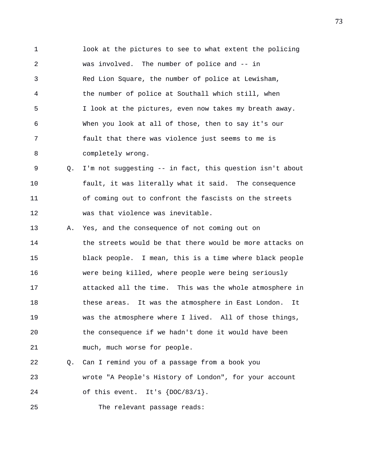1 look at the pictures to see to what extent the policing 2 was involved. The number of police and -- in 3 Red Lion Square, the number of police at Lewisham, 4 the number of police at Southall which still, when 5 I look at the pictures, even now takes my breath away. 6 When you look at all of those, then to say it's our 7 fault that there was violence just seems to me is 8 completely wrong.

9 Q. I'm not suggesting -- in fact, this question isn't about 10 fault, it was literally what it said. The consequence 11 of coming out to confront the fascists on the streets 12 was that violence was inevitable.

13 A. Yes, and the consequence of not coming out on 14 the streets would be that there would be more attacks on 15 black people. I mean, this is a time where black people 16 were being killed, where people were being seriously 17 attacked all the time. This was the whole atmosphere in 18 these areas. It was the atmosphere in East London. It 19 was the atmosphere where I lived. All of those things, 20 the consequence if we hadn't done it would have been 21 much, much worse for people.

22 Q. Can I remind you of a passage from a book you 23 wrote "A People's History of London", for your account 24 of this event. It's  ${DOC/83/1}$ .

25 The relevant passage reads: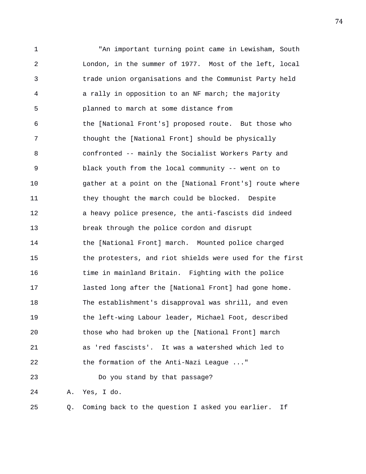1 "An important turning point came in Lewisham, South 2 London, in the summer of 1977. Most of the left, local 3 trade union organisations and the Communist Party held 4 a rally in opposition to an NF march; the majority 5 planned to march at some distance from 6 the [National Front's] proposed route. But those who 7 thought the [National Front] should be physically 8 confronted -- mainly the Socialist Workers Party and 9 black youth from the local community -- went on to 10 gather at a point on the [National Front's] route where 11 they thought the march could be blocked. Despite 12 a heavy police presence, the anti-fascists did indeed 13 break through the police cordon and disrupt 14 the [National Front] march. Mounted police charged 15 the protesters, and riot shields were used for the first 16 time in mainland Britain. Fighting with the police 17 lasted long after the [National Front] had gone home. 18 The establishment's disapproval was shrill, and even 19 the left-wing Labour leader, Michael Foot, described 20 those who had broken up the [National Front] march 21 as 'red fascists'. It was a watershed which led to 22 the formation of the Anti-Nazi League ..." 23 Do you stand by that passage? 24 A. Yes, I do.

25 Q. Coming back to the question I asked you earlier. If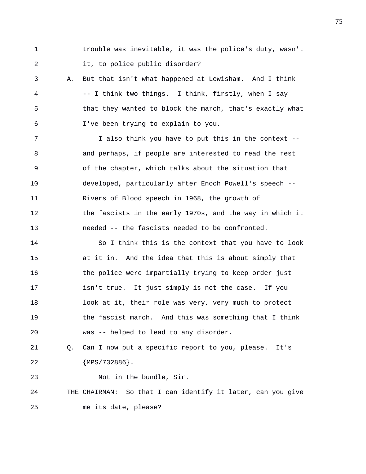1 trouble was inevitable, it was the police's duty, wasn't 2 it, to police public disorder?

3 A. But that isn't what happened at Lewisham. And I think 4 -- I think two things. I think, firstly, when I say 5 that they wanted to block the march, that's exactly what 6 I've been trying to explain to you.

7 I also think you have to put this in the context -- 8 and perhaps, if people are interested to read the rest 9 of the chapter, which talks about the situation that 10 developed, particularly after Enoch Powell's speech -- 11 Rivers of Blood speech in 1968, the growth of 12 the fascists in the early 1970s, and the way in which it 13 needed -- the fascists needed to be confronted.

14 So I think this is the context that you have to look 15 at it in. And the idea that this is about simply that 16 the police were impartially trying to keep order just 17 isn't true. It just simply is not the case. If you 18 look at it, their role was very, very much to protect 19 the fascist march. And this was something that I think 20 was -- helped to lead to any disorder.

21 Q. Can I now put a specific report to you, please. It's 22 {MPS/732886}.

23 Not in the bundle, Sir. 24 THE CHAIRMAN: So that I can identify it later, can you give 25 me its date, please?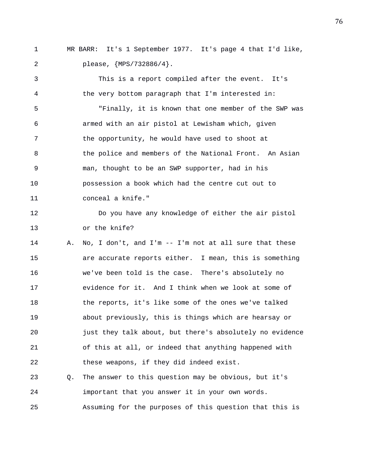1 MR BARR: It's 1 September 1977. It's page 4 that I'd like, 2 please, {MPS/732886/4}.

3 This is a report compiled after the event. It's 4 the very bottom paragraph that I'm interested in: 5 "Finally, it is known that one member of the SWP was 6 armed with an air pistol at Lewisham which, given 7 the opportunity, he would have used to shoot at 8 the police and members of the National Front. An Asian 9 man, thought to be an SWP supporter, had in his 10 possession a book which had the centre cut out to 11 conceal a knife." 12 Do you have any knowledge of either the air pistol 13 or the knife? 14 A. No, I don't, and I'm -- I'm not at all sure that these 15 are accurate reports either. I mean, this is something 16 we've been told is the case. There's absolutely no 17 evidence for it. And I think when we look at some of 18 the reports, it's like some of the ones we've talked 19 about previously, this is things which are hearsay or 20 just they talk about, but there's absolutely no evidence 21 of this at all, or indeed that anything happened with 22 these weapons, if they did indeed exist. 23 Q. The answer to this question may be obvious, but it's 24 important that you answer it in your own words. 25 Assuming for the purposes of this question that this is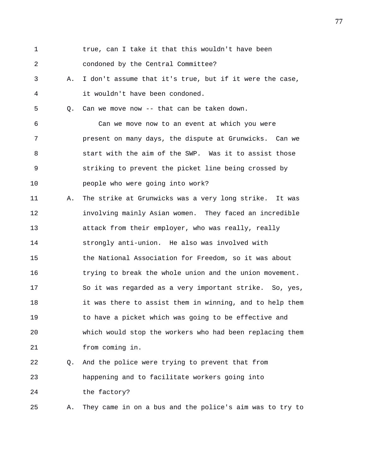| 1  |    | true, can I take it that this wouldn't have been         |
|----|----|----------------------------------------------------------|
| 2  |    | condoned by the Central Committee?                       |
| 3  | Α. | I don't assume that it's true, but if it were the case,  |
| 4  |    | it wouldn't have been condoned.                          |
| 5  | О. | Can we move now -- that can be taken down.               |
| 6  |    | Can we move now to an event at which you were            |
| 7  |    | present on many days, the dispute at Grunwicks. Can we   |
| 8  |    | start with the aim of the SWP. Was it to assist those    |
| 9  |    | striking to prevent the picket line being crossed by     |
| 10 |    | people who were going into work?                         |
| 11 | Α. | The strike at Grunwicks was a very long strike. It was   |
| 12 |    | involving mainly Asian women. They faced an incredible   |
| 13 |    | attack from their employer, who was really, really       |
| 14 |    | strongly anti-union. He also was involved with           |
| 15 |    | the National Association for Freedom, so it was about    |
| 16 |    | trying to break the whole union and the union movement.  |
| 17 |    | So it was regarded as a very important strike. So, yes,  |
| 18 |    | it was there to assist them in winning, and to help them |
| 19 |    | to have a picket which was going to be effective and     |
| 20 |    | which would stop the workers who had been replacing them |
| 21 |    | from coming in.                                          |
| 22 | O. | And the police were trying to prevent that from          |
| 23 |    | happening and to facilitate workers going into           |
| 24 |    | the factory?                                             |
| 25 | Α. | They came in on a bus and the police's aim was to try to |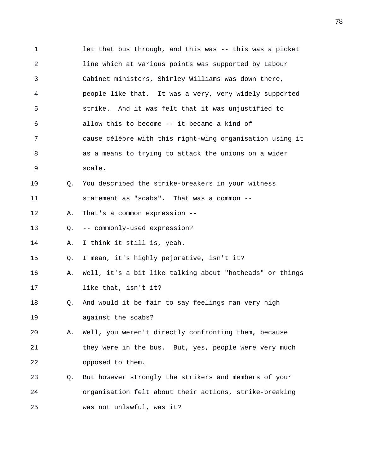1 let that bus through, and this was -- this was a picket 2 line which at various points was supported by Labour 3 Cabinet ministers, Shirley Williams was down there, 4 people like that. It was a very, very widely supported 5 strike. And it was felt that it was unjustified to 6 allow this to become -- it became a kind of 7 cause célèbre with this right-wing organisation using it 8 as a means to trying to attack the unions on a wider 9 scale. 10 Q. You described the strike-breakers in your witness 11 statement as "scabs". That was a common -- 12 A. That's a common expression -- 13 Q. -- commonly-used expression? 14 A. I think it still is, yeah. 15 Q. I mean, it's highly pejorative, isn't it? 16 A. Well, it's a bit like talking about "hotheads" or things 17 like that, isn't it? 18 Q. And would it be fair to say feelings ran very high 19 against the scabs? 20 A. Well, you weren't directly confronting them, because 21 they were in the bus. But, yes, people were very much 22 opposed to them. 23 Q. But however strongly the strikers and members of your 24 organisation felt about their actions, strike-breaking 25 was not unlawful, was it?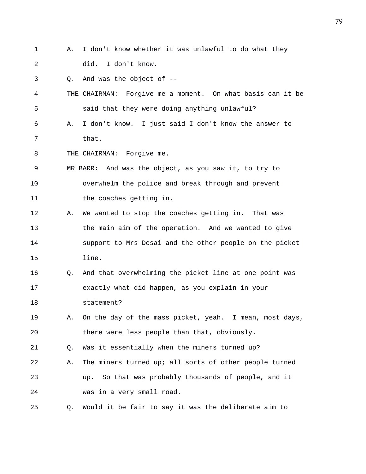1 A. I don't know whether it was unlawful to do what they 2 did. I don't know. 3 Q. And was the object of -- 4 THE CHAIRMAN: Forgive me a moment. On what basis can it be 5 said that they were doing anything unlawful? 6 A. I don't know. I just said I don't know the answer to 7 that. 8 THE CHAIRMAN: Forgive me. 9 MR BARR: And was the object, as you saw it, to try to 10 overwhelm the police and break through and prevent 11 the coaches getting in. 12 A. We wanted to stop the coaches getting in. That was 13 the main aim of the operation. And we wanted to give 14 support to Mrs Desai and the other people on the picket 15 line. 16 Q. And that overwhelming the picket line at one point was 17 exactly what did happen, as you explain in your 18 statement? 19 A. On the day of the mass picket, yeah. I mean, most days, 20 there were less people than that, obviously. 21 Q. Was it essentially when the miners turned up? 22 A. The miners turned up; all sorts of other people turned 23 up. So that was probably thousands of people, and it 24 was in a very small road. 25 Q. Would it be fair to say it was the deliberate aim to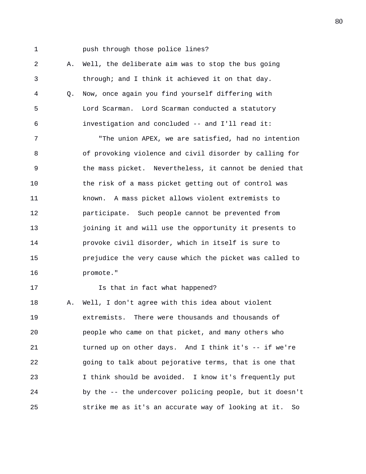1 push through those police lines?

2 A. Well, the deliberate aim was to stop the bus going 3 through; and I think it achieved it on that day. 4 Q. Now, once again you find yourself differing with 5 Lord Scarman. Lord Scarman conducted a statutory 6 investigation and concluded -- and I'll read it:

7 "The union APEX, we are satisfied, had no intention 8 of provoking violence and civil disorder by calling for 9 the mass picket. Nevertheless, it cannot be denied that 10 the risk of a mass picket getting out of control was 11 known. A mass picket allows violent extremists to 12 participate. Such people cannot be prevented from 13 joining it and will use the opportunity it presents to 14 provoke civil disorder, which in itself is sure to 15 prejudice the very cause which the picket was called to 16 promote."

17 **Is that in fact what happened?** 

18 A. Well, I don't agree with this idea about violent 19 extremists. There were thousands and thousands of 20 people who came on that picket, and many others who 21 turned up on other days. And I think it's -- if we're 22 going to talk about pejorative terms, that is one that 23 I think should be avoided. I know it's frequently put 24 by the -- the undercover policing people, but it doesn't 25 strike me as it's an accurate way of looking at it. So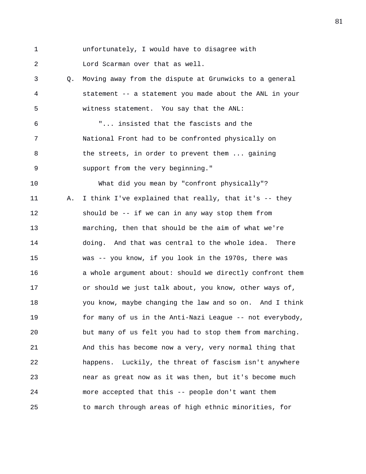1 unfortunately, I would have to disagree with 2 Lord Scarman over that as well.

3 Q. Moving away from the dispute at Grunwicks to a general 4 statement -- a statement you made about the ANL in your 5 witness statement. You say that the ANL:

6 "... insisted that the fascists and the 7 National Front had to be confronted physically on 8 the streets, in order to prevent them ... gaining 9 support from the very beginning."

10 What did you mean by "confront physically"? 11 A. I think I've explained that really, that it's -- they 12 should be -- if we can in any way stop them from 13 marching, then that should be the aim of what we're 14 doing. And that was central to the whole idea. There 15 was -- you know, if you look in the 1970s, there was 16 a whole argument about: should we directly confront them 17 or should we just talk about, you know, other ways of, 18 you know, maybe changing the law and so on. And I think 19 for many of us in the Anti-Nazi League -- not everybody, 20 but many of us felt you had to stop them from marching. 21 And this has become now a very, very normal thing that 22 happens. Luckily, the threat of fascism isn't anywhere 23 near as great now as it was then, but it's become much 24 more accepted that this -- people don't want them 25 to march through areas of high ethnic minorities, for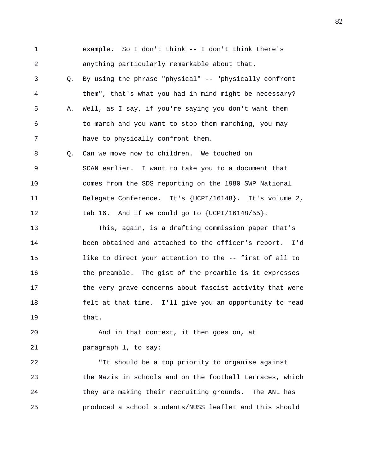1 example. So I don't think -- I don't think there's 2 anything particularly remarkable about that. 3 Q. By using the phrase "physical" -- "physically confront 4 them", that's what you had in mind might be necessary? 5 A. Well, as I say, if you're saying you don't want them 6 to march and you want to stop them marching, you may 7 have to physically confront them. 8 Q. Can we move now to children. We touched on 9 SCAN earlier. I want to take you to a document that 10 comes from the SDS reporting on the 1980 SWP National 11 Delegate Conference. It's {UCPI/16148}. It's volume 2, 12 tab 16. And if we could go to  $\{UCPI/16148/55\}$ . 13 This, again, is a drafting commission paper that's 14 been obtained and attached to the officer's report. I'd 15 like to direct your attention to the -- first of all to 16 the preamble. The gist of the preamble is it expresses 17 the very grave concerns about fascist activity that were 18 felt at that time. I'll give you an opportunity to read 19 that.

20 And in that context, it then goes on, at 21 paragraph 1, to say:

22 "It should be a top priority to organise against 23 the Nazis in schools and on the football terraces, which 24 they are making their recruiting grounds. The ANL has 25 produced a school students/NUSS leaflet and this should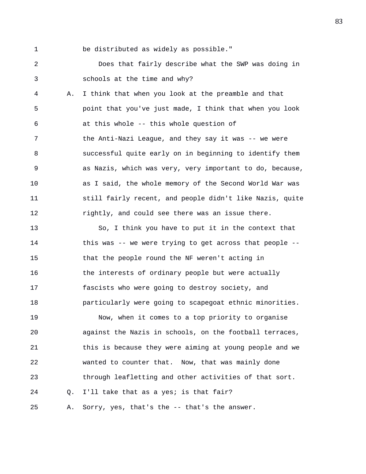1 be distributed as widely as possible."

2 Does that fairly describe what the SWP was doing in 3 schools at the time and why?

4 A. I think that when you look at the preamble and that 5 point that you've just made, I think that when you look 6 at this whole -- this whole question of 7 the Anti-Nazi League, and they say it was -- we were 8 successful quite early on in beginning to identify them 9 as Nazis, which was very, very important to do, because, 10 as I said, the whole memory of the Second World War was 11 still fairly recent, and people didn't like Nazis, quite 12 rightly, and could see there was an issue there.

13 So, I think you have to put it in the context that 14 this was -- we were trying to get across that people -- 15 that the people round the NF weren't acting in 16 the interests of ordinary people but were actually 17 fascists who were going to destroy society, and 18 particularly were going to scapegoat ethnic minorities.

19 Now, when it comes to a top priority to organise 20 against the Nazis in schools, on the football terraces, 21 this is because they were aiming at young people and we 22 wanted to counter that. Now, that was mainly done 23 through leafletting and other activities of that sort. 24 Q. I'll take that as a yes; is that fair? 25 A. Sorry, yes, that's the -- that's the answer.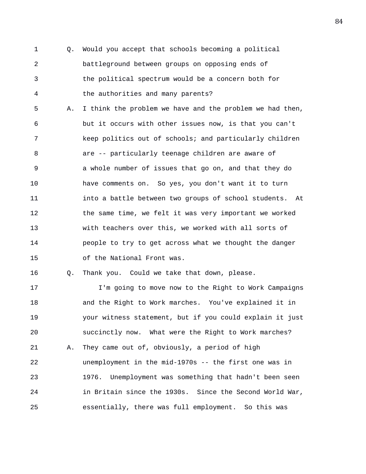1 Q. Would you accept that schools becoming a political 2 battleground between groups on opposing ends of 3 the political spectrum would be a concern both for 4 the authorities and many parents?

5 A. I think the problem we have and the problem we had then, 6 but it occurs with other issues now, is that you can't 7 keep politics out of schools; and particularly children 8 are -- particularly teenage children are aware of 9 a whole number of issues that go on, and that they do 10 have comments on. So yes, you don't want it to turn 11 into a battle between two groups of school students. At 12 the same time, we felt it was very important we worked 13 with teachers over this, we worked with all sorts of 14 people to try to get across what we thought the danger 15 of the National Front was.

16 Q. Thank you. Could we take that down, please.

17 I'm going to move now to the Right to Work Campaigns 18 and the Right to Work marches. You've explained it in 19 your witness statement, but if you could explain it just 20 succinctly now. What were the Right to Work marches? 21 A. They came out of, obviously, a period of high 22 unemployment in the mid-1970s -- the first one was in 23 1976. Unemployment was something that hadn't been seen 24 in Britain since the 1930s. Since the Second World War, 25 essentially, there was full employment. So this was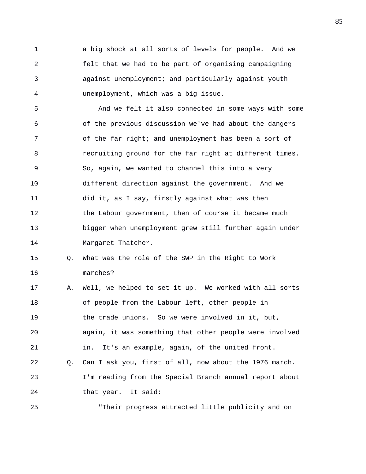1 a big shock at all sorts of levels for people. And we 2 felt that we had to be part of organising campaigning 3 against unemployment; and particularly against youth 4 unemployment, which was a big issue.

5 And we felt it also connected in some ways with some 6 of the previous discussion we've had about the dangers 7 of the far right; and unemployment has been a sort of 8 recruiting ground for the far right at different times. 9 So, again, we wanted to channel this into a very 10 different direction against the government. And we 11 did it, as I say, firstly against what was then 12 the Labour government, then of course it became much 13 bigger when unemployment grew still further again under 14 Margaret Thatcher.

15 Q. What was the role of the SWP in the Right to Work 16 marches?

17 A. Well, we helped to set it up. We worked with all sorts 18 of people from the Labour left, other people in 19 the trade unions. So we were involved in it, but, 20 again, it was something that other people were involved 21 in. It's an example, again, of the united front. 22 Q. Can I ask you, first of all, now about the 1976 march. 23 I'm reading from the Special Branch annual report about 24 that year. It said:

25 "Their progress attracted little publicity and on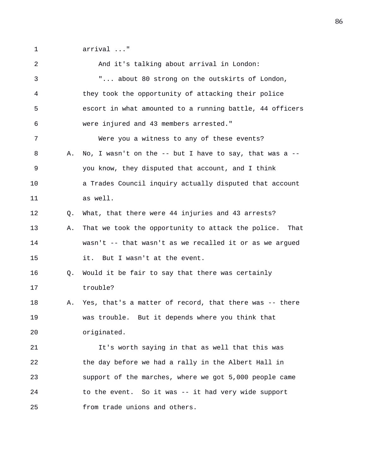1 arrival ..."

2 And it's talking about arrival in London: 3 "... about 80 strong on the outskirts of London, 4 they took the opportunity of attacking their police 5 escort in what amounted to a running battle, 44 officers 6 were injured and 43 members arrested." 7 Were you a witness to any of these events? 8 A. No, I wasn't on the -- but I have to say, that was a -- 9 you know, they disputed that account, and I think 10 a Trades Council inquiry actually disputed that account 11 as well. 12 Q. What, that there were 44 injuries and 43 arrests? 13 A. That we took the opportunity to attack the police. That 14 wasn't -- that wasn't as we recalled it or as we argued 15 it. But I wasn't at the event. 16 Q. Would it be fair to say that there was certainly 17 trouble? 18 A. Yes, that's a matter of record, that there was -- there 19 was trouble. But it depends where you think that 20 originated. 21 It's worth saying in that as well that this was 22 the day before we had a rally in the Albert Hall in 23 support of the marches, where we got 5,000 people came 24 to the event. So it was -- it had very wide support 25 from trade unions and others.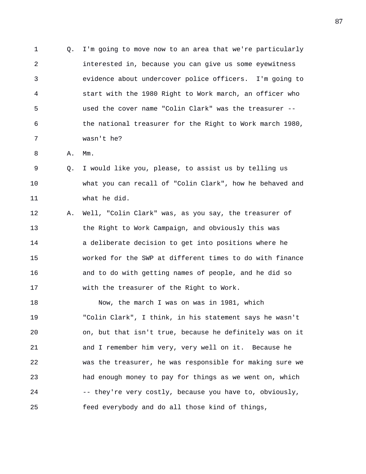1 Q. I'm going to move now to an area that we're particularly 2 interested in, because you can give us some eyewitness 3 evidence about undercover police officers. I'm going to 4 start with the 1980 Right to Work march, an officer who 5 used the cover name "Colin Clark" was the treasurer -- 6 the national treasurer for the Right to Work march 1980, 7 wasn't he?

8 A. Mm.

9 Q. I would like you, please, to assist us by telling us 10 what you can recall of "Colin Clark", how he behaved and 11 what he did.

12 A. Well, "Colin Clark" was, as you say, the treasurer of 13 the Right to Work Campaign, and obviously this was 14 a deliberate decision to get into positions where he 15 worked for the SWP at different times to do with finance 16 and to do with getting names of people, and he did so 17 with the treasurer of the Right to Work.

18 Now, the march I was on was in 1981, which 19 "Colin Clark", I think, in his statement says he wasn't 20 on, but that isn't true, because he definitely was on it 21 and I remember him very, very well on it. Because he 22 was the treasurer, he was responsible for making sure we 23 had enough money to pay for things as we went on, which 24 -- they're very costly, because you have to, obviously, 25 feed everybody and do all those kind of things,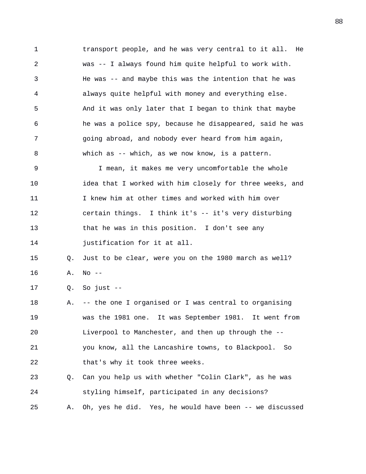1 transport people, and he was very central to it all. He 2 was -- I always found him quite helpful to work with. 3 He was -- and maybe this was the intention that he was 4 always quite helpful with money and everything else. 5 And it was only later that I began to think that maybe 6 he was a police spy, because he disappeared, said he was 7 going abroad, and nobody ever heard from him again, 8 which as -- which, as we now know, is a pattern. 9 I mean, it makes me very uncomfortable the whole 10 idea that I worked with him closely for three weeks, and 11 I knew him at other times and worked with him over 12 certain things. I think it's -- it's very disturbing 13 that he was in this position. I don't see any 14 **justification** for it at all. 15 Q. Just to be clear, were you on the 1980 march as well? 16 A. No -- 17 Q. So just -- 18 A. -- the one I organised or I was central to organising 19 was the 1981 one. It was September 1981. It went from 20 Liverpool to Manchester, and then up through the -- 21 you know, all the Lancashire towns, to Blackpool. So 22 that's why it took three weeks. 23 Q. Can you help us with whether "Colin Clark", as he was 24 styling himself, participated in any decisions? 25 A. Oh, yes he did. Yes, he would have been -- we discussed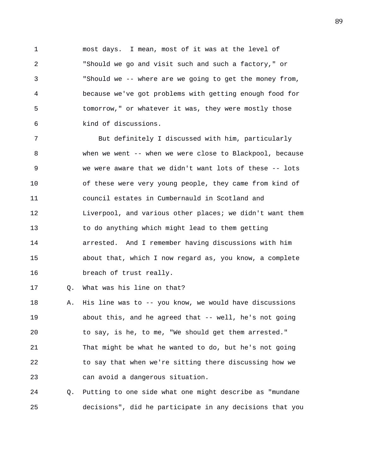1 most days. I mean, most of it was at the level of 2 "Should we go and visit such and such a factory," or 3 "Should we -- where are we going to get the money from, 4 because we've got problems with getting enough food for 5 tomorrow," or whatever it was, they were mostly those 6 kind of discussions.

7 But definitely I discussed with him, particularly 8 when we went -- when we were close to Blackpool, because 9 we were aware that we didn't want lots of these -- lots 10 of these were very young people, they came from kind of 11 council estates in Cumbernauld in Scotland and 12 Liverpool, and various other places; we didn't want them 13 to do anything which might lead to them getting 14 arrested. And I remember having discussions with him 15 about that, which I now regard as, you know, a complete 16 breach of trust really.

17 Q. What was his line on that?

18 A. His line was to -- you know, we would have discussions 19 about this, and he agreed that -- well, he's not going 20 to say, is he, to me, "We should get them arrested." 21 That might be what he wanted to do, but he's not going 22 to say that when we're sitting there discussing how we 23 can avoid a dangerous situation.

24 Q. Putting to one side what one might describe as "mundane 25 decisions", did he participate in any decisions that you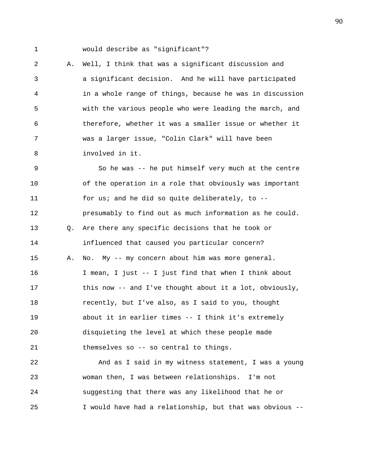1 would describe as "significant"?

2 A. Well, I think that was a significant discussion and 3 a significant decision. And he will have participated 4 in a whole range of things, because he was in discussion 5 with the various people who were leading the march, and 6 therefore, whether it was a smaller issue or whether it 7 was a larger issue, "Colin Clark" will have been 8 involved in it.

9 So he was -- he put himself very much at the centre 10 of the operation in a role that obviously was important 11 for us; and he did so quite deliberately, to -- 12 presumably to find out as much information as he could. 13 Q. Are there any specific decisions that he took or 14 influenced that caused you particular concern? 15 A. No. My -- my concern about him was more general. 16 I mean, I just -- I just find that when I think about 17 this now -- and I've thought about it a lot, obviously, 18 recently, but I've also, as I said to you, thought 19 about it in earlier times -- I think it's extremely 20 disquieting the level at which these people made 21 themselves so -- so central to things. 22 And as I said in my witness statement, I was a young 23 woman then, I was between relationships. I'm not

24 suggesting that there was any likelihood that he or 25 I would have had a relationship, but that was obvious --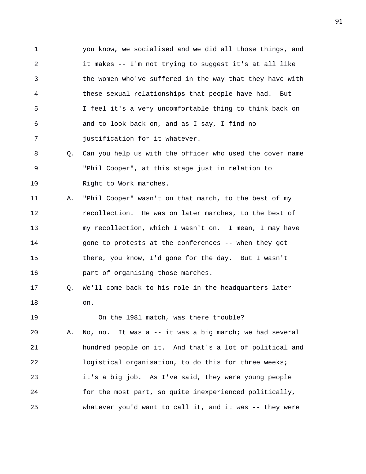1 you know, we socialised and we did all those things, and 2 it makes -- I'm not trying to suggest it's at all like 3 the women who've suffered in the way that they have with 4 these sexual relationships that people have had. But 5 I feel it's a very uncomfortable thing to think back on 6 and to look back on, and as I say, I find no 7 justification for it whatever.

8 Q. Can you help us with the officer who used the cover name 9 "Phil Cooper", at this stage just in relation to 10 Right to Work marches.

11 A. "Phil Cooper" wasn't on that march, to the best of my 12 recollection. He was on later marches, to the best of 13 my recollection, which I wasn't on. I mean, I may have 14 gone to protests at the conferences -- when they got 15 there, you know, I'd gone for the day. But I wasn't 16 part of organising those marches.

17 Q. We'll come back to his role in the headquarters later 18 on.

19 On the 1981 match, was there trouble?

20 A. No, no. It was a -- it was a big march; we had several 21 hundred people on it. And that's a lot of political and 22 logistical organisation, to do this for three weeks; 23 it's a big job. As I've said, they were young people 24 for the most part, so quite inexperienced politically, 25 whatever you'd want to call it, and it was -- they were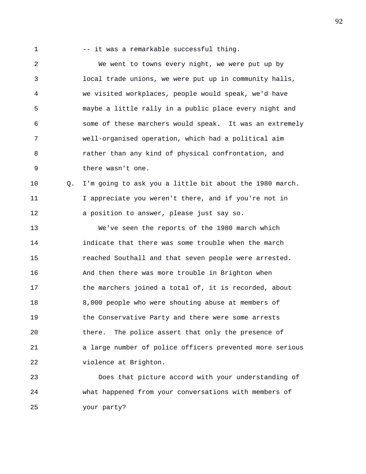- 
- 1 -- it was a remarkable successful thing.

2 We went to towns every night, we were put up by 3 local trade unions, we were put up in community halls, 4 we visited workplaces, people would speak, we'd have 5 maybe a little rally in a public place every night and 6 some of these marchers would speak. It was an extremely 7 well-organised operation, which had a political aim 8 rather than any kind of physical confrontation, and 9 there wasn't one.

10 Q. I'm going to ask you a little bit about the 1980 march. 11 I appreciate you weren't there, and if you're not in 12 a position to answer, please just say so.

13 We've seen the reports of the 1980 march which 14 indicate that there was some trouble when the march 15 reached Southall and that seven people were arrested. 16 And then there was more trouble in Brighton when 17 the marchers joined a total of, it is recorded, about 18 8,000 people who were shouting abuse at members of 19 the Conservative Party and there were some arrests 20 there. The police assert that only the presence of 21 a large number of police officers prevented more serious 22 violence at Brighton.

23 Does that picture accord with your understanding of 24 what happened from your conversations with members of 25 your party?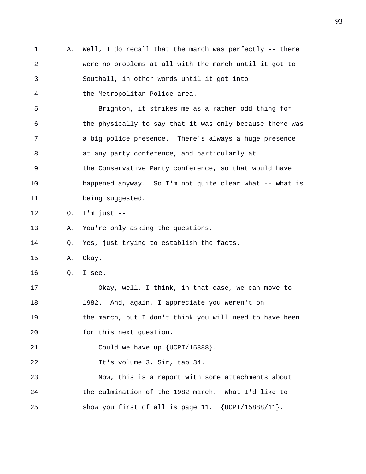1 A. Well, I do recall that the march was perfectly -- there 2 were no problems at all with the march until it got to 3 Southall, in other words until it got into 4 the Metropolitan Police area. 5 Brighton, it strikes me as a rather odd thing for 6 the physically to say that it was only because there was 7 a big police presence. There's always a huge presence 8 at any party conference, and particularly at 9 the Conservative Party conference, so that would have 10 happened anyway. So I'm not quite clear what -- what is 11 being suggested. 12 Q. I'm just -- 13 A. You're only asking the questions. 14 Q. Yes, just trying to establish the facts. 15 A. Okay. 16 Q. I see. 17 Okay, well, I think, in that case, we can move to 18 1982. And, again, I appreciate you weren't on 19 the march, but I don't think you will need to have been 20 for this next question. 21 Could we have up {UCPI/15888}. 22 It's volume 3, Sir, tab 34. 23 Now, this is a report with some attachments about 24 the culmination of the 1982 march. What I'd like to 25 show you first of all is page 11. {UCPI/15888/11}.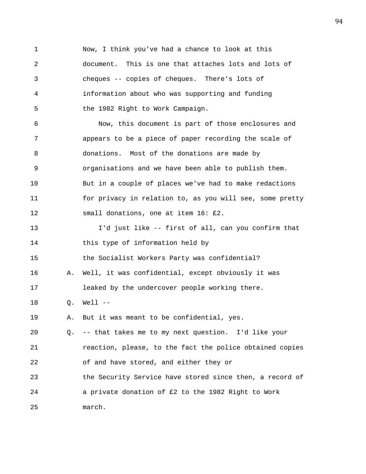1 Now, I think you've had a chance to look at this 2 document. This is one that attaches lots and lots of 3 cheques -- copies of cheques. There's lots of 4 information about who was supporting and funding 5 the 1982 Right to Work Campaign. 6 Now, this document is part of those enclosures and 7 appears to be a piece of paper recording the scale of 8 donations. Most of the donations are made by 9 organisations and we have been able to publish them. 10 But in a couple of places we've had to make redactions 11 for privacy in relation to, as you will see, some pretty 12 small donations, one at item 16: £2. 13 I'd just like -- first of all, can you confirm that 14 this type of information held by 15 the Socialist Workers Party was confidential? 16 A. Well, it was confidential, except obviously it was 17 leaked by the undercover people working there. 18 Q. Well -- 19 A. But it was meant to be confidential, yes. 20 Q. -- that takes me to my next question. I'd like your 21 reaction, please, to the fact the police obtained copies 22 of and have stored, and either they or 23 the Security Service have stored since then, a record of 24 a private donation of £2 to the 1982 Right to Work 25 march.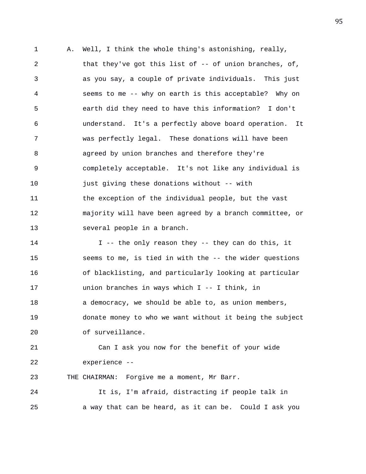1 A. Well, I think the whole thing's astonishing, really, 2 that they've got this list of -- of union branches, of, 3 as you say, a couple of private individuals. This just 4 seems to me -- why on earth is this acceptable? Why on 5 earth did they need to have this information? I don't 6 understand. It's a perfectly above board operation. It 7 was perfectly legal. These donations will have been 8 agreed by union branches and therefore they're 9 completely acceptable. It's not like any individual is 10 just giving these donations without -- with 11 the exception of the individual people, but the vast 12 majority will have been agreed by a branch committee, or 13 several people in a branch. 14 I -- the only reason they -- they can do this, it 15 seems to me, is tied in with the -- the wider questions 16 of blacklisting, and particularly looking at particular 17 union branches in ways which I -- I think, in 18 a democracy, we should be able to, as union members, 19 donate money to who we want without it being the subject 20 of surveillance. 21 Can I ask you now for the benefit of your wide 22 experience -- 23 THE CHAIRMAN: Forgive me a moment, Mr Barr. 24 It is, I'm afraid, distracting if people talk in 25 a way that can be heard, as it can be. Could I ask you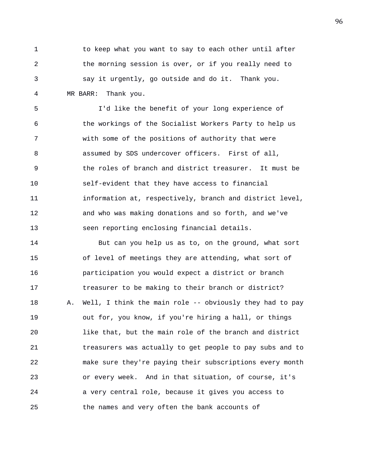1 to keep what you want to say to each other until after 2 the morning session is over, or if you really need to 3 say it urgently, go outside and do it. Thank you. 4 MR BARR: Thank you.

5 I'd like the benefit of your long experience of 6 the workings of the Socialist Workers Party to help us 7 with some of the positions of authority that were 8 assumed by SDS undercover officers. First of all, 9 the roles of branch and district treasurer. It must be 10 self-evident that they have access to financial 11 information at, respectively, branch and district level, 12 and who was making donations and so forth, and we've 13 seen reporting enclosing financial details.

14 But can you help us as to, on the ground, what sort 15 of level of meetings they are attending, what sort of 16 participation you would expect a district or branch 17 treasurer to be making to their branch or district? 18 A. Well, I think the main role -- obviously they had to pay 19 out for, you know, if you're hiring a hall, or things 20 like that, but the main role of the branch and district 21 treasurers was actually to get people to pay subs and to 22 make sure they're paying their subscriptions every month 23 or every week. And in that situation, of course, it's 24 a very central role, because it gives you access to 25 the names and very often the bank accounts of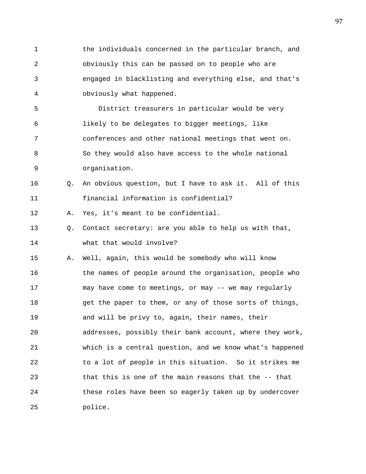1 the individuals concerned in the particular branch, and 2 obviously this can be passed on to people who are 3 engaged in blacklisting and everything else, and that's 4 obviously what happened.

5 District treasurers in particular would be very 6 likely to be delegates to bigger meetings, like 7 conferences and other national meetings that went on. 8 So they would also have access to the whole national 9 organisation.

10 Q. An obvious question, but I have to ask it. All of this 11 financial information is confidential?

12 A. Yes, it's meant to be confidential.

13 Q. Contact secretary: are you able to help us with that, 14 what that would involve?

15 A. Well, again, this would be somebody who will know 16 the names of people around the organisation, people who 17 may have come to meetings, or may -- we may regularly 18 get the paper to them, or any of those sorts of things, 19 and will be privy to, again, their names, their 20 addresses, possibly their bank account, where they work, 21 which is a central question, and we know what's happened 22 to a lot of people in this situation. So it strikes me 23 that this is one of the main reasons that the -- that 24 these roles have been so eagerly taken up by undercover 25 police.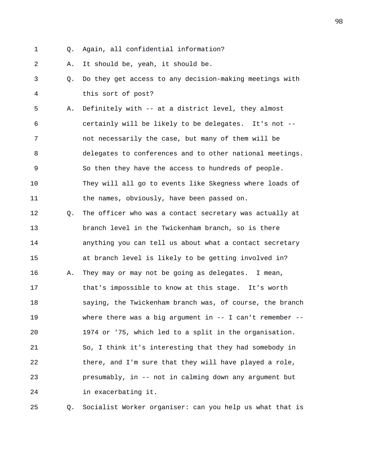- 
- 1 Q. Again, all confidential information?

2 A. It should be, yeah, it should be.

3 Q. Do they get access to any decision-making meetings with 4 this sort of post?

5 A. Definitely with -- at a district level, they almost 6 certainly will be likely to be delegates. It's not -- 7 not necessarily the case, but many of them will be 8 delegates to conferences and to other national meetings. 9 So then they have the access to hundreds of people. 10 They will all go to events like Skegness where loads of 11 the names, obviously, have been passed on.

12 Q. The officer who was a contact secretary was actually at 13 branch level in the Twickenham branch, so is there 14 anything you can tell us about what a contact secretary 15 at branch level is likely to be getting involved in? 16 A. They may or may not be going as delegates. I mean, 17 that's impossible to know at this stage. It's worth 18 saying, the Twickenham branch was, of course, the branch 19 where there was a big argument in -- I can't remember -- 20 1974 or '75, which led to a split in the organisation. 21 So, I think it's interesting that they had somebody in 22 there, and I'm sure that they will have played a role, 23 presumably, in -- not in calming down any argument but 24 in exacerbating it.

25 Q. Socialist Worker organiser: can you help us what that is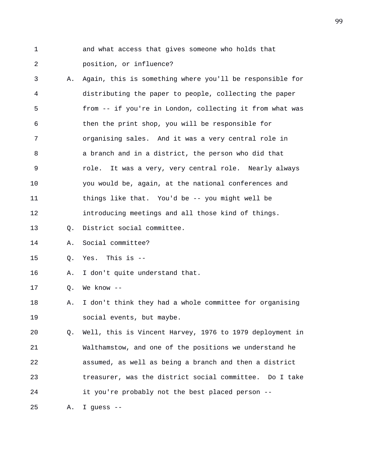1 and what access that gives someone who holds that 2 position, or influence?

3 A. Again, this is something where you'll be responsible for 4 distributing the paper to people, collecting the paper 5 from -- if you're in London, collecting it from what was 6 then the print shop, you will be responsible for 7 organising sales. And it was a very central role in 8 a branch and in a district, the person who did that 9 role. It was a very, very central role. Nearly always 10 you would be, again, at the national conferences and 11 things like that. You'd be -- you might well be 12 introducing meetings and all those kind of things. 13 Q. District social committee.

14 A. Social committee?

15 Q. Yes. This is --

16 A. I don't quite understand that.

17 Q. We know --

18 A. I don't think they had a whole committee for organising 19 social events, but maybe.

20 Q. Well, this is Vincent Harvey, 1976 to 1979 deployment in 21 Walthamstow, and one of the positions we understand he 22 assumed, as well as being a branch and then a district 23 treasurer, was the district social committee. Do I take 24 it you're probably not the best placed person --

25 A. I guess --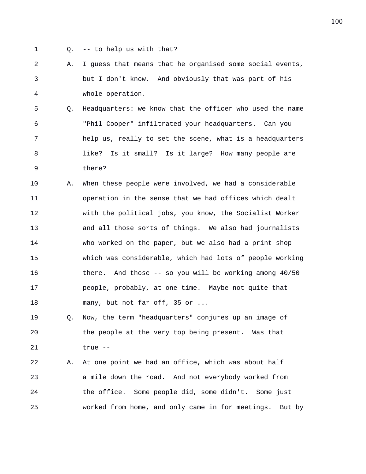- 
- 1 Q. -- to help us with that?

2 A. I guess that means that he organised some social events, 3 but I don't know. And obviously that was part of his 4 whole operation.

5 Q. Headquarters: we know that the officer who used the name 6 "Phil Cooper" infiltrated your headquarters. Can you 7 help us, really to set the scene, what is a headquarters 8 like? Is it small? Is it large? How many people are 9 there?

10 A. When these people were involved, we had a considerable 11 operation in the sense that we had offices which dealt 12 with the political jobs, you know, the Socialist Worker 13 and all those sorts of things. We also had journalists 14 who worked on the paper, but we also had a print shop 15 which was considerable, which had lots of people working 16 there. And those -- so you will be working among 40/50 17 people, probably, at one time. Maybe not quite that 18 many, but not far off, 35 or ...

19 Q. Now, the term "headquarters" conjures up an image of 20 the people at the very top being present. Was that 21 true --

22 A. At one point we had an office, which was about half 23 a mile down the road. And not everybody worked from 24 the office. Some people did, some didn't. Some just 25 worked from home, and only came in for meetings. But by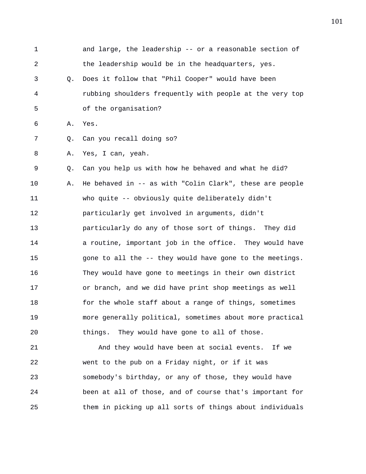| $\mathbf{1}$   |    | and large, the leadership -- or a reasonable section of   |
|----------------|----|-----------------------------------------------------------|
| $\overline{a}$ |    | the leadership would be in the headquarters, yes.         |
| 3              | Q. | Does it follow that "Phil Cooper" would have been         |
| 4              |    | rubbing shoulders frequently with people at the very top  |
| 5              |    | of the organisation?                                      |
| 6              | Α. | Yes.                                                      |
| 7              | Q. | Can you recall doing so?                                  |
| 8              | Α. | Yes, I can, yeah.                                         |
| 9              | Q. | Can you help us with how he behaved and what he did?      |
| 10             | Α. | He behaved in $-$ as with "Colin Clark", these are people |
| 11             |    | who quite -- obviously quite deliberately didn't          |
| 12             |    | particularly get involved in arguments, didn't            |
| 13             |    | particularly do any of those sort of things. They did     |
| 14             |    | a routine, important job in the office. They would have   |
| 15             |    | gone to all the -- they would have gone to the meetings.  |
| 16             |    | They would have gone to meetings in their own district    |
| 17             |    | or branch, and we did have print shop meetings as well    |
| 18             |    | for the whole staff about a range of things, sometimes    |
| 19             |    | more generally political, sometimes about more practical  |
| 20             |    | They would have gone to all of those.<br>things.          |
| 21             |    | And they would have been at social events. If we          |
| 22             |    | went to the pub on a Friday night, or if it was           |
| 23             |    | somebody's birthday, or any of those, they would have     |
|                |    |                                                           |

24 been at all of those, and of course that's important for

25 them in picking up all sorts of things about individuals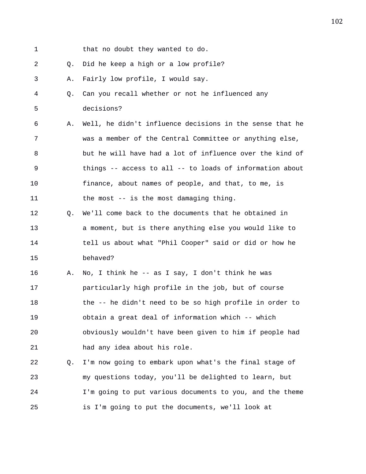- 1 that no doubt they wanted to do.
- 2 Q. Did he keep a high or a low profile?
- 3 A. Fairly low profile, I would say.
- 4 Q. Can you recall whether or not he influenced any 5 decisions?
- 6 A. Well, he didn't influence decisions in the sense that he 7 was a member of the Central Committee or anything else, 8 but he will have had a lot of influence over the kind of 9 things -- access to all -- to loads of information about 10 finance, about names of people, and that, to me, is 11 the most -- is the most damaging thing.
- 12 Q. We'll come back to the documents that he obtained in 13 a moment, but is there anything else you would like to 14 tell us about what "Phil Cooper" said or did or how he 15 behaved?
- 16 A. No, I think he -- as I say, I don't think he was 17 particularly high profile in the job, but of course 18 the -- he didn't need to be so high profile in order to 19 obtain a great deal of information which -- which 20 obviously wouldn't have been given to him if people had 21 had any idea about his role.
- 22 Q. I'm now going to embark upon what's the final stage of 23 my questions today, you'll be delighted to learn, but 24 I'm going to put various documents to you, and the theme 25 is I'm going to put the documents, we'll look at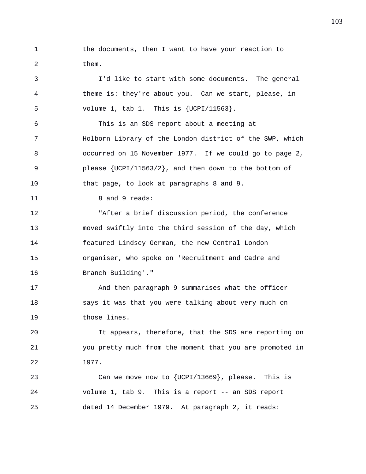1 the documents, then I want to have your reaction to 2 them.

3 I'd like to start with some documents. The general 4 theme is: they're about you. Can we start, please, in 5 volume 1, tab 1. This is {UCPI/11563}. 6 This is an SDS report about a meeting at 7 Holborn Library of the London district of the SWP, which 8 occurred on 15 November 1977. If we could go to page 2, 9 please {UCPI/11563/2}, and then down to the bottom of 10 that page, to look at paragraphs 8 and 9. 11 8 and 9 reads: 12 "After a brief discussion period, the conference 13 moved swiftly into the third session of the day, which 14 featured Lindsey German, the new Central London 15 organiser, who spoke on 'Recruitment and Cadre and 16 Branch Building'." 17 And then paragraph 9 summarises what the officer 18 says it was that you were talking about very much on 19 those lines. 20 It appears, therefore, that the SDS are reporting on 21 you pretty much from the moment that you are promoted in 22 1977. 23 Can we move now to {UCPI/13669}, please. This is 24 volume 1, tab 9. This is a report -- an SDS report

25 dated 14 December 1979. At paragraph 2, it reads: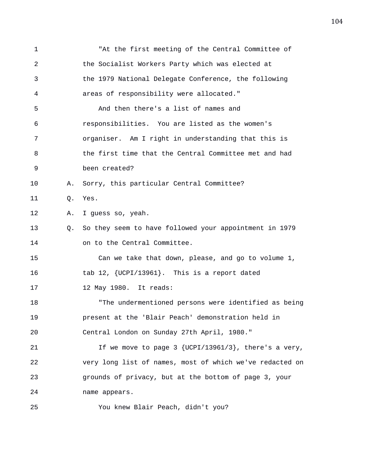1 "At the first meeting of the Central Committee of 2 the Socialist Workers Party which was elected at 3 the 1979 National Delegate Conference, the following 4 areas of responsibility were allocated." 5 And then there's a list of names and 6 responsibilities. You are listed as the women's 7 organiser. Am I right in understanding that this is 8 the first time that the Central Committee met and had 9 been created? 10 A. Sorry, this particular Central Committee? 11 Q. Yes. 12 A. I guess so, yeah. 13 Q. So they seem to have followed your appointment in 1979 14 on to the Central Committee. 15 Can we take that down, please, and go to volume 1, 16 tab 12, {UCPI/13961}. This is a report dated 17 12 May 1980. It reads: 18 "The undermentioned persons were identified as being 19 present at the 'Blair Peach' demonstration held in 20 Central London on Sunday 27th April, 1980." 21 If we move to page 3 {UCPI/13961/3}, there's a very, 22 very long list of names, most of which we've redacted on 23 grounds of privacy, but at the bottom of page 3, your 24 name appears. 25 You knew Blair Peach, didn't you?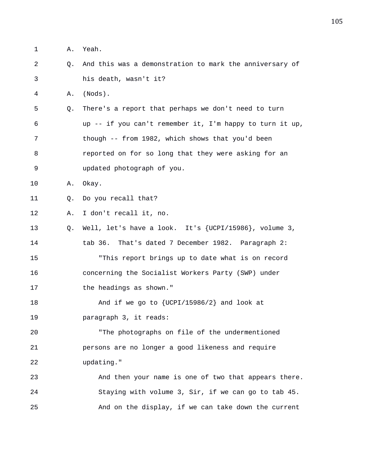1 A. Yeah. 2 Q. And this was a demonstration to mark the anniversary of 3 his death, wasn't it? 4 A. (Nods). 5 Q. There's a report that perhaps we don't need to turn 6 up -- if you can't remember it, I'm happy to turn it up, 7 though -- from 1982, which shows that you'd been 8 reported on for so long that they were asking for an 9 updated photograph of you. 10 A. Okay. 11 Q. Do you recall that? 12 A. I don't recall it, no. 13 Q. Well, let's have a look. It's {UCPI/15986}, volume 3, 14 tab 36. That's dated 7 December 1982. Paragraph 2: 15 "This report brings up to date what is on record 16 concerning the Socialist Workers Party (SWP) under 17 the headings as shown." 18 And if we go to  $\{UCPI/15986/2\}$  and look at 19 paragraph 3, it reads: 20 "The photographs on file of the undermentioned 21 persons are no longer a good likeness and require 22 updating." 23 And then your name is one of two that appears there. 24 Staying with volume 3, Sir, if we can go to tab 45. 25 And on the display, if we can take down the current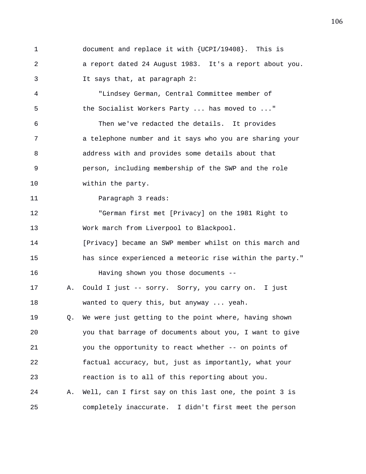1 document and replace it with {UCPI/19408}. This is 2 a report dated 24 August 1983. It's a report about you. 3 It says that, at paragraph 2:

4 "Lindsey German, Central Committee member of 5 the Socialist Workers Party ... has moved to ..." 6 Then we've redacted the details. It provides 7 a telephone number and it says who you are sharing your 8 address with and provides some details about that 9 person, including membership of the SWP and the role 10 within the party.

11 Paragraph 3 reads:

12 "German first met [Privacy] on the 1981 Right to 13 Work march from Liverpool to Blackpool.

14 [Privacy] became an SWP member whilst on this march and 15 has since experienced a meteoric rise within the party." 16 Having shown you those documents --

17 A. Could I just -- sorry. Sorry, you carry on. I just 18 wanted to query this, but anyway ... yeah.

19 Q. We were just getting to the point where, having shown 20 you that barrage of documents about you, I want to give 21 you the opportunity to react whether -- on points of 22 factual accuracy, but, just as importantly, what your 23 reaction is to all of this reporting about you. 24 A. Well, can I first say on this last one, the point 3 is

25 completely inaccurate. I didn't first meet the person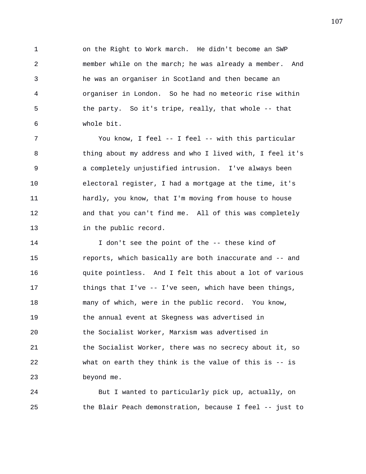1 on the Right to Work march. He didn't become an SWP 2 member while on the march; he was already a member. And 3 he was an organiser in Scotland and then became an 4 organiser in London. So he had no meteoric rise within 5 the party. So it's tripe, really, that whole -- that 6 whole bit.

7 You know, I feel -- I feel -- with this particular 8 thing about my address and who I lived with, I feel it's 9 a completely unjustified intrusion. I've always been 10 electoral register, I had a mortgage at the time, it's 11 hardly, you know, that I'm moving from house to house 12 and that you can't find me. All of this was completely 13 in the public record.

14 I don't see the point of the -- these kind of 15 reports, which basically are both inaccurate and -- and 16 quite pointless. And I felt this about a lot of various 17 things that I've -- I've seen, which have been things, 18 many of which, were in the public record. You know, 19 the annual event at Skegness was advertised in 20 the Socialist Worker, Marxism was advertised in 21 the Socialist Worker, there was no secrecy about it, so 22 what on earth they think is the value of this is -- is 23 beyond me.

24 But I wanted to particularly pick up, actually, on 25 the Blair Peach demonstration, because I feel -- just to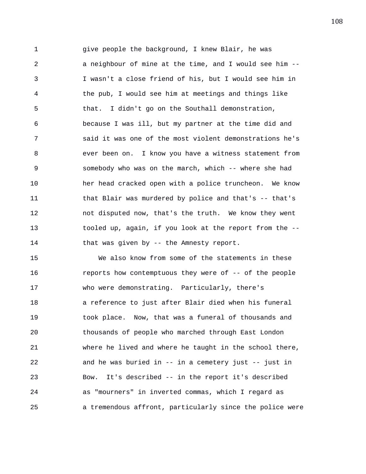1 give people the background, I knew Blair, he was 2 a neighbour of mine at the time, and I would see him -- 3 I wasn't a close friend of his, but I would see him in 4 the pub, I would see him at meetings and things like 5 that. I didn't go on the Southall demonstration, 6 because I was ill, but my partner at the time did and 7 said it was one of the most violent demonstrations he's 8 ever been on. I know you have a witness statement from 9 somebody who was on the march, which -- where she had 10 her head cracked open with a police truncheon. We know 11 that Blair was murdered by police and that's -- that's 12 not disputed now, that's the truth. We know they went 13 tooled up, again, if you look at the report from the -- 14 that was given by -- the Amnesty report.

15 We also know from some of the statements in these 16 **reports how contemptuous they were of -- of the people** 17 who were demonstrating. Particularly, there's 18 a reference to just after Blair died when his funeral 19 took place. Now, that was a funeral of thousands and 20 thousands of people who marched through East London 21 where he lived and where he taught in the school there, 22 and he was buried in -- in a cemetery just -- just in 23 Bow. It's described -- in the report it's described 24 as "mourners" in inverted commas, which I regard as 25 a tremendous affront, particularly since the police were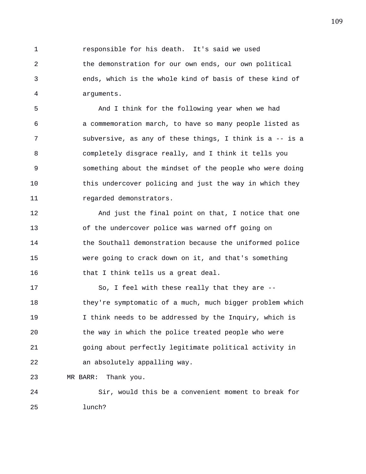1 responsible for his death. It's said we used 2 the demonstration for our own ends, our own political 3 ends, which is the whole kind of basis of these kind of 4 arguments.

5 And I think for the following year when we had 6 a commemoration march, to have so many people listed as 7 subversive, as any of these things, I think is a -- is a 8 completely disgrace really, and I think it tells you 9 something about the mindset of the people who were doing 10 this undercover policing and just the way in which they 11 regarded demonstrators.

12 And just the final point on that, I notice that one 13 of the undercover police was warned off going on 14 the Southall demonstration because the uniformed police 15 were going to crack down on it, and that's something 16 that I think tells us a great deal.

17 So, I feel with these really that they are -- 18 they're symptomatic of a much, much bigger problem which 19 I think needs to be addressed by the Inquiry, which is 20 the way in which the police treated people who were 21 going about perfectly legitimate political activity in 22 an absolutely appalling way.

23 MR BARR: Thank you.

24 Sir, would this be a convenient moment to break for 25 lunch?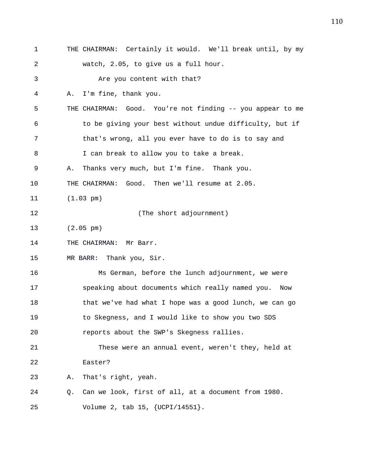1 THE CHAIRMAN: Certainly it would. We'll break until, by my 2 watch, 2.05, to give us a full hour. 3 Are you content with that? 4 A. I'm fine, thank you. 5 THE CHAIRMAN: Good. You're not finding -- you appear to me 6 to be giving your best without undue difficulty, but if 7 that's wrong, all you ever have to do is to say and 8 I can break to allow you to take a break. 9 A. Thanks very much, but I'm fine. Thank you. 10 THE CHAIRMAN: Good. Then we'll resume at 2.05. 11 (1.03 pm) 12 (The short adjournment) 13 (2.05 pm) 14 THE CHAIRMAN: Mr Barr. 15 MR BARR: Thank you, Sir. 16 Ms German, before the lunch adjournment, we were 17 speaking about documents which really named you. Now 18 that we've had what I hope was a good lunch, we can go 19 to Skegness, and I would like to show you two SDS 20 reports about the SWP's Skegness rallies. 21 These were an annual event, weren't they, held at 22 Easter? 23 A. That's right, yeah. 24 Q. Can we look, first of all, at a document from 1980. 25 Volume 2, tab 15, {UCPI/14551}.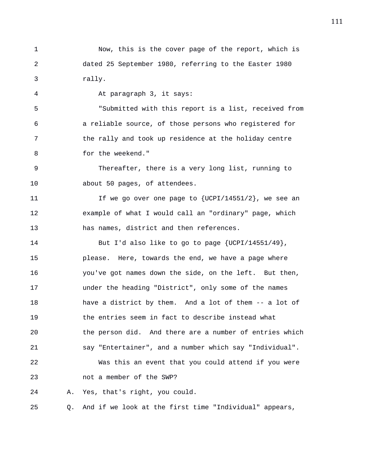1 Now, this is the cover page of the report, which is 2 dated 25 September 1980, referring to the Easter 1980 3 rally.

4 At paragraph 3, it says:

5 "Submitted with this report is a list, received from 6 a reliable source, of those persons who registered for 7 the rally and took up residence at the holiday centre 8 for the weekend."

9 Thereafter, there is a very long list, running to 10 about 50 pages, of attendees.

11 11 If we go over one page to {UCPI/14551/2}, we see an 12 example of what I would call an "ordinary" page, which 13 has names, district and then references.

14 But I'd also like to go to page {UCPI/14551/49}, 15 please. Here, towards the end, we have a page where 16 you've got names down the side, on the left. But then, 17 under the heading "District", only some of the names 18 have a district by them. And a lot of them -- a lot of 19 the entries seem in fact to describe instead what 20 the person did. And there are a number of entries which 21 say "Entertainer", and a number which say "Individual". 22 Was this an event that you could attend if you were 23 not a member of the SWP? 24 A. Yes, that's right, you could.

25 Q. And if we look at the first time "Individual" appears,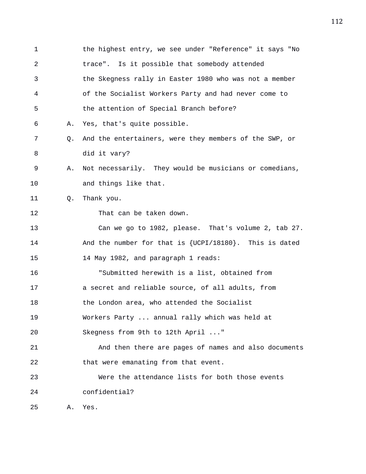1 the highest entry, we see under "Reference" it says "No 2 trace". Is it possible that somebody attended 3 the Skegness rally in Easter 1980 who was not a member 4 of the Socialist Workers Party and had never come to 5 the attention of Special Branch before? 6 A. Yes, that's quite possible. 7 Q. And the entertainers, were they members of the SWP, or 8 did it vary? 9 A. Not necessarily. They would be musicians or comedians, 10 and things like that. 11 0. Thank you. 12 That can be taken down. 13 Can we go to 1982, please. That's volume 2, tab 27. 14 And the number for that is {UCPI/18180}. This is dated 15 14 May 1982, and paragraph 1 reads: 16 "Submitted herewith is a list, obtained from 17 a secret and reliable source, of all adults, from 18 the London area, who attended the Socialist 19 Workers Party ... annual rally which was held at 20 Skegness from 9th to 12th April ..." 21 And then there are pages of names and also documents 22 that were emanating from that event. 23 Were the attendance lists for both those events 24 confidential? 25 A. Yes.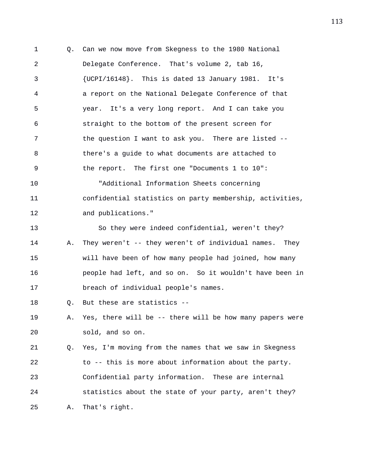1 Q. Can we now move from Skegness to the 1980 National 2 Delegate Conference. That's volume 2, tab 16, 3 {UCPI/16148}. This is dated 13 January 1981. It's 4 a report on the National Delegate Conference of that 5 year. It's a very long report. And I can take you 6 straight to the bottom of the present screen for 7 the question I want to ask you. There are listed -- 8 there's a guide to what documents are attached to 9 the report. The first one "Documents 1 to 10": 10 "Additional Information Sheets concerning 11 confidential statistics on party membership, activities, 12 and publications." 13 So they were indeed confidential, weren't they? 14 A. They weren't -- they weren't of individual names. They 15 will have been of how many people had joined, how many 16 people had left, and so on. So it wouldn't have been in 17 breach of individual people's names. 18 Q. But these are statistics -- 19 A. Yes, there will be -- there will be how many papers were 20 sold, and so on. 21 Q. Yes, I'm moving from the names that we saw in Skegness 22 to -- this is more about information about the party. 23 Confidential party information. These are internal

24 statistics about the state of your party, aren't they? 25 A. That's right.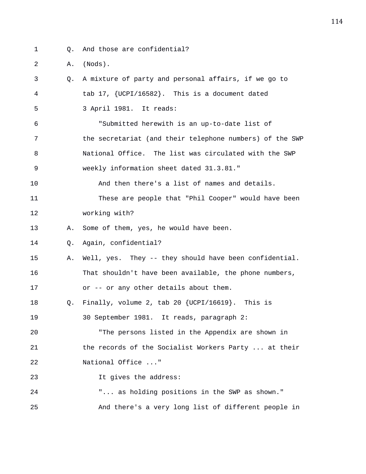- 1 Q. And those are confidential?
- 2 A. (Nods).

| 3  | 0. | A mixture of party and personal affairs, if we go to     |
|----|----|----------------------------------------------------------|
| 4  |    | tab 17, {UCPI/16582}. This is a document dated           |
| 5  |    | 3 April 1981. It reads:                                  |
| 6  |    | "Submitted herewith is an up-to-date list of             |
| 7  |    | the secretariat (and their telephone numbers) of the SWP |
| 8  |    | National Office. The list was circulated with the SWP    |
| 9  |    | weekly information sheet dated 31.3.81."                 |
| 10 |    | And then there's a list of names and details.            |
| 11 |    | These are people that "Phil Cooper" would have been      |
| 12 |    | working with?                                            |
| 13 | Α. | Some of them, yes, he would have been.                   |
| 14 | Q. | Again, confidential?                                     |
| 15 | Α. | Well, yes. They -- they should have been confidential.   |
| 16 |    | That shouldn't have been available, the phone numbers,   |
| 17 |    | or -- or any other details about them.                   |
| 18 | Q. | Finally, volume 2, tab 20 $\{UCPI/16619\}$ . This is     |
| 19 |    | 30 September 1981. It reads, paragraph 2:                |
| 20 |    | "The persons listed in the Appendix are shown in         |
| 21 |    | the records of the Socialist Workers Party  at their     |
| 22 |    | National Office "                                        |
| 23 |    | It gives the address:                                    |
| 24 |    | " as holding positions in the SWP as shown."             |
| 25 |    | And there's a very long list of different people in      |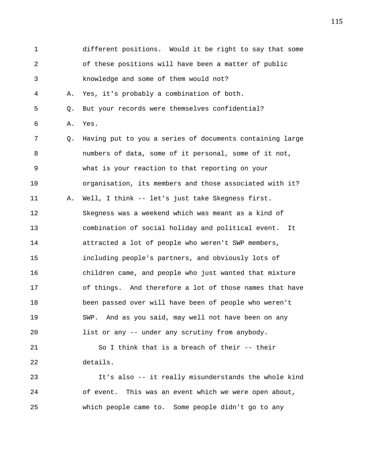1 different positions. Would it be right to say that some 2 of these positions will have been a matter of public 3 knowledge and some of them would not? 4 A. Yes, it's probably a combination of both. 5 Q. But your records were themselves confidential? 6 A. Yes. 7 Q. Having put to you a series of documents containing large 8 numbers of data, some of it personal, some of it not, 9 what is your reaction to that reporting on your 10 organisation, its members and those associated with it? 11 A. Well, I think -- let's just take Skegness first. 12 Skegness was a weekend which was meant as a kind of 13 combination of social holiday and political event. It 14 attracted a lot of people who weren't SWP members, 15 including people's partners, and obviously lots of 16 children came, and people who just wanted that mixture 17 of things. And therefore a lot of those names that have 18 been passed over will have been of people who weren't 19 SWP. And as you said, may well not have been on any 20 list or any -- under any scrutiny from anybody. 21 So I think that is a breach of their -- their 22 details. 23 It's also -- it really misunderstands the whole kind 24 of event. This was an event which we were open about,

25 which people came to. Some people didn't go to any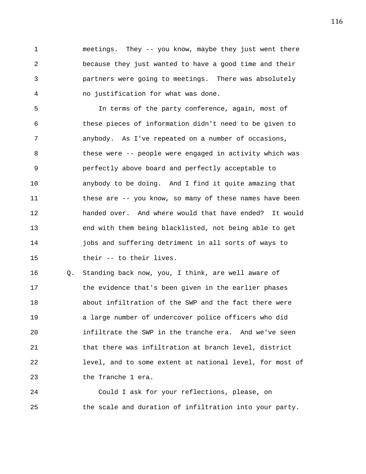1 meetings. They -- you know, maybe they just went there 2 because they just wanted to have a good time and their 3 partners were going to meetings. There was absolutely 4 no justification for what was done.

5 In terms of the party conference, again, most of 6 these pieces of information didn't need to be given to 7 anybody. As I've repeated on a number of occasions, 8 these were -- people were engaged in activity which was 9 perfectly above board and perfectly acceptable to 10 anybody to be doing. And I find it quite amazing that 11 these are -- you know, so many of these names have been 12 handed over. And where would that have ended? It would 13 end with them being blacklisted, not being able to get 14 jobs and suffering detriment in all sorts of ways to 15 their -- to their lives.

16 Q. Standing back now, you, I think, are well aware of 17 the evidence that's been given in the earlier phases 18 about infiltration of the SWP and the fact there were 19 a large number of undercover police officers who did 20 infiltrate the SWP in the tranche era. And we've seen 21 that there was infiltration at branch level, district 22 level, and to some extent at national level, for most of 23 the Tranche 1 era.

24 Could I ask for your reflections, please, on 25 the scale and duration of infiltration into your party.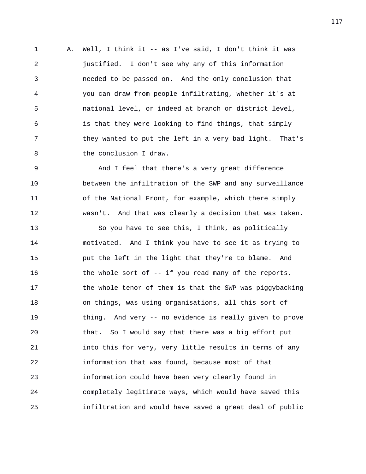1 A. Well, I think it -- as I've said, I don't think it was 2 justified. I don't see why any of this information 3 needed to be passed on. And the only conclusion that 4 you can draw from people infiltrating, whether it's at 5 national level, or indeed at branch or district level, 6 is that they were looking to find things, that simply 7 they wanted to put the left in a very bad light. That's 8 the conclusion I draw.

9 And I feel that there's a very great difference 10 between the infiltration of the SWP and any surveillance 11 of the National Front, for example, which there simply 12 wasn't. And that was clearly a decision that was taken.

13 So you have to see this, I think, as politically 14 motivated. And I think you have to see it as trying to 15 put the left in the light that they're to blame. And 16 the whole sort of -- if you read many of the reports, 17 the whole tenor of them is that the SWP was piggybacking 18 on things, was using organisations, all this sort of 19 thing. And very -- no evidence is really given to prove 20 that. So I would say that there was a big effort put 21 into this for very, very little results in terms of any 22 information that was found, because most of that 23 information could have been very clearly found in 24 completely legitimate ways, which would have saved this 25 infiltration and would have saved a great deal of public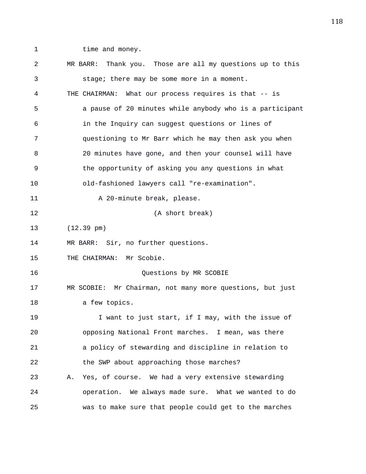- 
- 1 time and money.

2 MR BARR: Thank you. Those are all my questions up to this 3 stage; there may be some more in a moment. 4 THE CHAIRMAN: What our process requires is that -- is 5 a pause of 20 minutes while anybody who is a participant 6 in the Inquiry can suggest questions or lines of 7 questioning to Mr Barr which he may then ask you when 8 20 minutes have gone, and then your counsel will have 9 the opportunity of asking you any questions in what 10 old-fashioned lawyers call "re-examination". 11 A 20-minute break, please. 12 (A short break) 13 (12.39 pm) 14 MR BARR: Sir, no further questions. 15 THE CHAIRMAN: Mr Scobie. 16 Questions by MR SCOBIE 17 MR SCOBIE: Mr Chairman, not many more questions, but just 18 a few topics. 19 I want to just start, if I may, with the issue of 20 opposing National Front marches. I mean, was there 21 a policy of stewarding and discipline in relation to 22 the SWP about approaching those marches? 23 A. Yes, of course. We had a very extensive stewarding 24 operation. We always made sure. What we wanted to do 25 was to make sure that people could get to the marches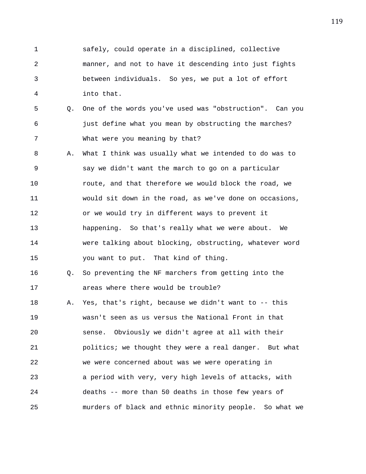1 safely, could operate in a disciplined, collective 2 manner, and not to have it descending into just fights 3 between individuals. So yes, we put a lot of effort 4 into that.

- 5 Q. One of the words you've used was "obstruction". Can you 6 just define what you mean by obstructing the marches? 7 What were you meaning by that?
- 8 A. What I think was usually what we intended to do was to 9 say we didn't want the march to go on a particular 10 route, and that therefore we would block the road, we 11 would sit down in the road, as we've done on occasions, 12 or we would try in different ways to prevent it 13 happening. So that's really what we were about. We 14 were talking about blocking, obstructing, whatever word 15 you want to put. That kind of thing.
- 16 Q. So preventing the NF marchers from getting into the 17 areas where there would be trouble?

18 A. Yes, that's right, because we didn't want to -- this 19 wasn't seen as us versus the National Front in that 20 sense. Obviously we didn't agree at all with their 21 politics; we thought they were a real danger. But what 22 we were concerned about was we were operating in 23 a period with very, very high levels of attacks, with 24 deaths -- more than 50 deaths in those few years of 25 murders of black and ethnic minority people. So what we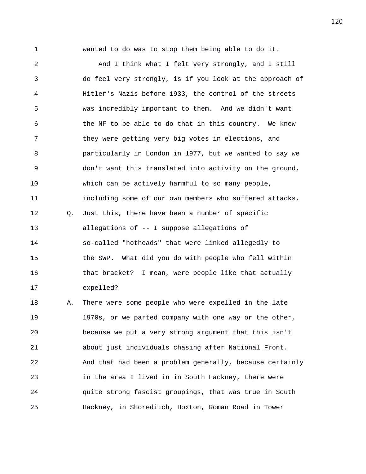1 wanted to do was to stop them being able to do it.

2 And I think what I felt very strongly, and I still 3 do feel very strongly, is if you look at the approach of 4 Hitler's Nazis before 1933, the control of the streets 5 was incredibly important to them. And we didn't want 6 the NF to be able to do that in this country. We knew 7 they were getting very big votes in elections, and 8 particularly in London in 1977, but we wanted to say we 9 don't want this translated into activity on the ground, 10 which can be actively harmful to so many people, 11 including some of our own members who suffered attacks. 12 Q. Just this, there have been a number of specific 13 allegations of -- I suppose allegations of 14 so-called "hotheads" that were linked allegedly to 15 the SWP. What did you do with people who fell within 16 that bracket? I mean, were people like that actually 17 expelled? 18 A. There were some people who were expelled in the late 19 1970s, or we parted company with one way or the other, 20 because we put a very strong argument that this isn't 21 about just individuals chasing after National Front. 22 And that had been a problem generally, because certainly 23 in the area I lived in in South Hackney, there were

24 quite strong fascist groupings, that was true in South

25 Hackney, in Shoreditch, Hoxton, Roman Road in Tower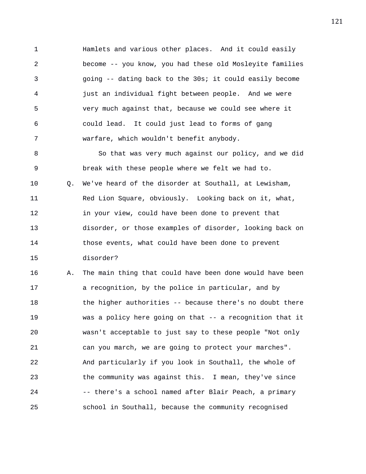1 Hamlets and various other places. And it could easily 2 become -- you know, you had these old Mosleyite families 3 going -- dating back to the 30s; it could easily become 4 just an individual fight between people. And we were 5 very much against that, because we could see where it 6 could lead. It could just lead to forms of gang 7 warfare, which wouldn't benefit anybody.

8 So that was very much against our policy, and we did 9 break with these people where we felt we had to. 10 Q. We've heard of the disorder at Southall, at Lewisham, 11 Red Lion Square, obviously. Looking back on it, what, 12 in your view, could have been done to prevent that 13 disorder, or those examples of disorder, looking back on 14 those events, what could have been done to prevent 15 disorder?

16 A. The main thing that could have been done would have been 17 a recognition, by the police in particular, and by 18 the higher authorities -- because there's no doubt there 19 was a policy here going on that -- a recognition that it 20 wasn't acceptable to just say to these people "Not only 21 can you march, we are going to protect your marches". 22 And particularly if you look in Southall, the whole of 23 the community was against this. I mean, they've since 24 -- there's a school named after Blair Peach, a primary 25 school in Southall, because the community recognised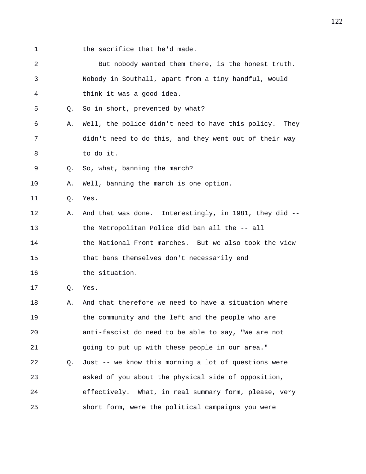1 the sacrifice that he'd made.

| 2  |    | But nobody wanted them there, is the honest truth.        |
|----|----|-----------------------------------------------------------|
| 3  |    | Nobody in Southall, apart from a tiny handful, would      |
| 4  |    | think it was a good idea.                                 |
| 5  | O. | So in short, prevented by what?                           |
| 6  | Α. | Well, the police didn't need to have this policy.<br>They |
| 7  |    | didn't need to do this, and they went out of their way    |
| 8  |    | to do it.                                                 |
| 9  | О. | So, what, banning the march?                              |
| 10 | Α. | Well, banning the march is one option.                    |
| 11 | Q. | Yes.                                                      |
| 12 | Α. | And that was done. Interestingly, in 1981, they did --    |
| 13 |    | the Metropolitan Police did ban all the -- all            |
| 14 |    | the National Front marches. But we also took the view     |
| 15 |    | that bans themselves don't necessarily end                |
| 16 |    | the situation.                                            |
| 17 | Q. | Yes.                                                      |
| 18 | Α. | And that therefore we need to have a situation where      |
| 19 |    | the community and the left and the people who are         |
| 20 |    | anti-fascist do need to be able to say, "We are not       |
| 21 |    | going to put up with these people in our area."           |
| 22 | O. | Just -- we know this morning a lot of questions were      |
| 23 |    | asked of you about the physical side of opposition,       |
| 24 |    | effectively. What, in real summary form, please, very     |
| 25 |    | short form, were the political campaigns you were         |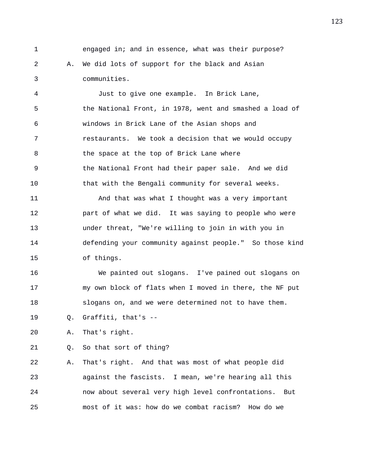1 engaged in; and in essence, what was their purpose? 2 A. We did lots of support for the black and Asian 3 communities.

4 Just to give one example. In Brick Lane, 5 the National Front, in 1978, went and smashed a load of 6 windows in Brick Lane of the Asian shops and 7 restaurants. We took a decision that we would occupy 8 the space at the top of Brick Lane where 9 the National Front had their paper sale. And we did 10 that with the Bengali community for several weeks. 11 And that was what I thought was a very important 12 part of what we did. It was saying to people who were 13 under threat, "We're willing to join in with you in 14 defending your community against people." So those kind 15 of things.

16 We painted out slogans. I've pained out slogans on 17 my own block of flats when I moved in there, the NF put 18 slogans on, and we were determined not to have them.

19 Q. Graffiti, that's --

20 A. That's right.

21 Q. So that sort of thing?

22 A. That's right. And that was most of what people did 23 against the fascists. I mean, we're hearing all this 24 now about several very high level confrontations. But 25 most of it was: how do we combat racism? How do we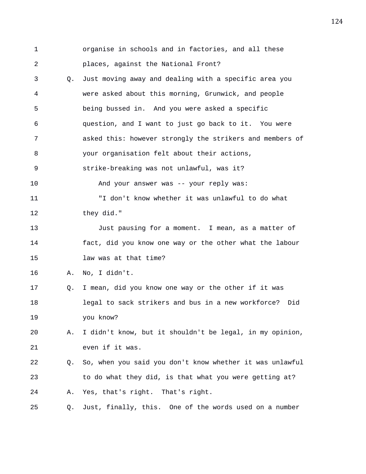| $\mathbf 1$ |    | organise in schools and in factories, and all these      |
|-------------|----|----------------------------------------------------------|
| 2           |    | places, against the National Front?                      |
| 3           | O. | Just moving away and dealing with a specific area you    |
| 4           |    | were asked about this morning, Grunwick, and people      |
| 5           |    | being bussed in. And you were asked a specific           |
| 6           |    | question, and I want to just go back to it. You were     |
| 7           |    | asked this: however strongly the strikers and members of |
| 8           |    | your organisation felt about their actions,              |
| 9           |    | strike-breaking was not unlawful, was it?                |
| 10          |    | And your answer was -- your reply was:                   |
| 11          |    | "I don't know whether it was unlawful to do what         |
| 12          |    | they did."                                               |
| 13          |    | Just pausing for a moment. I mean, as a matter of        |
| 14          |    | fact, did you know one way or the other what the labour  |
| 15          |    | law was at that time?                                    |
| 16          | Α. | No, I didn't.                                            |
| 17          | Q. | I mean, did you know one way or the other if it was      |
| 18          |    | legal to sack strikers and bus in a new workforce? Did   |
| 19          |    | you know?                                                |
| 20          | Α. | I didn't know, but it shouldn't be legal, in my opinion, |
| 21          |    | even if it was.                                          |
| 22          | Q. | So, when you said you don't know whether it was unlawful |
| 23          |    | to do what they did, is that what you were getting at?   |
| 24          | Α. | Yes, that's right. That's right.                         |
| 25          | Q. | Just, finally, this. One of the words used on a number   |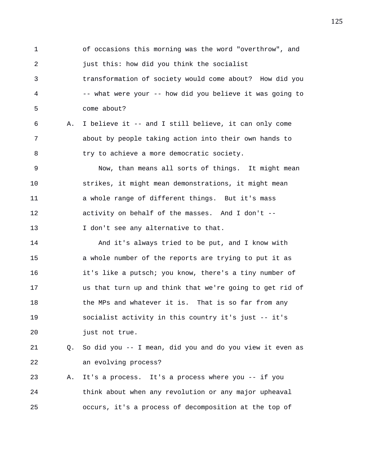1 of occasions this morning was the word "overthrow", and 2 just this: how did you think the socialist 3 transformation of society would come about? How did you 4 -- what were your -- how did you believe it was going to 5 come about?

6 A. I believe it -- and I still believe, it can only come 7 about by people taking action into their own hands to 8 try to achieve a more democratic society.

9 Now, than means all sorts of things. It might mean 10 strikes, it might mean demonstrations, it might mean 11 a whole range of different things. But it's mass 12 activity on behalf of the masses. And I don't -- 13 I don't see any alternative to that.

14 And it's always tried to be put, and I know with 15 a whole number of the reports are trying to put it as 16 it's like a putsch; you know, there's a tiny number of 17 us that turn up and think that we're going to get rid of 18 the MPs and whatever it is. That is so far from any 19 socialist activity in this country it's just -- it's 20 just not true.

21 Q. So did you -- I mean, did you and do you view it even as 22 an evolving process?

23 A. It's a process. It's a process where you -- if you 24 think about when any revolution or any major upheaval 25 occurs, it's a process of decomposition at the top of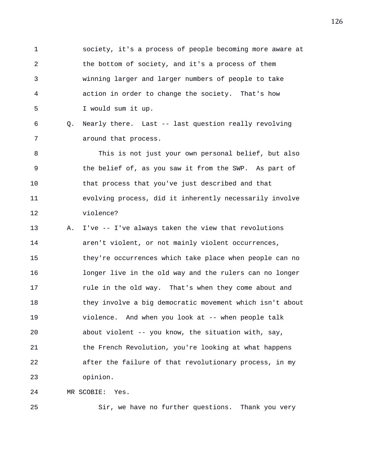1 society, it's a process of people becoming more aware at 2 the bottom of society, and it's a process of them 3 winning larger and larger numbers of people to take 4 action in order to change the society. That's how 5 I would sum it up.

6 Q. Nearly there. Last -- last question really revolving 7 around that process.

8 This is not just your own personal belief, but also 9 the belief of, as you saw it from the SWP. As part of 10 that process that you've just described and that 11 evolving process, did it inherently necessarily involve 12 violence?

13 A. I've -- I've always taken the view that revolutions 14 aren't violent, or not mainly violent occurrences, 15 they're occurrences which take place when people can no 16 longer live in the old way and the rulers can no longer 17 **rule in the old way.** That's when they come about and 18 they involve a big democratic movement which isn't about 19 violence. And when you look at -- when people talk 20 about violent -- you know, the situation with, say, 21 the French Revolution, you're looking at what happens 22 after the failure of that revolutionary process, in my 23 opinion.

24 MR SCOBIE: Yes.

25 Sir, we have no further questions. Thank you very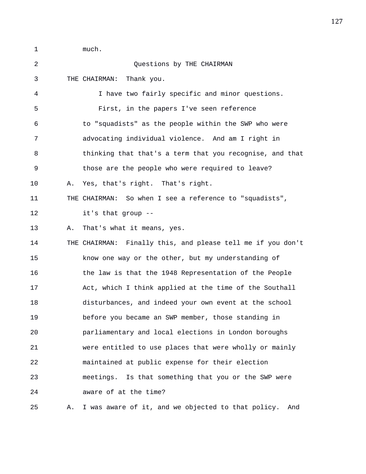1 much. 2 Questions by THE CHAIRMAN 3 THE CHAIRMAN: Thank you. 4 I have two fairly specific and minor questions. 5 First, in the papers I've seen reference 6 to "squadists" as the people within the SWP who were 7 advocating individual violence. And am I right in 8 thinking that that's a term that you recognise, and that 9 those are the people who were required to leave? 10 A. Yes, that's right. That's right. 11 THE CHAIRMAN: So when I see a reference to "squadists", 12 it's that group -- 13 A. That's what it means, yes. 14 THE CHAIRMAN: Finally this, and please tell me if you don't 15 know one way or the other, but my understanding of 16 the law is that the 1948 Representation of the People 17 Act, which I think applied at the time of the Southall 18 disturbances, and indeed your own event at the school 19 before you became an SWP member, those standing in 20 parliamentary and local elections in London boroughs 21 were entitled to use places that were wholly or mainly 22 maintained at public expense for their election 23 meetings. Is that something that you or the SWP were 24 aware of at the time? 25 A. I was aware of it, and we objected to that policy. And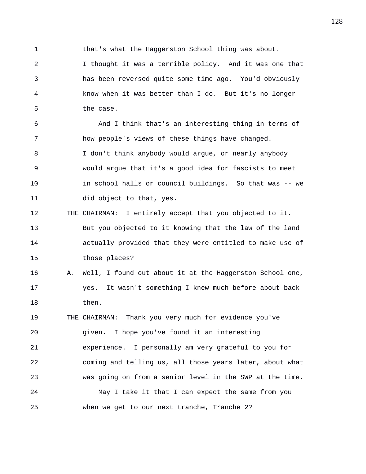1 that's what the Haggerston School thing was about.

2 I thought it was a terrible policy. And it was one that 3 has been reversed quite some time ago. You'd obviously 4 know when it was better than I do. But it's no longer 5 the case.

6 And I think that's an interesting thing in terms of 7 how people's views of these things have changed. 8 I don't think anybody would argue, or nearly anybody 9 would argue that it's a good idea for fascists to meet 10 in school halls or council buildings. So that was -- we 11 did object to that, yes.

12 THE CHAIRMAN: I entirely accept that you objected to it. 13 But you objected to it knowing that the law of the land 14 actually provided that they were entitled to make use of 15 those places?

16 A. Well, I found out about it at the Haggerston School one, 17 yes. It wasn't something I knew much before about back 18 then.

19 THE CHAIRMAN: Thank you very much for evidence you've 20 given. I hope you've found it an interesting 21 experience. I personally am very grateful to you for 22 coming and telling us, all those years later, about what 23 was going on from a senior level in the SWP at the time. 24 May I take it that I can expect the same from you 25 when we get to our next tranche, Tranche 2?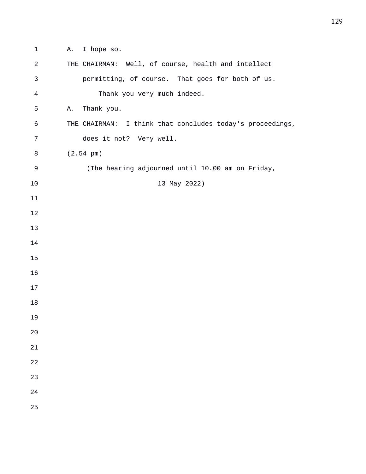1 A. I hope so.

| $\sqrt{2}$     | THE CHAIRMAN: Well, of course, health and intellect       |
|----------------|-----------------------------------------------------------|
| $\mathfrak{Z}$ | permitting, of course. That goes for both of us.          |
| $\,4$          | Thank you very much indeed.                               |
| 5              | Thank you.<br>Α.                                          |
| 6              | THE CHAIRMAN: I think that concludes today's proceedings, |
| 7              | does it not? Very well.                                   |
| 8              | $(2.54 \text{ pm})$                                       |
| 9              | (The hearing adjourned until 10.00 am on Friday,          |
| 10             | 13 May 2022)                                              |
| 11             |                                                           |
| 12             |                                                           |
| 13             |                                                           |
| 14             |                                                           |
| 15             |                                                           |
| 16             |                                                           |
| 17             |                                                           |
| 18             |                                                           |
| 19             |                                                           |
| 20             |                                                           |
| 21             |                                                           |
| 22             |                                                           |
| 23             |                                                           |
| 24             |                                                           |
| 25             |                                                           |